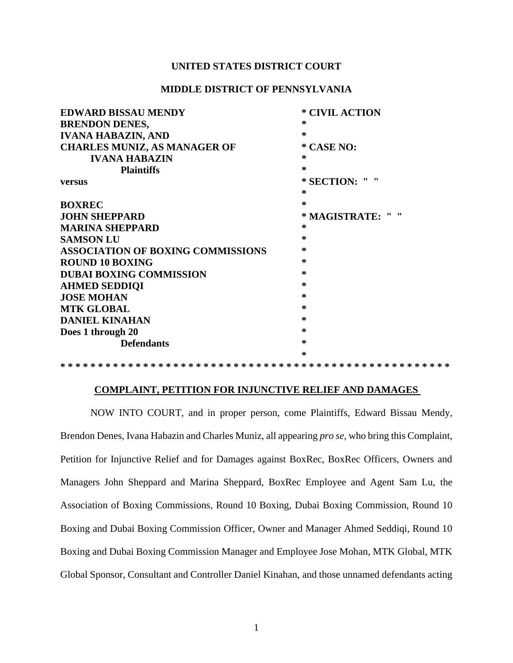# **UNITED STATES DISTRICT COURT**

# **MIDDLE DISTRICT OF PENNSYLVANIA**

| <b>EDWARD BISSAU MENDY</b>               | * CIVIL ACTION   |
|------------------------------------------|------------------|
| <b>BRENDON DENES,</b>                    | ∗                |
| <b>IVANA HABAZIN, AND</b>                | ∗                |
| <b>CHARLES MUNIZ, AS MANAGER OF</b>      | * CASE NO:       |
| <b>IVANA HABAZIN</b>                     | ∗                |
| <b>Plaintiffs</b>                        | ∗                |
| <b>versus</b>                            | * SECTION: " "   |
|                                          | ∗                |
| <b>BOXREC</b>                            | ∗                |
| <b>JOHN SHEPPARD</b>                     | * MAGISTRATE: "" |
| <b>MARINA SHEPPARD</b>                   | ∗                |
| <b>SAMSON LU</b>                         | ∗                |
| <b>ASSOCIATION OF BOXING COMMISSIONS</b> | ∗                |
| <b>ROUND 10 BOXING</b>                   | ∗                |
| <b>DUBAI BOXING COMMISSION</b>           | ∗                |
| <b>AHMED SEDDIQI</b>                     | ∗                |
| <b>JOSE MOHAN</b>                        | ∗                |
| <b>MTK GLOBAL</b>                        | ∗                |
| <b>DANIEL KINAHAN</b>                    | ∗                |
| Does 1 through 20                        | ∗                |
| <b>Defendants</b>                        | ∗                |
|                                          | ∗                |
|                                          |                  |

# **COMPLAINT, PETITION FOR INJUNCTIVE RELIEF AND DAMAGES**

NOW INTO COURT, and in proper person, come Plaintiffs, Edward Bissau Mendy, Brendon Denes, Ivana Habazin and Charles Muniz, all appearing *pro se*, who bring this Complaint, Petition for Injunctive Relief and for Damages against BoxRec, BoxRec Officers, Owners and Managers John Sheppard and Marina Sheppard, BoxRec Employee and Agent Sam Lu, the Association of Boxing Commissions, Round 10 Boxing, Dubai Boxing Commission, Round 10 Boxing and Dubai Boxing Commission Officer, Owner and Manager Ahmed Seddiqi, Round 10 Boxing and Dubai Boxing Commission Manager and Employee Jose Mohan, MTK Global, MTK Global Sponsor, Consultant and Controller Daniel Kinahan, and those unnamed defendants acting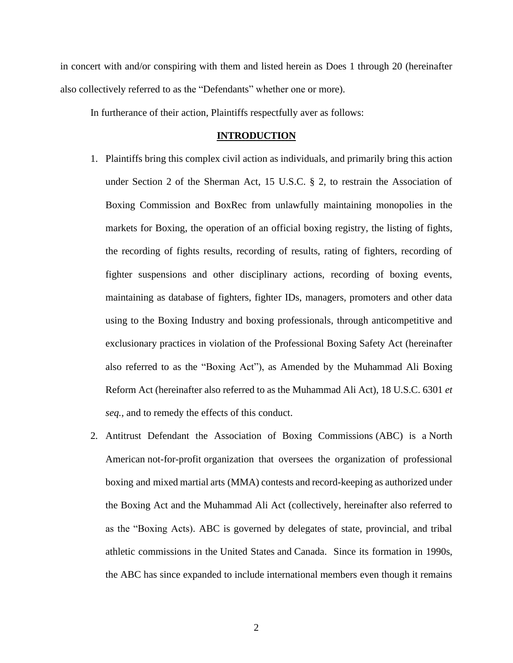in concert with and/or conspiring with them and listed herein as Does 1 through 20 (hereinafter also collectively referred to as the "Defendants" whether one or more).

In furtherance of their action, Plaintiffs respectfully aver as follows:

#### **INTRODUCTION**

- 1. Plaintiffs bring this complex civil action as individuals, and primarily bring this action under Section 2 of the Sherman Act, 15 U.S.C. § 2, to restrain the Association of Boxing Commission and BoxRec from unlawfully maintaining monopolies in the markets for Boxing, the operation of an official boxing registry, the listing of fights, the recording of fights results, recording of results, rating of fighters, recording of fighter suspensions and other disciplinary actions, recording of boxing events, maintaining as database of fighters, fighter IDs, managers, promoters and other data using to the Boxing Industry and boxing professionals, through anticompetitive and exclusionary practices in violation of the Professional Boxing Safety Act (hereinafter also referred to as the "Boxing Act"), as Amended by the Muhammad Ali Boxing Reform Act (hereinafter also referred to as the Muhammad Ali Act), 18 U.S.C. 6301 *et seq.,* and to remedy the effects of this conduct.
- 2. Antitrust Defendant the Association of Boxing Commissions (ABC) is a [North](https://en.wikipedia.org/wiki/North_American)  [American](https://en.wikipedia.org/wiki/North_American) [not-for-profit](https://en.wikipedia.org/wiki/Not_for_profit) organization that oversees the organization of [professional](https://en.wikipedia.org/wiki/Professional_boxing) [boxing](https://en.wikipedia.org/wiki/Professional_boxing) and [mixed martial arts](https://en.wikipedia.org/wiki/Mixed_martial_arts) (MMA) contests and record-keeping as authorized under the Boxing Act and the Muhammad Ali Act (collectively, hereinafter also referred to as the "Boxing Acts). ABC is governed by delegates of state, provincial, and tribal athletic commissions in the [United States](https://en.wikipedia.org/wiki/United_States) and [Canada.](https://en.wikipedia.org/wiki/Canada) Since its formation in 1990s, the ABC has since expanded to include international members even though it remains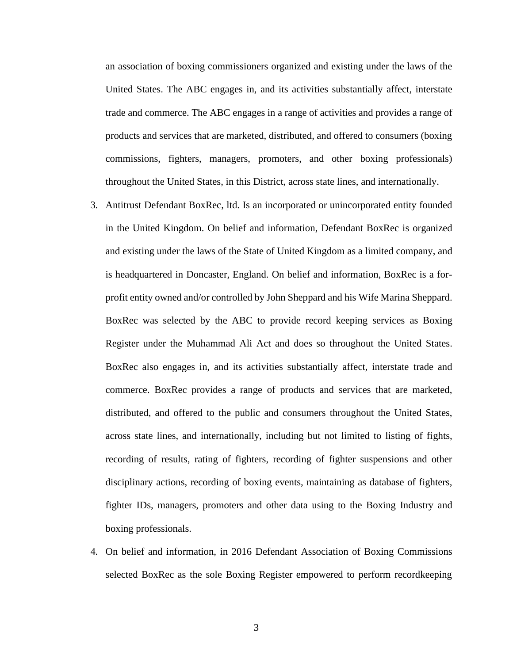an association of boxing commissioners organized and existing under the laws of the United States. The ABC engages in, and its activities substantially affect, interstate trade and commerce. The ABC engages in a range of activities and provides a range of products and services that are marketed, distributed, and offered to consumers (boxing commissions, fighters, managers, promoters, and other boxing professionals) throughout the United States, in this District, across state lines, and internationally.

- 3. Antitrust Defendant BoxRec, ltd. Is an incorporated or unincorporated entity founded in the United Kingdom. On belief and information, Defendant BoxRec is organized and existing under the laws of the State of United Kingdom as a limited company, and is headquartered in Doncaster, England. On belief and information, BoxRec is a forprofit entity owned and/or controlled by John Sheppard and his Wife Marina Sheppard. BoxRec was selected by the ABC to provide record keeping services as Boxing Register under the Muhammad Ali Act and does so throughout the United States. BoxRec also engages in, and its activities substantially affect, interstate trade and commerce. BoxRec provides a range of products and services that are marketed, distributed, and offered to the public and consumers throughout the United States, across state lines, and internationally, including but not limited to listing of fights, recording of results, rating of fighters, recording of fighter suspensions and other disciplinary actions, recording of boxing events, maintaining as database of fighters, fighter IDs, managers, promoters and other data using to the Boxing Industry and boxing professionals.
- 4. On belief and information, in 2016 Defendant Association of Boxing Commissions selected BoxRec as the sole Boxing Register empowered to perform recordkeeping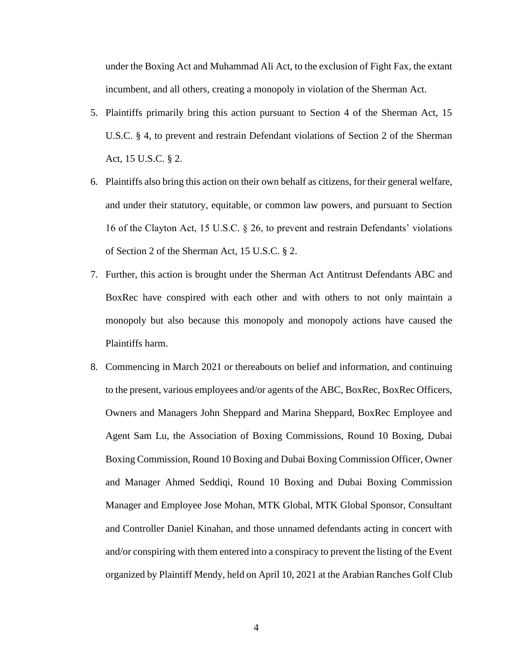under the Boxing Act and Muhammad Ali Act, to the exclusion of Fight Fax, the extant incumbent, and all others, creating a monopoly in violation of the Sherman Act.

- 5. Plaintiffs primarily bring this action pursuant to Section 4 of the Sherman Act, 15 U.S.C. § 4, to prevent and restrain Defendant violations of Section 2 of the Sherman Act, 15 U.S.C. § 2.
- 6. Plaintiffs also bring this action on their own behalf as citizens, for their general welfare, and under their statutory, equitable, or common law powers, and pursuant to Section 16 of the Clayton Act, 15 U.S.C. § 26, to prevent and restrain Defendants' violations of Section 2 of the Sherman Act, 15 U.S.C. § 2.
- 7. Further, this action is brought under the Sherman Act Antitrust Defendants ABC and BoxRec have conspired with each other and with others to not only maintain a monopoly but also because this monopoly and monopoly actions have caused the Plaintiffs harm.
- 8. Commencing in March 2021 or thereabouts on belief and information, and continuing to the present, various employees and/or agents of the ABC, BoxRec, BoxRec Officers, Owners and Managers John Sheppard and Marina Sheppard, BoxRec Employee and Agent Sam Lu, the Association of Boxing Commissions, Round 10 Boxing, Dubai Boxing Commission, Round 10 Boxing and Dubai Boxing Commission Officer, Owner and Manager Ahmed Seddiqi, Round 10 Boxing and Dubai Boxing Commission Manager and Employee Jose Mohan, MTK Global, MTK Global Sponsor, Consultant and Controller Daniel Kinahan, and those unnamed defendants acting in concert with and/or conspiring with them entered into a conspiracy to prevent the listing of the Event organized by Plaintiff Mendy, held on April 10, 2021 at the Arabian Ranches Golf Club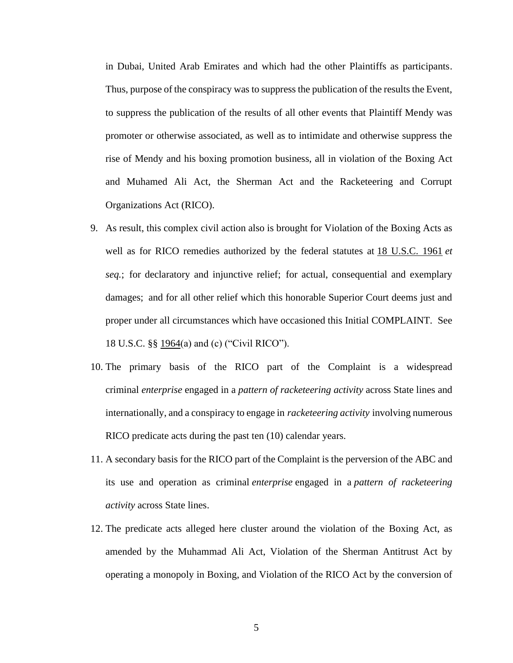in Dubai, United Arab Emirates and which had the other Plaintiffs as participants. Thus, purpose of the conspiracy was to suppress the publication of the results the Event, to suppress the publication of the results of all other events that Plaintiff Mendy was promoter or otherwise associated, as well as to intimidate and otherwise suppress the rise of Mendy and his boxing promotion business, all in violation of the Boxing Act and Muhamed Ali Act, the Sherman Act and the Racketeering and Corrupt Organizations Act (RICO).

- 9. As result, this complex civil action also is brought for Violation of the Boxing Acts as well as for RICO remedies authorized by the federal statutes at [18 U.S.C. 1961](http://www.law.cornell.edu/uscode/18/1961.html) *et seq.*; for declaratory and injunctive relief; for actual, consequential and exemplary damages; and for all other relief which this honorable Superior Court deems just and proper under all circumstances which have occasioned this Initial COMPLAINT. See 18 U.S.C. §§ [1964\(](http://www.law.cornell.edu/uscode/18/1964.html)a) and (c) ("Civil RICO").
- 10. The primary basis of the RICO part of the Complaint is a widespread criminal *enterprise* engaged in a *pattern of racketeering activity* across State lines and internationally, and a conspiracy to engage in *racketeering activity* involving numerous RICO predicate acts during the past ten (10) calendar years.
- 11. A secondary basis for the RICO part of the Complaint is the perversion of the ABC and its use and operation as criminal *enterprise* engaged in a *pattern of racketeering activity* across State lines.
- 12. The predicate acts alleged here cluster around the violation of the Boxing Act, as amended by the Muhammad Ali Act, Violation of the Sherman Antitrust Act by operating a monopoly in Boxing, and Violation of the RICO Act by the conversion of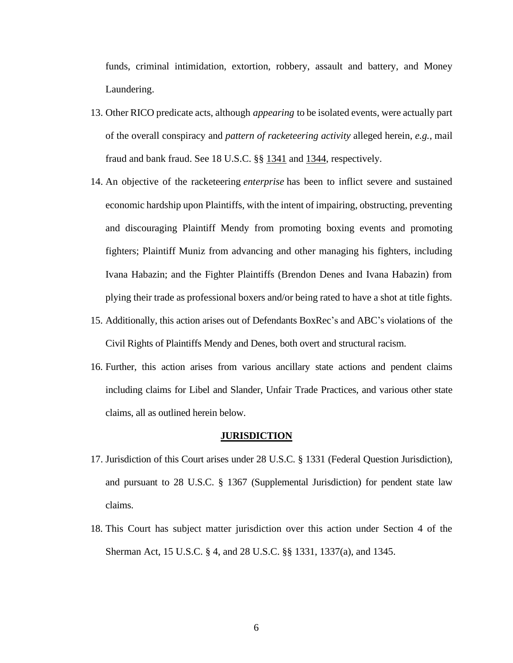funds, criminal intimidation, extortion, robbery, assault and battery, and Money Laundering.

- 13. Other RICO predicate acts, although *appearing* to be isolated events, were actually part of the overall conspiracy and *pattern of racketeering activity* alleged herein, *e.g.,* mail fraud and bank fraud. See 18 U.S.C. §§ [1341](http://www.law.cornell.edu/uscode/18/1341.html) and [1344,](http://www.law.cornell.edu/uscode/18/1344.html) respectively.
- 14. An objective of the racketeering *enterprise* has been to inflict severe and sustained economic hardship upon Plaintiffs, with the intent of impairing, obstructing, preventing and discouraging Plaintiff Mendy from promoting boxing events and promoting fighters; Plaintiff Muniz from advancing and other managing his fighters, including Ivana Habazin; and the Fighter Plaintiffs (Brendon Denes and Ivana Habazin) from plying their trade as professional boxers and/or being rated to have a shot at title fights.
- 15. Additionally, this action arises out of Defendants BoxRec's and ABC's violations of the Civil Rights of Plaintiffs Mendy and Denes, both overt and structural racism.
- 16. Further, this action arises from various ancillary state actions and pendent claims including claims for Libel and Slander, Unfair Trade Practices, and various other state claims, all as outlined herein below.

#### **JURISDICTION**

- 17. Jurisdiction of this Court arises under 28 U.S.C. § 1331 (Federal Question Jurisdiction), and pursuant to 28 U.S.C. § 1367 (Supplemental Jurisdiction) for pendent state law claims.
- 18. This Court has subject matter jurisdiction over this action under Section 4 of the Sherman Act, 15 U.S.C. § 4, and 28 U.S.C. §§ 1331, 1337(a), and 1345.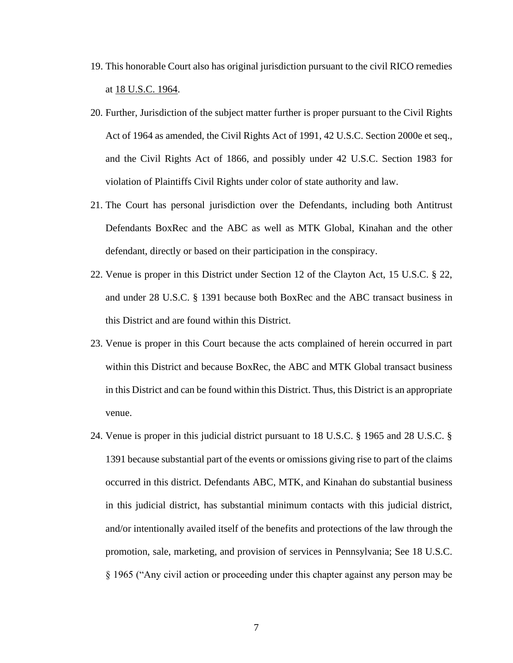- 19. This honorable Court also has original jurisdiction pursuant to the civil RICO remedies at [18 U.S.C. 1964.](http://www.law.cornell.edu/uscode/18/1964.html)
- 20. Further, Jurisdiction of the subject matter further is proper pursuant to the Civil Rights Act of 1964 as amended, the Civil Rights Act of 1991, 42 U.S.C. Section 2000e et seq., and the Civil Rights Act of 1866, and possibly under 42 U.S.C. Section 1983 for violation of Plaintiffs Civil Rights under color of state authority and law.
- 21. The Court has personal jurisdiction over the Defendants, including both Antitrust Defendants BoxRec and the ABC as well as MTK Global, Kinahan and the other defendant, directly or based on their participation in the conspiracy.
- 22. Venue is proper in this District under Section 12 of the Clayton Act, 15 U.S.C. § 22, and under 28 U.S.C. § 1391 because both BoxRec and the ABC transact business in this District and are found within this District.
- 23. Venue is proper in this Court because the acts complained of herein occurred in part within this District and because BoxRec, the ABC and MTK Global transact business in this District and can be found within this District. Thus, this District is an appropriate venue.
- 24. Venue is proper in this judicial district pursuant to 18 U.S.C. § 1965 and 28 U.S.C. § 1391 because substantial part of the events or omissions giving rise to part of the claims occurred in this district. Defendants ABC, MTK, and Kinahan do substantial business in this judicial district, has substantial minimum contacts with this judicial district, and/or intentionally availed itself of the benefits and protections of the law through the promotion, sale, marketing, and provision of services in Pennsylvania; See 18 U.S.C. § 1965 ("Any civil action or proceeding under this chapter against any person may be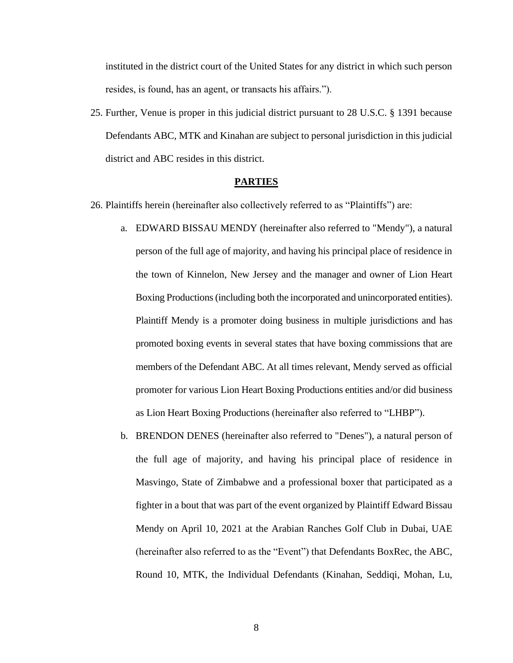instituted in the district court of the United States for any district in which such person resides, is found, has an agent, or transacts his affairs.").

25. Further, Venue is proper in this judicial district pursuant to 28 U.S.C. § 1391 because Defendants ABC, MTK and Kinahan are subject to personal jurisdiction in this judicial district and ABC resides in this district.

#### **PARTIES**

- 26. Plaintiffs herein (hereinafter also collectively referred to as "Plaintiffs") are:
	- a. EDWARD BISSAU MENDY (hereinafter also referred to "Mendy"), a natural person of the full age of majority, and having his principal place of residence in the town of Kinnelon, New Jersey and the manager and owner of Lion Heart Boxing Productions(including both the incorporated and unincorporated entities). Plaintiff Mendy is a promoter doing business in multiple jurisdictions and has promoted boxing events in several states that have boxing commissions that are members of the Defendant ABC. At all times relevant, Mendy served as official promoter for various Lion Heart Boxing Productions entities and/or did business as Lion Heart Boxing Productions (hereinafter also referred to "LHBP").
	- b. BRENDON DENES (hereinafter also referred to "Denes"), a natural person of the full age of majority, and having his principal place of residence in Masvingo, State of Zimbabwe and a professional boxer that participated as a fighter in a bout that was part of the event organized by Plaintiff Edward Bissau Mendy on April 10, 2021 at the Arabian Ranches Golf Club in Dubai, UAE (hereinafter also referred to as the "Event") that Defendants BoxRec, the ABC, Round 10, MTK, the Individual Defendants (Kinahan, Seddiqi, Mohan, Lu,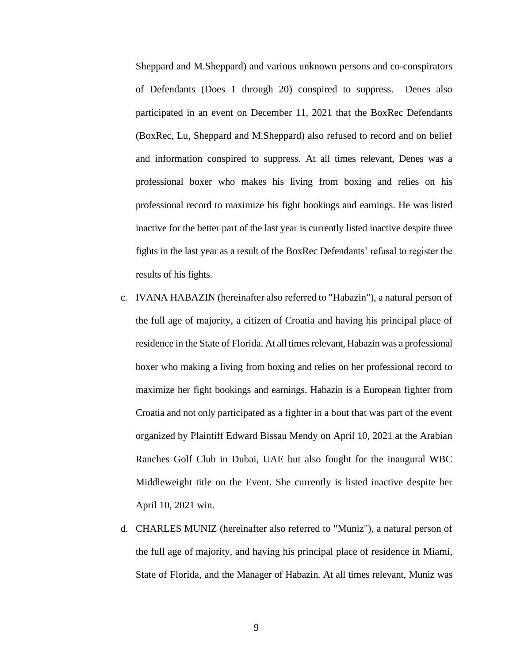Sheppard and M.Sheppard) and various unknown persons and co-conspirators of Defendants (Does 1 through 20) conspired to suppress. Denes also participated in an event on December 11, 2021 that the BoxRec Defendants (BoxRec, Lu, Sheppard and M.Sheppard) also refused to record and on belief and information conspired to suppress. At all times relevant, Denes was a professional boxer who makes his living from boxing and relies on his professional record to maximize his fight bookings and earnings. He was listed inactive for the better part of the last year is currently listed inactive despite three fights in the last year as a result of the BoxRec Defendants' refusal to register the results of his fights.

- c. IVANA HABAZIN (hereinafter also referred to "Habazin"), a natural person of the full age of majority, a citizen of Croatia and having his principal place of residence in the State of Florida. At all times relevant, Habazin was a professional boxer who making a living from boxing and relies on her professional record to maximize her fight bookings and earnings. Habazin is a European fighter from Croatia and not only participated as a fighter in a bout that was part of the event organized by Plaintiff Edward Bissau Mendy on April 10, 2021 at the Arabian Ranches Golf Club in Dubai, UAE but also fought for the inaugural WBC Middleweight title on the Event. She currently is listed inactive despite her April 10, 2021 win.
- d. CHARLES MUNIZ (hereinafter also referred to "Muniz"), a natural person of the full age of majority, and having his principal place of residence in Miami, State of Florida, and the Manager of Habazin. At all times relevant, Muniz was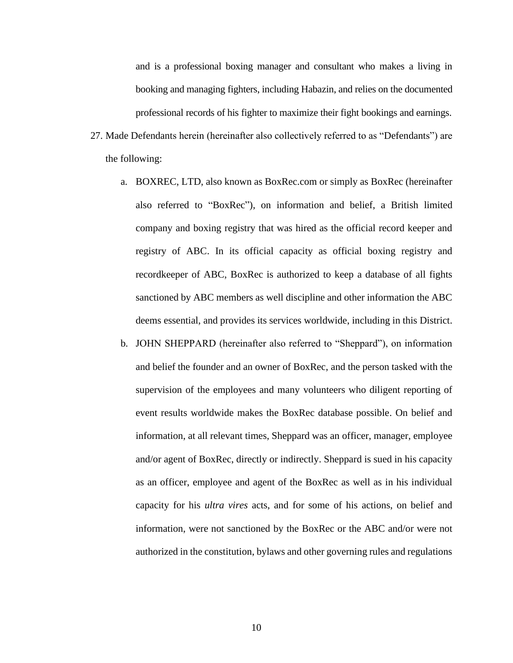and is a professional boxing manager and consultant who makes a living in booking and managing fighters, including Habazin, and relies on the documented professional records of his fighter to maximize their fight bookings and earnings.

- 27. Made Defendants herein (hereinafter also collectively referred to as "Defendants") are the following:
	- a. BOXREC, LTD, also known as BoxRec.com or simply as BoxRec (hereinafter also referred to "BoxRec"), on information and belief, a British limited company and boxing registry that was hired as the official record keeper and registry of ABC. In its official capacity as official boxing registry and recordkeeper of ABC, BoxRec is authorized to keep a database of all fights sanctioned by ABC members as well discipline and other information the ABC deems essential, and provides its services worldwide, including in this District.
	- b. JOHN SHEPPARD (hereinafter also referred to "Sheppard"), on information and belief the founder and an owner of BoxRec, and the person tasked with the supervision of the employees and many volunteers who diligent reporting of event results worldwide makes the BoxRec database possible. On belief and information, at all relevant times, Sheppard was an officer, manager, employee and/or agent of BoxRec, directly or indirectly. Sheppard is sued in his capacity as an officer, employee and agent of the BoxRec as well as in his individual capacity for his *ultra vires* acts, and for some of his actions, on belief and information, were not sanctioned by the BoxRec or the ABC and/or were not authorized in the constitution, bylaws and other governing rules and regulations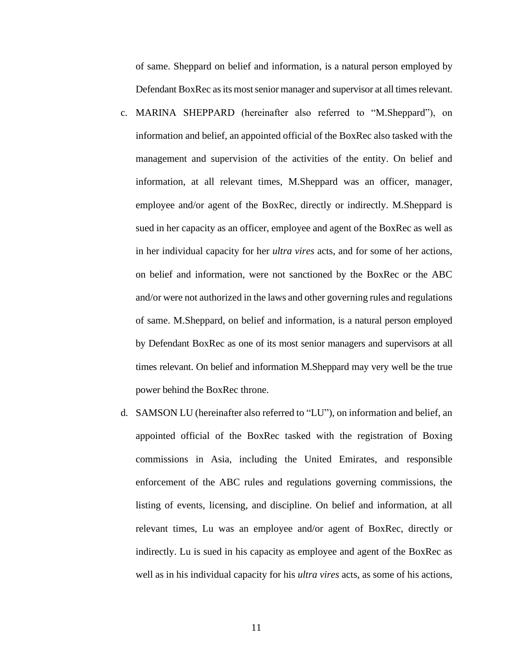of same. Sheppard on belief and information, is a natural person employed by Defendant BoxRec as its most senior manager and supervisor at all times relevant.

- c. MARINA SHEPPARD (hereinafter also referred to "M.Sheppard"), on information and belief, an appointed official of the BoxRec also tasked with the management and supervision of the activities of the entity. On belief and information, at all relevant times, M.Sheppard was an officer, manager, employee and/or agent of the BoxRec, directly or indirectly. M.Sheppard is sued in her capacity as an officer, employee and agent of the BoxRec as well as in her individual capacity for her *ultra vires* acts, and for some of her actions, on belief and information, were not sanctioned by the BoxRec or the ABC and/or were not authorized in the laws and other governing rules and regulations of same. M.Sheppard, on belief and information, is a natural person employed by Defendant BoxRec as one of its most senior managers and supervisors at all times relevant. On belief and information M.Sheppard may very well be the true power behind the BoxRec throne.
- d. SAMSON LU (hereinafter also referred to "LU"), on information and belief, an appointed official of the BoxRec tasked with the registration of Boxing commissions in Asia, including the United Emirates, and responsible enforcement of the ABC rules and regulations governing commissions, the listing of events, licensing, and discipline. On belief and information, at all relevant times, Lu was an employee and/or agent of BoxRec, directly or indirectly. Lu is sued in his capacity as employee and agent of the BoxRec as well as in his individual capacity for his *ultra vires* acts, as some of his actions,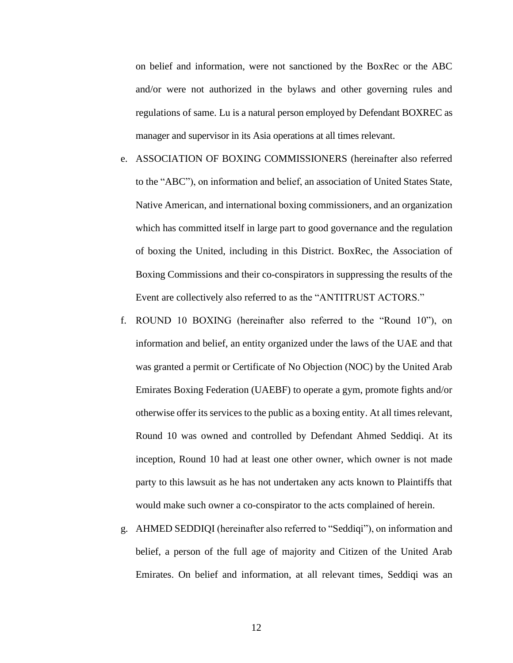on belief and information, were not sanctioned by the BoxRec or the ABC and/or were not authorized in the bylaws and other governing rules and regulations of same. Lu is a natural person employed by Defendant BOXREC as manager and supervisor in its Asia operations at all times relevant.

- e. ASSOCIATION OF BOXING COMMISSIONERS (hereinafter also referred to the "ABC"), on information and belief, an association of United States State, Native American, and international boxing commissioners, and an organization which has committed itself in large part to good governance and the regulation of boxing the United, including in this District. BoxRec, the Association of Boxing Commissions and their co-conspirators in suppressing the results of the Event are collectively also referred to as the "ANTITRUST ACTORS."
- f. ROUND 10 BOXING (hereinafter also referred to the "Round 10"), on information and belief, an entity organized under the laws of the UAE and that was granted a permit or Certificate of No Objection (NOC) by the United Arab Emirates Boxing Federation (UAEBF) to operate a gym, promote fights and/or otherwise offer its services to the public as a boxing entity. At all times relevant, Round 10 was owned and controlled by Defendant Ahmed Seddiqi. At its inception, Round 10 had at least one other owner, which owner is not made party to this lawsuit as he has not undertaken any acts known to Plaintiffs that would make such owner a co-conspirator to the acts complained of herein.
- g. AHMED SEDDIQI (hereinafter also referred to "Seddiqi"), on information and belief, a person of the full age of majority and Citizen of the United Arab Emirates. On belief and information, at all relevant times, Seddiqi was an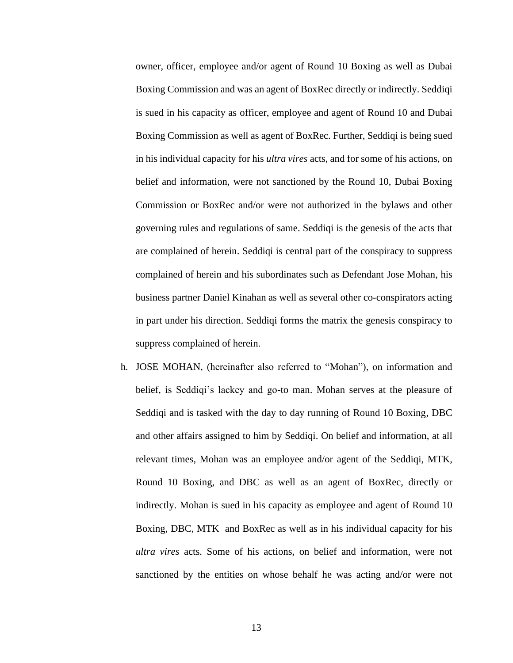owner, officer, employee and/or agent of Round 10 Boxing as well as Dubai Boxing Commission and was an agent of BoxRec directly or indirectly. Seddiqi is sued in his capacity as officer, employee and agent of Round 10 and Dubai Boxing Commission as well as agent of BoxRec. Further, Seddiqi is being sued in his individual capacity for his *ultra vires* acts, and for some of his actions, on belief and information, were not sanctioned by the Round 10, Dubai Boxing Commission or BoxRec and/or were not authorized in the bylaws and other governing rules and regulations of same. Seddiqi is the genesis of the acts that are complained of herein. Seddiqi is central part of the conspiracy to suppress complained of herein and his subordinates such as Defendant Jose Mohan, his business partner Daniel Kinahan as well as several other co-conspirators acting in part under his direction. Seddiqi forms the matrix the genesis conspiracy to suppress complained of herein.

h. JOSE MOHAN, (hereinafter also referred to "Mohan"), on information and belief, is Seddiqi's lackey and go-to man. Mohan serves at the pleasure of Seddiqi and is tasked with the day to day running of Round 10 Boxing, DBC and other affairs assigned to him by Seddiqi. On belief and information, at all relevant times, Mohan was an employee and/or agent of the Seddiqi, MTK, Round 10 Boxing, and DBC as well as an agent of BoxRec, directly or indirectly. Mohan is sued in his capacity as employee and agent of Round 10 Boxing, DBC, MTK and BoxRec as well as in his individual capacity for his *ultra vires* acts. Some of his actions, on belief and information, were not sanctioned by the entities on whose behalf he was acting and/or were not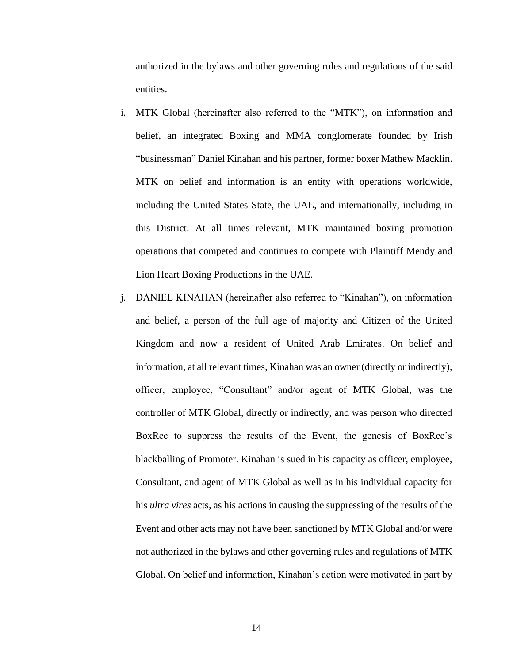authorized in the bylaws and other governing rules and regulations of the said entities.

- i. MTK Global (hereinafter also referred to the "MTK"), on information and belief, an integrated Boxing and MMA conglomerate founded by Irish "businessman" Daniel Kinahan and his partner, former boxer Mathew Macklin. MTK on belief and information is an entity with operations worldwide, including the United States State, the UAE, and internationally, including in this District. At all times relevant, MTK maintained boxing promotion operations that competed and continues to compete with Plaintiff Mendy and Lion Heart Boxing Productions in the UAE.
- j. DANIEL KINAHAN (hereinafter also referred to "Kinahan"), on information and belief, a person of the full age of majority and Citizen of the United Kingdom and now a resident of United Arab Emirates. On belief and information, at all relevant times, Kinahan was an owner (directly or indirectly), officer, employee, "Consultant" and/or agent of MTK Global, was the controller of MTK Global, directly or indirectly, and was person who directed BoxRec to suppress the results of the Event, the genesis of BoxRec's blackballing of Promoter. Kinahan is sued in his capacity as officer, employee, Consultant, and agent of MTK Global as well as in his individual capacity for his *ultra vires* acts, as his actions in causing the suppressing of the results of the Event and other acts may not have been sanctioned by MTK Global and/or were not authorized in the bylaws and other governing rules and regulations of MTK Global. On belief and information, Kinahan's action were motivated in part by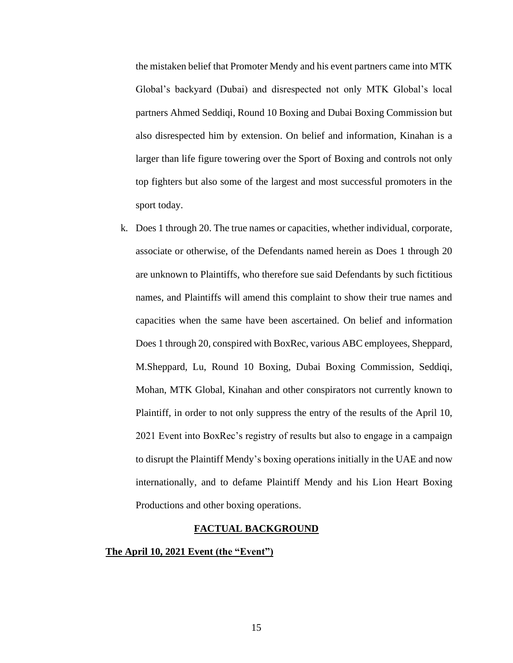the mistaken belief that Promoter Mendy and his event partners came into MTK Global's backyard (Dubai) and disrespected not only MTK Global's local partners Ahmed Seddiqi, Round 10 Boxing and Dubai Boxing Commission but also disrespected him by extension. On belief and information, Kinahan is a larger than life figure towering over the Sport of Boxing and controls not only top fighters but also some of the largest and most successful promoters in the sport today.

k. Does 1 through 20. The true names or capacities, whether individual, corporate, associate or otherwise, of the Defendants named herein as Does 1 through 20 are unknown to Plaintiffs, who therefore sue said Defendants by such fictitious names, and Plaintiffs will amend this complaint to show their true names and capacities when the same have been ascertained. On belief and information Does 1 through 20, conspired with BoxRec, various ABC employees, Sheppard, M.Sheppard, Lu, Round 10 Boxing, Dubai Boxing Commission, Seddiqi, Mohan, MTK Global, Kinahan and other conspirators not currently known to Plaintiff, in order to not only suppress the entry of the results of the April 10, 2021 Event into BoxRec's registry of results but also to engage in a campaign to disrupt the Plaintiff Mendy's boxing operations initially in the UAE and now internationally, and to defame Plaintiff Mendy and his Lion Heart Boxing Productions and other boxing operations.

#### **FACTUAL BACKGROUND**

## **The April 10, 2021 Event (the "Event")**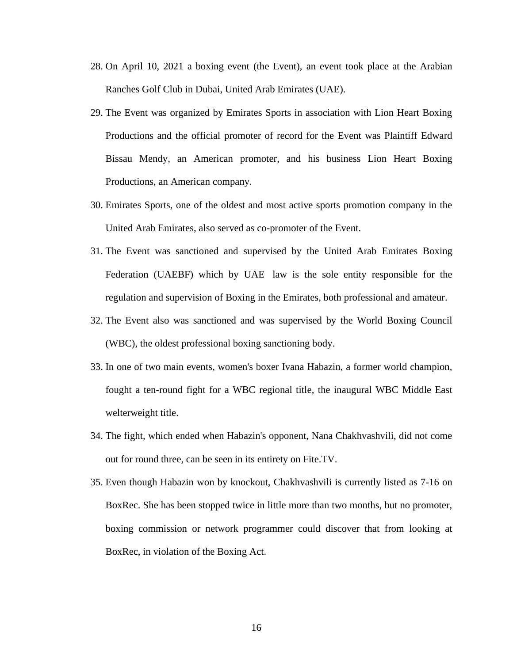- 28. On April 10, 2021 a boxing event (the Event), an event took place at the Arabian Ranches Golf Club in Dubai, United Arab Emirates (UAE).
- 29. The Event was organized by Emirates Sports in association with Lion Heart Boxing Productions and the official promoter of record for the Event was Plaintiff Edward Bissau Mendy, an American promoter, and his business Lion Heart Boxing Productions, an American company.
- 30. Emirates Sports, one of the oldest and most active sports promotion company in the United Arab Emirates, also served as co-promoter of the Event.
- 31. The Event was sanctioned and supervised by the United Arab Emirates Boxing Federation (UAEBF) which by UAE law is the sole entity responsible for the regulation and supervision of Boxing in the Emirates, both professional and amateur.
- 32. The Event also was sanctioned and was supervised by the World Boxing Council (WBC), the oldest professional boxing sanctioning body.
- 33. In one of two main events, women's boxer Ivana Habazin, a former world champion, fought a ten-round fight for a WBC regional title, the inaugural WBC Middle East welterweight title.
- 34. The fight, which ended when Habazin's opponent, Nana Chakhvashvili, did not come out for round three, can be seen in its entirety on Fite.TV.
- 35. Even though Habazin won by knockout, Chakhvashvili is currently listed as 7-16 on BoxRec. She has been stopped twice in little more than two months, but no promoter, boxing commission or network programmer could discover that from looking at BoxRec, in violation of the Boxing Act.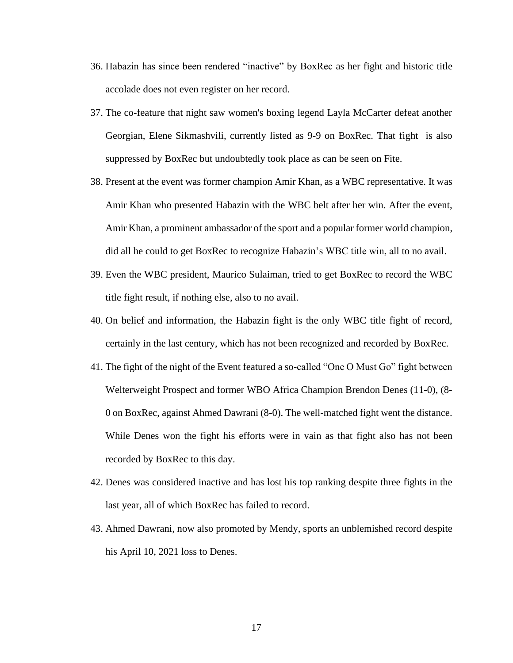- 36. Habazin has since been rendered "inactive" by BoxRec as her fight and historic title accolade does not even register on her record.
- 37. The co-feature that night saw women's boxing legend Layla McCarter defeat another Georgian, Elene Sikmashvili, currently listed as 9-9 on BoxRec. That fight is also suppressed by BoxRec but undoubtedly took place as can be seen on Fite.
- 38. Present at the event was former champion Amir Khan, as a WBC representative. It was Amir Khan who presented Habazin with the WBC belt after her win. After the event, Amir Khan, a prominent ambassador of the sport and a popular former world champion, did all he could to get BoxRec to recognize Habazin's WBC title win, all to no avail.
- 39. Even the WBC president, Maurico Sulaiman, tried to get BoxRec to record the WBC title fight result, if nothing else, also to no avail.
- 40. On belief and information, the Habazin fight is the only WBC title fight of record, certainly in the last century, which has not been recognized and recorded by BoxRec.
- 41. The fight of the night of the Event featured a so-called "One O Must Go" fight between Welterweight Prospect and former WBO Africa Champion Brendon Denes (11-0), (8- 0 on BoxRec, against Ahmed Dawrani (8-0). The well-matched fight went the distance. While Denes won the fight his efforts were in vain as that fight also has not been recorded by BoxRec to this day.
- 42. Denes was considered inactive and has lost his top ranking despite three fights in the last year, all of which BoxRec has failed to record.
- 43. Ahmed Dawrani, now also promoted by Mendy, sports an unblemished record despite his April 10, 2021 loss to Denes.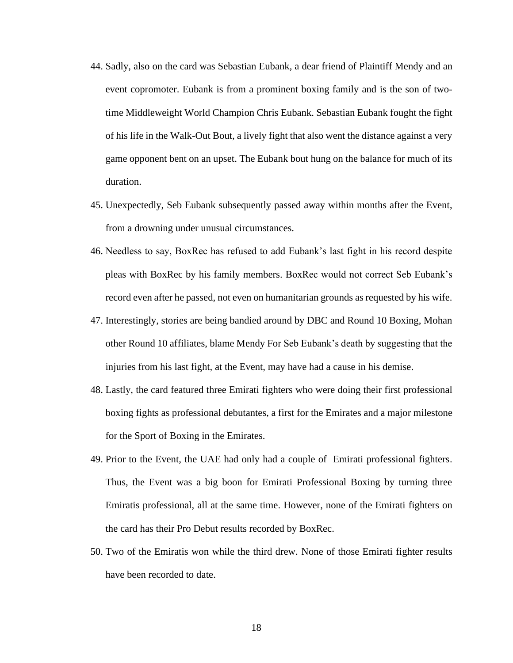- 44. Sadly, also on the card was Sebastian Eubank, a dear friend of Plaintiff Mendy and an event copromoter. Eubank is from a prominent boxing family and is the son of twotime Middleweight World Champion Chris Eubank. Sebastian Eubank fought the fight of his life in the Walk-Out Bout, a lively fight that also went the distance against a very game opponent bent on an upset. The Eubank bout hung on the balance for much of its duration.
- 45. Unexpectedly, Seb Eubank subsequently passed away within months after the Event, from a drowning under unusual circumstances.
- 46. Needless to say, BoxRec has refused to add Eubank's last fight in his record despite pleas with BoxRec by his family members. BoxRec would not correct Seb Eubank's record even after he passed, not even on humanitarian grounds as requested by his wife.
- 47. Interestingly, stories are being bandied around by DBC and Round 10 Boxing, Mohan other Round 10 affiliates, blame Mendy For Seb Eubank's death by suggesting that the injuries from his last fight, at the Event, may have had a cause in his demise.
- 48. Lastly, the card featured three Emirati fighters who were doing their first professional boxing fights as professional debutantes, a first for the Emirates and a major milestone for the Sport of Boxing in the Emirates.
- 49. Prior to the Event, the UAE had only had a couple of Emirati professional fighters. Thus, the Event was a big boon for Emirati Professional Boxing by turning three Emiratis professional, all at the same time. However, none of the Emirati fighters on the card has their Pro Debut results recorded by BoxRec.
- 50. Two of the Emiratis won while the third drew. None of those Emirati fighter results have been recorded to date.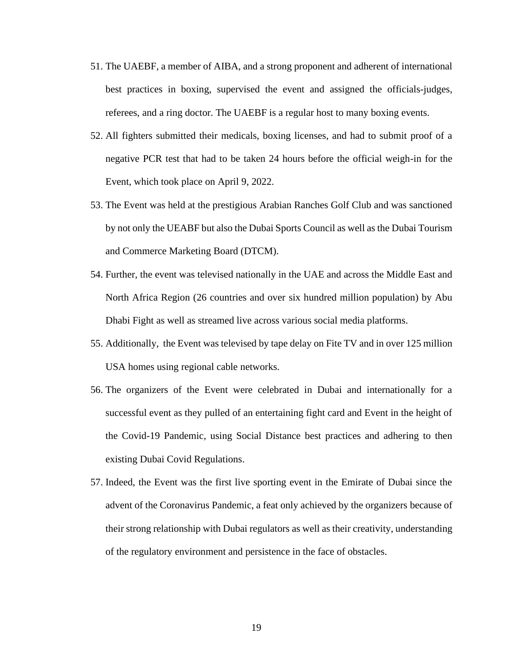- 51. The UAEBF, a member of AIBA, and a strong proponent and adherent of international best practices in boxing, supervised the event and assigned the officials-judges, referees, and a ring doctor. The UAEBF is a regular host to many boxing events.
- 52. All fighters submitted their medicals, boxing licenses, and had to submit proof of a negative PCR test that had to be taken 24 hours before the official weigh-in for the Event, which took place on April 9, 2022.
- 53. The Event was held at the prestigious Arabian Ranches Golf Club and was sanctioned by not only the UEABF but also the Dubai Sports Council as well as the Dubai Tourism and Commerce Marketing Board (DTCM).
- 54. Further, the event was televised nationally in the UAE and across the Middle East and North Africa Region (26 countries and over six hundred million population) by Abu Dhabi Fight as well as streamed live across various social media platforms.
- 55. Additionally, the Event was televised by tape delay on Fite TV and in over 125 million USA homes using regional cable networks.
- 56. The organizers of the Event were celebrated in Dubai and internationally for a successful event as they pulled of an entertaining fight card and Event in the height of the Covid-19 Pandemic, using Social Distance best practices and adhering to then existing Dubai Covid Regulations.
- 57. Indeed, the Event was the first live sporting event in the Emirate of Dubai since the advent of the Coronavirus Pandemic, a feat only achieved by the organizers because of their strong relationship with Dubai regulators as well as their creativity, understanding of the regulatory environment and persistence in the face of obstacles.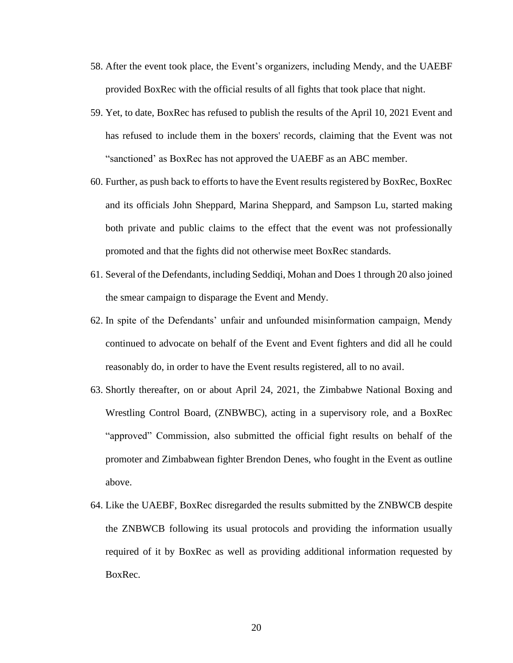- 58. After the event took place, the Event's organizers, including Mendy, and the UAEBF provided BoxRec with the official results of all fights that took place that night.
- 59. Yet, to date, BoxRec has refused to publish the results of the April 10, 2021 Event and has refused to include them in the boxers' records, claiming that the Event was not "sanctioned' as BoxRec has not approved the UAEBF as an ABC member.
- 60. Further, as push back to efforts to have the Event results registered by BoxRec, BoxRec and its officials John Sheppard, Marina Sheppard, and Sampson Lu, started making both private and public claims to the effect that the event was not professionally promoted and that the fights did not otherwise meet BoxRec standards.
- 61. Several of the Defendants, including Seddiqi, Mohan and Does 1 through 20 also joined the smear campaign to disparage the Event and Mendy.
- 62. In spite of the Defendants' unfair and unfounded misinformation campaign, Mendy continued to advocate on behalf of the Event and Event fighters and did all he could reasonably do, in order to have the Event results registered, all to no avail.
- 63. Shortly thereafter, on or about April 24, 2021, the Zimbabwe National Boxing and Wrestling Control Board, (ZNBWBC), acting in a supervisory role, and a BoxRec "approved" Commission, also submitted the official fight results on behalf of the promoter and Zimbabwean fighter Brendon Denes, who fought in the Event as outline above.
- 64. Like the UAEBF, BoxRec disregarded the results submitted by the ZNBWCB despite the ZNBWCB following its usual protocols and providing the information usually required of it by BoxRec as well as providing additional information requested by BoxRec.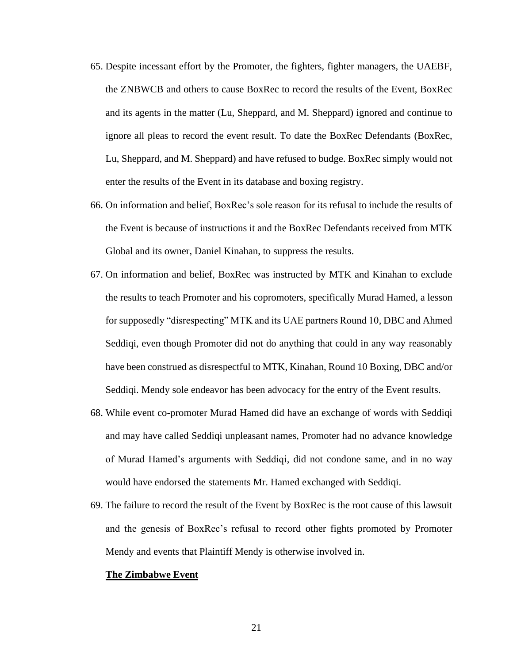- 65. Despite incessant effort by the Promoter, the fighters, fighter managers, the UAEBF, the ZNBWCB and others to cause BoxRec to record the results of the Event, BoxRec and its agents in the matter (Lu, Sheppard, and M. Sheppard) ignored and continue to ignore all pleas to record the event result. To date the BoxRec Defendants (BoxRec, Lu, Sheppard, and M. Sheppard) and have refused to budge. BoxRec simply would not enter the results of the Event in its database and boxing registry.
- 66. On information and belief, BoxRec's sole reason for its refusal to include the results of the Event is because of instructions it and the BoxRec Defendants received from MTK Global and its owner, Daniel Kinahan, to suppress the results.
- 67. On information and belief, BoxRec was instructed by MTK and Kinahan to exclude the results to teach Promoter and his copromoters, specifically Murad Hamed, a lesson for supposedly "disrespecting" MTK and its UAE partners Round 10, DBC and Ahmed Seddiqi, even though Promoter did not do anything that could in any way reasonably have been construed as disrespectful to MTK, Kinahan, Round 10 Boxing, DBC and/or Seddiqi. Mendy sole endeavor has been advocacy for the entry of the Event results.
- 68. While event co-promoter Murad Hamed did have an exchange of words with Seddiqi and may have called Seddiqi unpleasant names, Promoter had no advance knowledge of Murad Hamed's arguments with Seddiqi, did not condone same, and in no way would have endorsed the statements Mr. Hamed exchanged with Seddiqi.
- 69. The failure to record the result of the Event by BoxRec is the root cause of this lawsuit and the genesis of BoxRec's refusal to record other fights promoted by Promoter Mendy and events that Plaintiff Mendy is otherwise involved in.

#### **The Zimbabwe Event**

21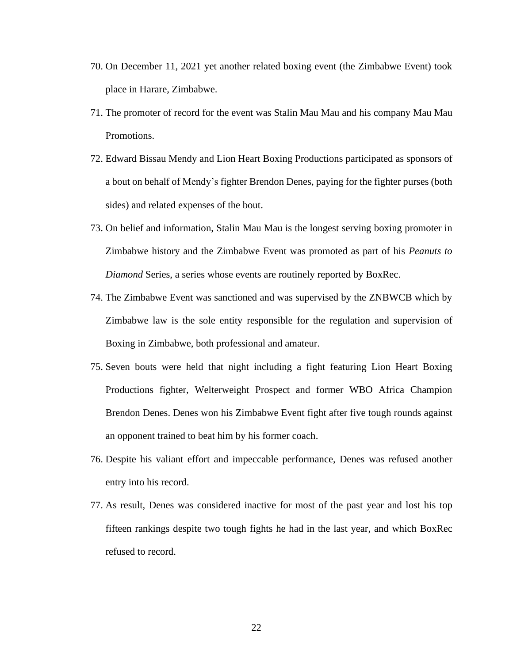- 70. On December 11, 2021 yet another related boxing event (the Zimbabwe Event) took place in Harare, Zimbabwe.
- 71. The promoter of record for the event was Stalin Mau Mau and his company Mau Mau Promotions.
- 72. Edward Bissau Mendy and Lion Heart Boxing Productions participated as sponsors of a bout on behalf of Mendy's fighter Brendon Denes, paying for the fighter purses (both sides) and related expenses of the bout.
- 73. On belief and information, Stalin Mau Mau is the longest serving boxing promoter in Zimbabwe history and the Zimbabwe Event was promoted as part of his *Peanuts to Diamond* Series, a series whose events are routinely reported by BoxRec.
- 74. The Zimbabwe Event was sanctioned and was supervised by the ZNBWCB which by Zimbabwe law is the sole entity responsible for the regulation and supervision of Boxing in Zimbabwe, both professional and amateur.
- 75. Seven bouts were held that night including a fight featuring Lion Heart Boxing Productions fighter, Welterweight Prospect and former WBO Africa Champion Brendon Denes. Denes won his Zimbabwe Event fight after five tough rounds against an opponent trained to beat him by his former coach.
- 76. Despite his valiant effort and impeccable performance, Denes was refused another entry into his record.
- 77. As result, Denes was considered inactive for most of the past year and lost his top fifteen rankings despite two tough fights he had in the last year, and which BoxRec refused to record.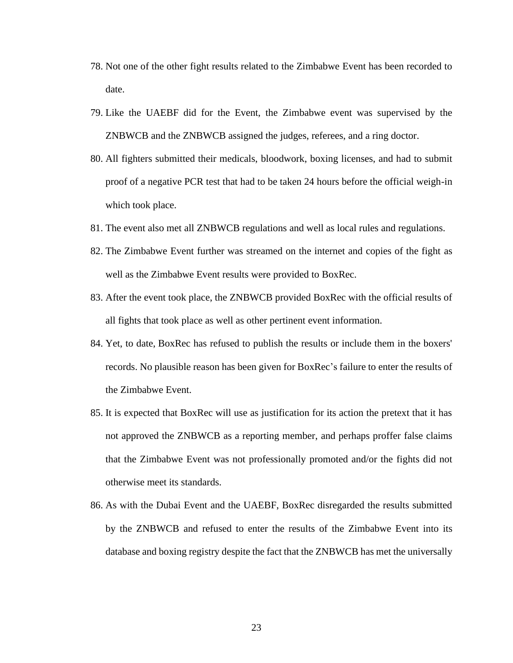- 78. Not one of the other fight results related to the Zimbabwe Event has been recorded to date.
- 79. Like the UAEBF did for the Event, the Zimbabwe event was supervised by the ZNBWCB and the ZNBWCB assigned the judges, referees, and a ring doctor.
- 80. All fighters submitted their medicals, bloodwork, boxing licenses, and had to submit proof of a negative PCR test that had to be taken 24 hours before the official weigh-in which took place.
- 81. The event also met all ZNBWCB regulations and well as local rules and regulations.
- 82. The Zimbabwe Event further was streamed on the internet and copies of the fight as well as the Zimbabwe Event results were provided to BoxRec.
- 83. After the event took place, the ZNBWCB provided BoxRec with the official results of all fights that took place as well as other pertinent event information.
- 84. Yet, to date, BoxRec has refused to publish the results or include them in the boxers' records. No plausible reason has been given for BoxRec's failure to enter the results of the Zimbabwe Event.
- 85. It is expected that BoxRec will use as justification for its action the pretext that it has not approved the ZNBWCB as a reporting member, and perhaps proffer false claims that the Zimbabwe Event was not professionally promoted and/or the fights did not otherwise meet its standards.
- 86. As with the Dubai Event and the UAEBF, BoxRec disregarded the results submitted by the ZNBWCB and refused to enter the results of the Zimbabwe Event into its database and boxing registry despite the fact that the ZNBWCB has met the universally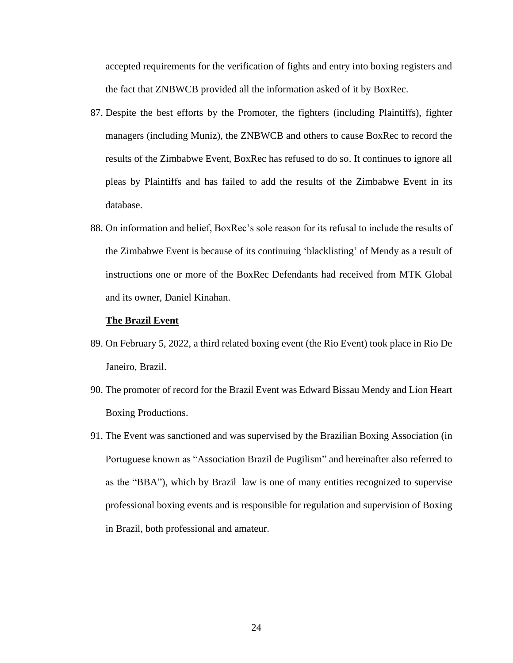accepted requirements for the verification of fights and entry into boxing registers and the fact that ZNBWCB provided all the information asked of it by BoxRec.

- 87. Despite the best efforts by the Promoter, the fighters (including Plaintiffs), fighter managers (including Muniz), the ZNBWCB and others to cause BoxRec to record the results of the Zimbabwe Event, BoxRec has refused to do so. It continues to ignore all pleas by Plaintiffs and has failed to add the results of the Zimbabwe Event in its database.
- 88. On information and belief, BoxRec's sole reason for its refusal to include the results of the Zimbabwe Event is because of its continuing 'blacklisting' of Mendy as a result of instructions one or more of the BoxRec Defendants had received from MTK Global and its owner, Daniel Kinahan.

#### **The Brazil Event**

- 89. On February 5, 2022, a third related boxing event (the Rio Event) took place in Rio De Janeiro, Brazil.
- 90. The promoter of record for the Brazil Event was Edward Bissau Mendy and Lion Heart Boxing Productions.
- 91. The Event was sanctioned and was supervised by the Brazilian Boxing Association (in Portuguese known as "Association Brazil de Pugilism" and hereinafter also referred to as the "BBA"), which by Brazil law is one of many entities recognized to supervise professional boxing events and is responsible for regulation and supervision of Boxing in Brazil, both professional and amateur.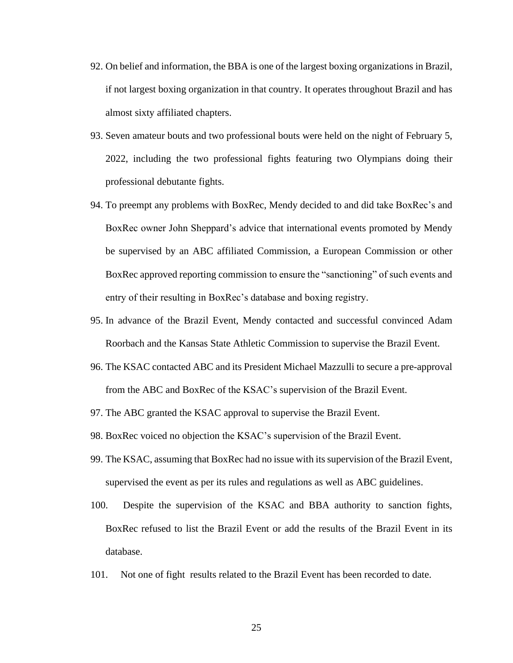- 92. On belief and information, the BBA is one of the largest boxing organizations in Brazil, if not largest boxing organization in that country. It operates throughout Brazil and has almost sixty affiliated chapters.
- 93. Seven amateur bouts and two professional bouts were held on the night of February 5, 2022, including the two professional fights featuring two Olympians doing their professional debutante fights.
- 94. To preempt any problems with BoxRec, Mendy decided to and did take BoxRec's and BoxRec owner John Sheppard's advice that international events promoted by Mendy be supervised by an ABC affiliated Commission, a European Commission or other BoxRec approved reporting commission to ensure the "sanctioning" of such events and entry of their resulting in BoxRec's database and boxing registry.
- 95. In advance of the Brazil Event, Mendy contacted and successful convinced Adam Roorbach and the Kansas State Athletic Commission to supervise the Brazil Event.
- 96. The KSAC contacted ABC and its President Michael Mazzulli to secure a pre-approval from the ABC and BoxRec of the KSAC's supervision of the Brazil Event.
- 97. The ABC granted the KSAC approval to supervise the Brazil Event.
- 98. BoxRec voiced no objection the KSAC's supervision of the Brazil Event.
- 99. The KSAC, assuming that BoxRec had no issue with itssupervision of the Brazil Event, supervised the event as per its rules and regulations as well as ABC guidelines.
- 100. Despite the supervision of the KSAC and BBA authority to sanction fights, BoxRec refused to list the Brazil Event or add the results of the Brazil Event in its database.
- 101. Not one of fight results related to the Brazil Event has been recorded to date.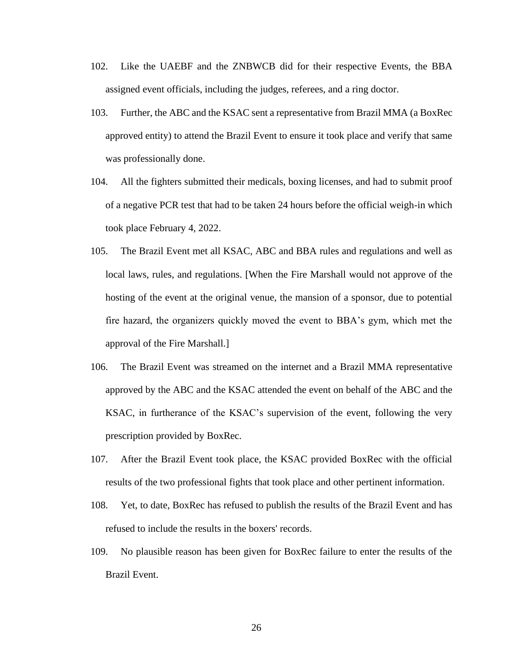- 102. Like the UAEBF and the ZNBWCB did for their respective Events, the BBA assigned event officials, including the judges, referees, and a ring doctor.
- 103. Further, the ABC and the KSAC sent a representative from Brazil MMA (a BoxRec approved entity) to attend the Brazil Event to ensure it took place and verify that same was professionally done.
- 104. All the fighters submitted their medicals, boxing licenses, and had to submit proof of a negative PCR test that had to be taken 24 hours before the official weigh-in which took place February 4, 2022.
- 105. The Brazil Event met all KSAC, ABC and BBA rules and regulations and well as local laws, rules, and regulations. [When the Fire Marshall would not approve of the hosting of the event at the original venue, the mansion of a sponsor, due to potential fire hazard, the organizers quickly moved the event to BBA's gym, which met the approval of the Fire Marshall.]
- 106. The Brazil Event was streamed on the internet and a Brazil MMA representative approved by the ABC and the KSAC attended the event on behalf of the ABC and the KSAC, in furtherance of the KSAC's supervision of the event, following the very prescription provided by BoxRec.
- 107. After the Brazil Event took place, the KSAC provided BoxRec with the official results of the two professional fights that took place and other pertinent information.
- 108. Yet, to date, BoxRec has refused to publish the results of the Brazil Event and has refused to include the results in the boxers' records.
- 109. No plausible reason has been given for BoxRec failure to enter the results of the Brazil Event.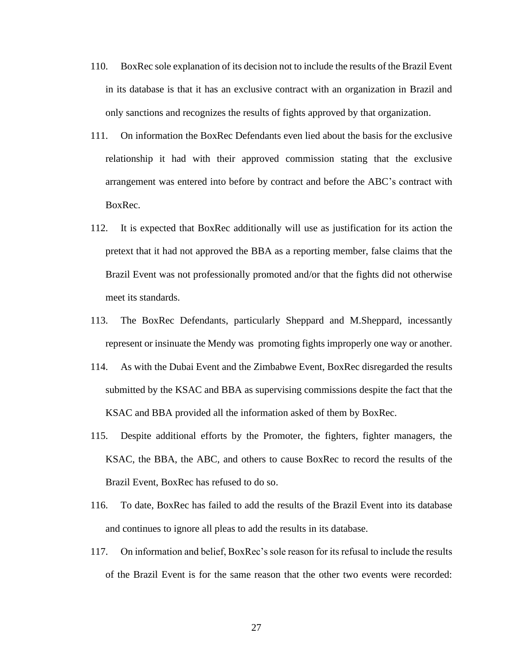- 110. BoxRec sole explanation of its decision not to include the results of the Brazil Event in its database is that it has an exclusive contract with an organization in Brazil and only sanctions and recognizes the results of fights approved by that organization.
- 111. On information the BoxRec Defendants even lied about the basis for the exclusive relationship it had with their approved commission stating that the exclusive arrangement was entered into before by contract and before the ABC's contract with BoxRec.
- 112. It is expected that BoxRec additionally will use as justification for its action the pretext that it had not approved the BBA as a reporting member, false claims that the Brazil Event was not professionally promoted and/or that the fights did not otherwise meet its standards.
- 113. The BoxRec Defendants, particularly Sheppard and M.Sheppard, incessantly represent or insinuate the Mendy was promoting fights improperly one way or another.
- 114. As with the Dubai Event and the Zimbabwe Event, BoxRec disregarded the results submitted by the KSAC and BBA as supervising commissions despite the fact that the KSAC and BBA provided all the information asked of them by BoxRec.
- 115. Despite additional efforts by the Promoter, the fighters, fighter managers, the KSAC, the BBA, the ABC, and others to cause BoxRec to record the results of the Brazil Event, BoxRec has refused to do so.
- 116. To date, BoxRec has failed to add the results of the Brazil Event into its database and continues to ignore all pleas to add the results in its database.
- 117. On information and belief, BoxRec's sole reason for its refusal to include the results of the Brazil Event is for the same reason that the other two events were recorded: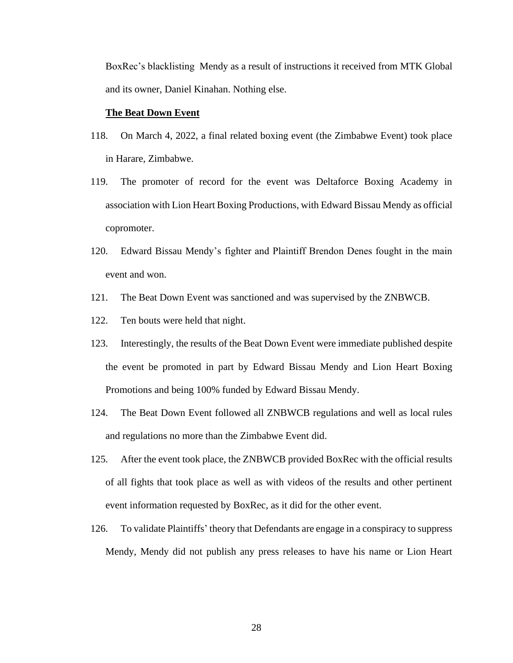BoxRec's blacklisting Mendy as a result of instructions it received from MTK Global and its owner, Daniel Kinahan. Nothing else.

### **The Beat Down Event**

- 118. On March 4, 2022, a final related boxing event (the Zimbabwe Event) took place in Harare, Zimbabwe.
- 119. The promoter of record for the event was Deltaforce Boxing Academy in association with Lion Heart Boxing Productions, with Edward Bissau Mendy as official copromoter.
- 120. Edward Bissau Mendy's fighter and Plaintiff Brendon Denes fought in the main event and won.
- 121. The Beat Down Event was sanctioned and was supervised by the ZNBWCB.
- 122. Ten bouts were held that night.
- 123. Interestingly, the results of the Beat Down Event were immediate published despite the event be promoted in part by Edward Bissau Mendy and Lion Heart Boxing Promotions and being 100% funded by Edward Bissau Mendy.
- 124. The Beat Down Event followed all ZNBWCB regulations and well as local rules and regulations no more than the Zimbabwe Event did.
- 125. After the event took place, the ZNBWCB provided BoxRec with the official results of all fights that took place as well as with videos of the results and other pertinent event information requested by BoxRec, as it did for the other event.
- 126. To validate Plaintiffs' theory that Defendants are engage in a conspiracy to suppress Mendy, Mendy did not publish any press releases to have his name or Lion Heart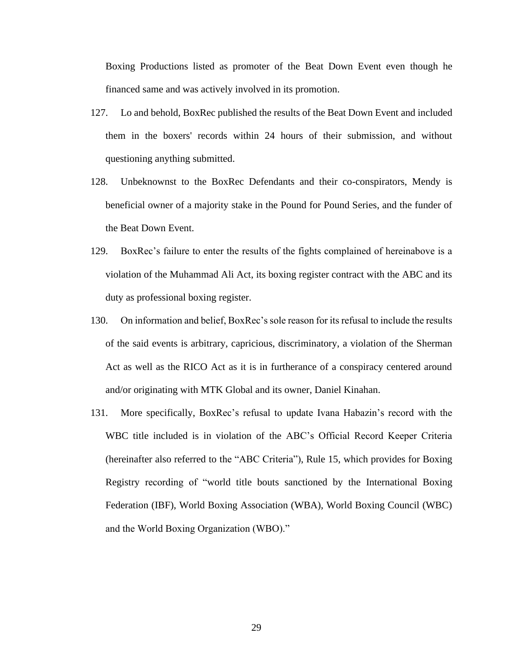Boxing Productions listed as promoter of the Beat Down Event even though he financed same and was actively involved in its promotion.

- 127. Lo and behold, BoxRec published the results of the Beat Down Event and included them in the boxers' records within 24 hours of their submission, and without questioning anything submitted.
- 128. Unbeknownst to the BoxRec Defendants and their co-conspirators, Mendy is beneficial owner of a majority stake in the Pound for Pound Series, and the funder of the Beat Down Event.
- 129. BoxRec's failure to enter the results of the fights complained of hereinabove is a violation of the Muhammad Ali Act, its boxing register contract with the ABC and its duty as professional boxing register.
- 130. On information and belief, BoxRec's sole reason for its refusal to include the results of the said events is arbitrary, capricious, discriminatory, a violation of the Sherman Act as well as the RICO Act as it is in furtherance of a conspiracy centered around and/or originating with MTK Global and its owner, Daniel Kinahan.
- 131. More specifically, BoxRec's refusal to update Ivana Habazin's record with the WBC title included is in violation of the ABC's Official Record Keeper Criteria (hereinafter also referred to the "ABC Criteria"), Rule 15, which provides for Boxing Registry recording of "world title bouts sanctioned by the International Boxing Federation (IBF), World Boxing Association (WBA), World Boxing Council (WBC) and the World Boxing Organization (WBO)."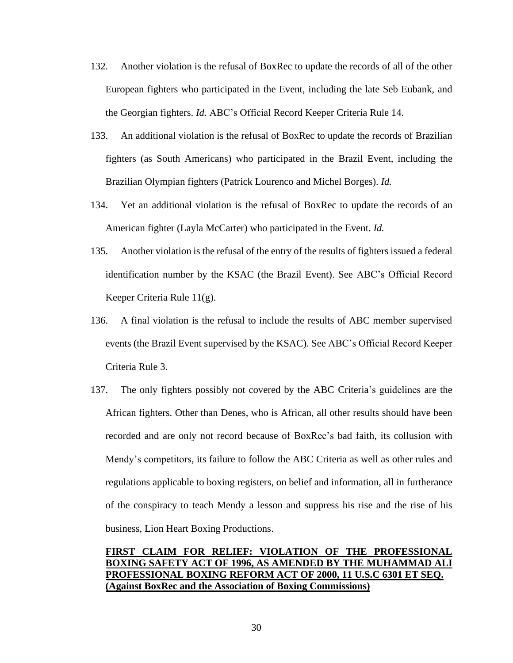- 132. Another violation is the refusal of BoxRec to update the records of all of the other European fighters who participated in the Event, including the late Seb Eubank, and the Georgian fighters. *Id.* ABC's Official Record Keeper Criteria Rule 14.
- 133. An additional violation is the refusal of BoxRec to update the records of Brazilian fighters (as South Americans) who participated in the Brazil Event, including the Brazilian Olympian fighters (Patrick Lourenco and Michel Borges). *Id.*
- 134. Yet an additional violation is the refusal of BoxRec to update the records of an American fighter (Layla McCarter) who participated in the Event. *Id.*
- 135. Another violation is the refusal of the entry of the results of fighters issued a federal identification number by the KSAC (the Brazil Event). See ABC's Official Record Keeper Criteria Rule 11(g).
- 136. A final violation is the refusal to include the results of ABC member supervised events (the Brazil Event supervised by the KSAC). See ABC's Official Record Keeper Criteria Rule 3.
- 137. The only fighters possibly not covered by the ABC Criteria's guidelines are the African fighters. Other than Denes, who is African, all other results should have been recorded and are only not record because of BoxRec's bad faith, its collusion with Mendy's competitors, its failure to follow the ABC Criteria as well as other rules and regulations applicable to boxing registers, on belief and information, all in furtherance of the conspiracy to teach Mendy a lesson and suppress his rise and the rise of his business, Lion Heart Boxing Productions.

# **FIRST CLAIM FOR RELIEF: VIOLATION OF THE PROFESSIONAL BOXING SAFETY ACT OF 1996, AS AMENDED BY THE MUHAMMAD ALI PROFESSIONAL BOXING REFORM ACT OF 2000, 11 U.S.C 6301 ET SEQ. (Against BoxRec and the Association of Boxing Commissions)**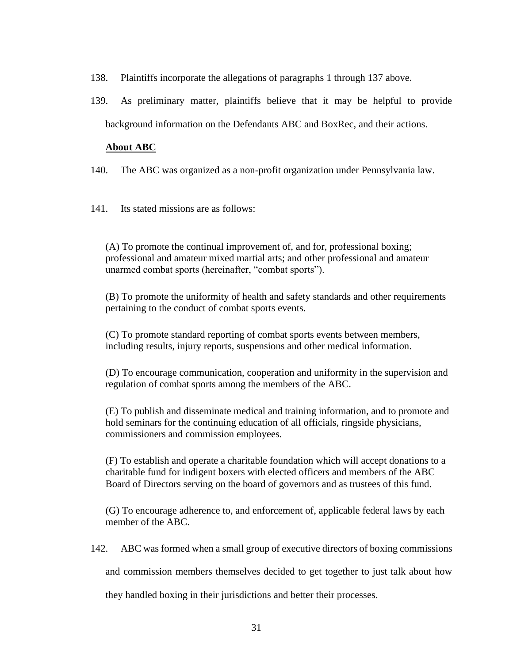- 138. Plaintiffs incorporate the allegations of paragraphs 1 through 137 above.
- 139. As preliminary matter, plaintiffs believe that it may be helpful to provide background information on the Defendants ABC and BoxRec, and their actions.

# **About ABC**

- 140. The ABC was organized as a non-profit organization under Pennsylvania law.
- 141. Its stated missions are as follows:

(A) To promote the continual improvement of, and for, professional boxing; professional and amateur mixed martial arts; and other professional and amateur unarmed combat sports (hereinafter, "combat sports").

(B) To promote the uniformity of health and safety standards and other requirements pertaining to the conduct of combat sports events.

(C) To promote standard reporting of combat sports events between members, including results, injury reports, suspensions and other medical information.

(D) To encourage communication, cooperation and uniformity in the supervision and regulation of combat sports among the members of the ABC.

(E) To publish and disseminate medical and training information, and to promote and hold seminars for the continuing education of all officials, ringside physicians, commissioners and commission employees.

(F) To establish and operate a charitable foundation which will accept donations to a charitable fund for indigent boxers with elected officers and members of the ABC Board of Directors serving on the board of governors and as trustees of this fund.

(G) To encourage adherence to, and enforcement of, applicable federal laws by each member of the ABC.

142. ABC was formed when a small group of executive directors of boxing commissions

and commission members themselves decided to get together to just talk about how

they handled boxing in their jurisdictions and better their processes.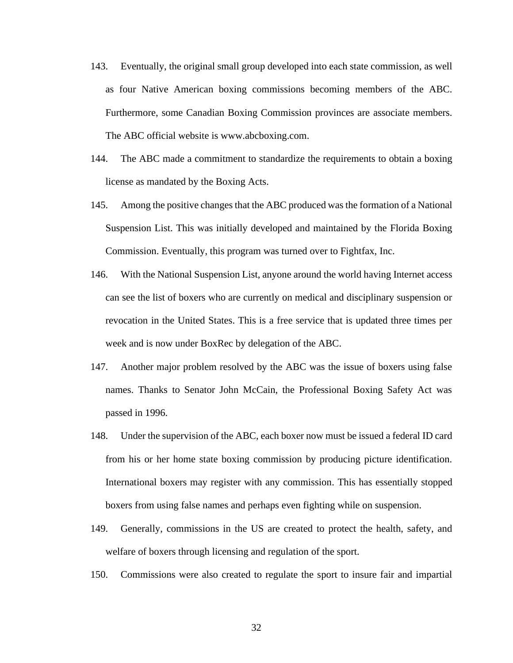- 143. Eventually, the original small group developed into each state commission, as well as four Native American boxing commissions becoming members of the ABC. Furthermore, some Canadian Boxing Commission provinces are associate members. The ABC official website is www.abcboxing.com.
- 144. The ABC made a commitment to standardize the requirements to obtain a boxing license as mandated by the Boxing Acts.
- 145. Among the positive changes that the ABC produced was the formation of a National Suspension List. This was initially developed and maintained by the Florida Boxing Commission. Eventually, this program was turned over to Fightfax, Inc.
- 146. With the National Suspension List, anyone around the world having Internet access can see the list of boxers who are currently on medical and disciplinary suspension or revocation in the United States. This is a free service that is updated three times per week and is now under BoxRec by delegation of the ABC.
- 147. Another major problem resolved by the ABC was the issue of boxers using false names. Thanks to Senator John McCain, the Professional Boxing Safety Act was passed in 1996.
- 148. Under the supervision of the ABC, each boxer now must be issued a federal ID card from his or her home state boxing commission by producing picture identification. International boxers may register with any commission. This has essentially stopped boxers from using false names and perhaps even fighting while on suspension.
- 149. Generally, commissions in the US are created to protect the health, safety, and welfare of boxers through licensing and regulation of the sport.
- 150. Commissions were also created to regulate the sport to insure fair and impartial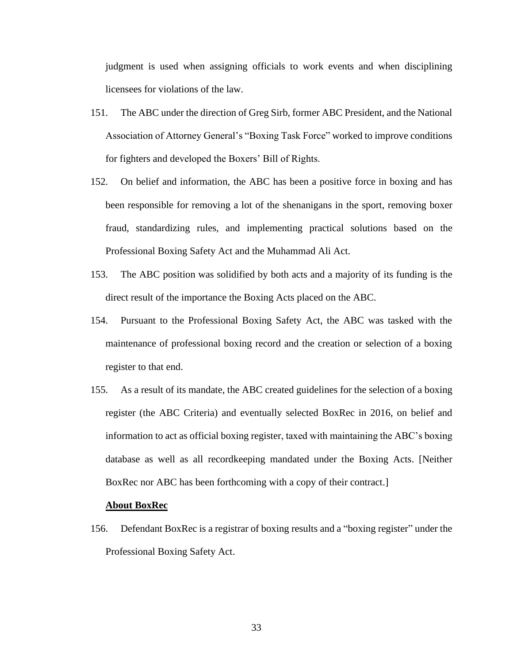judgment is used when assigning officials to work events and when disciplining licensees for violations of the law.

- 151. The ABC under the direction of Greg Sirb, former ABC President, and the National Association of Attorney General's "Boxing Task Force" worked to improve conditions for fighters and developed the Boxers' Bill of Rights.
- 152. On belief and information, the ABC has been a positive force in boxing and has been responsible for removing a lot of the shenanigans in the sport, removing boxer fraud, standardizing rules, and implementing practical solutions based on the Professional Boxing Safety Act and the Muhammad Ali Act.
- 153. The ABC position was solidified by both acts and a majority of its funding is the direct result of the importance the Boxing Acts placed on the ABC.
- 154. Pursuant to the Professional Boxing Safety Act, the ABC was tasked with the maintenance of professional boxing record and the creation or selection of a boxing register to that end.
- 155. As a result of its mandate, the ABC created guidelines for the selection of a boxing register (the ABC Criteria) and eventually selected BoxRec in 2016, on belief and information to act as official boxing register, taxed with maintaining the ABC's boxing database as well as all recordkeeping mandated under the Boxing Acts. [Neither BoxRec nor ABC has been forthcoming with a copy of their contract.]

#### **About BoxRec**

156. Defendant BoxRec is a registrar of boxing results and a "boxing register" under the Professional Boxing Safety Act.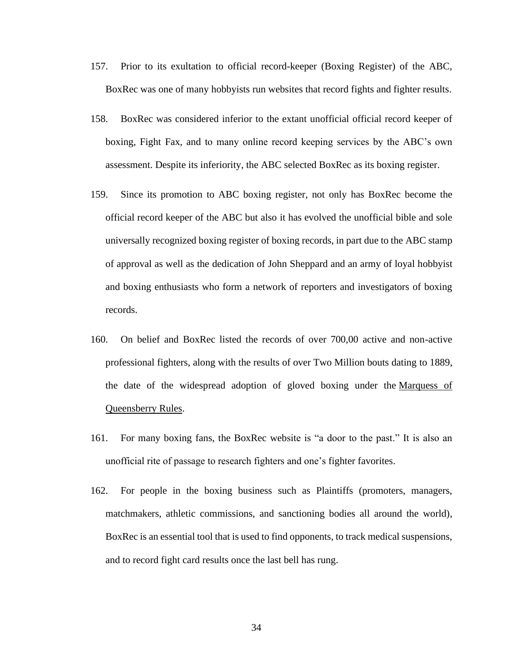- 157. Prior to its exultation to official record-keeper (Boxing Register) of the ABC, BoxRec was one of many hobbyists run websites that record fights and fighter results.
- 158. BoxRec was considered inferior to the extant unofficial official record keeper of boxing, Fight Fax, and to many online record keeping services by the ABC's own assessment. Despite its inferiority, the ABC selected BoxRec as its boxing register.
- 159. Since its promotion to ABC boxing register, not only has BoxRec become the official record keeper of the ABC but also it has evolved the unofficial bible and sole universally recognized boxing register of boxing records, in part due to the ABC stamp of approval as well as the dedication of John Sheppard and an army of loyal hobbyist and boxing enthusiasts who form a network of reporters and investigators of boxing records.
- 160. On belief and BoxRec listed the records of over 700,00 active and non-active professional fighters, along with the results of over Two Million bouts dating to 1889, the date of the widespread adoption of gloved boxing under the [Marquess of](https://en.wikipedia.org/wiki/Marquess_of_Queensberry_Rules)  [Queensberry Rules.](https://en.wikipedia.org/wiki/Marquess_of_Queensberry_Rules)
- 161. For many boxing fans, the BoxRec website is "a door to the past." It is also an unofficial rite of passage to research fighters and one's fighter favorites.
- 162. For people in the boxing business such as Plaintiffs (promoters, managers, matchmakers, athletic commissions, and sanctioning bodies all around the world), BoxRec is an essential tool that is used to find opponents, to track medical suspensions, and to record fight card results once the last bell has rung.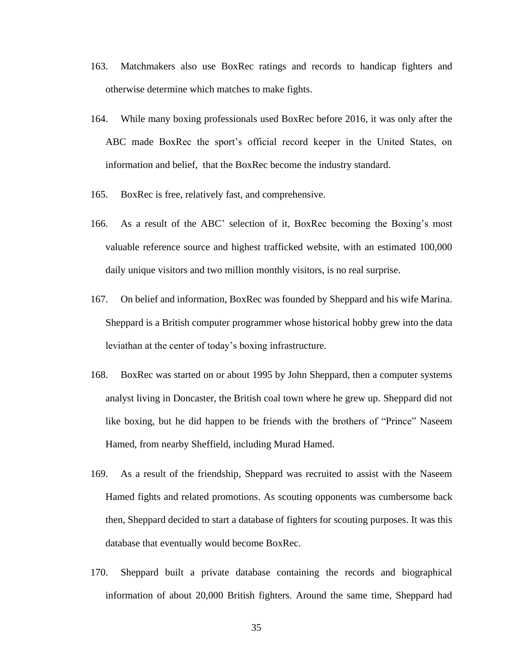- 163. Matchmakers also use BoxRec ratings and records to handicap fighters and otherwise determine which matches to make fights.
- 164. While many boxing professionals used BoxRec before 2016, it was only after the ABC made BoxRec the sport's official record keeper in the United States, on information and belief, that the BoxRec become the industry standard.
- 165. BoxRec is free, relatively fast, and comprehensive.
- 166. As a result of the ABC' selection of it, BoxRec becoming the Boxing's most valuable reference source and highest trafficked website, with an estimated 100,000 daily unique visitors and two million monthly visitors, is no real surprise.
- 167. On belief and information, BoxRec was founded by Sheppard and his wife Marina. Sheppard is a British computer programmer whose historical hobby grew into the data leviathan at the center of today's boxing infrastructure.
- 168. BoxRec was started on or about 1995 by John Sheppard, then a computer systems analyst living in Doncaster, the British coal town where he grew up. Sheppard did not like boxing, but he did happen to be friends with the brothers of "Prince" Naseem Hamed, from nearby Sheffield, including Murad Hamed.
- 169. As a result of the friendship, Sheppard was recruited to assist with the Naseem Hamed fights and related promotions. As scouting opponents was cumbersome back then, Sheppard decided to start a database of fighters for scouting purposes. It was this database that eventually would become BoxRec.
- 170. Sheppard built a private database containing the records and biographical information of about 20,000 British fighters. Around the same time, Sheppard had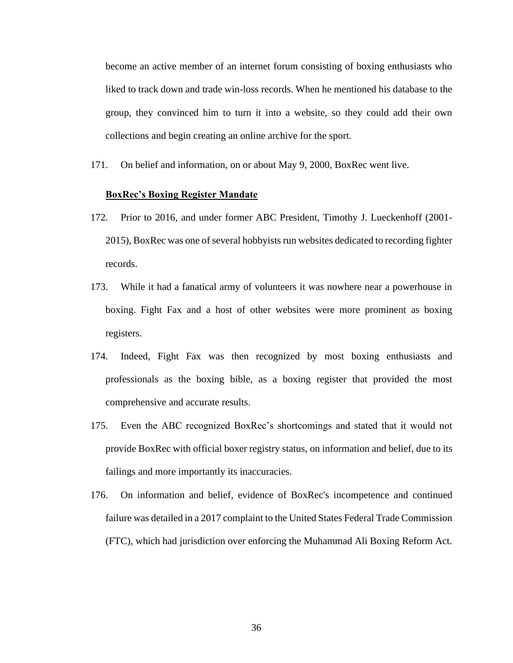become an active member of an internet forum consisting of boxing enthusiasts who liked to track down and trade win-loss records. When he mentioned his database to the group, they convinced him to turn it into a website, so they could add their own collections and begin creating an online archive for the sport.

171. On belief and information, on or about May 9, 2000, BoxRec went live.

#### **BoxRec's Boxing Register Mandate**

- 172. Prior to 2016, and under former ABC President, Timothy J. Lueckenhoff (2001- 2015), BoxRec was one of several hobbyists run websites dedicated to recording fighter records.
- 173. While it had a fanatical army of volunteers it was nowhere near a powerhouse in boxing. Fight Fax and a host of other websites were more prominent as boxing registers.
- 174. Indeed, Fight Fax was then recognized by most boxing enthusiasts and professionals as the boxing bible, as a boxing register that provided the most comprehensive and accurate results.
- 175. Even the ABC recognized BoxRec's shortcomings and stated that it would not provide BoxRec with official boxer registry status, on information and belief, due to its failings and more importantly its inaccuracies.
- 176. On information and belief, evidence of BoxRec's incompetence and continued failure was detailed in a 2017 complaint to the United States Federal Trade Commission (FTC), which had jurisdiction over enforcing the Muhammad Ali Boxing Reform Act.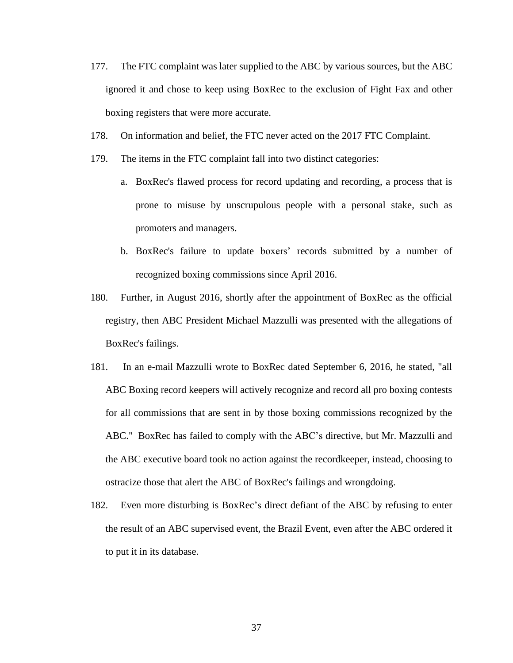- 177. The FTC complaint was later supplied to the ABC by various sources, but the ABC ignored it and chose to keep using BoxRec to the exclusion of Fight Fax and other boxing registers that were more accurate.
- 178. On information and belief, the FTC never acted on the 2017 FTC Complaint.
- 179. The items in the FTC complaint fall into two distinct categories:
	- a. BoxRec's flawed process for record updating and recording, a process that is prone to misuse by unscrupulous people with a personal stake, such as promoters and managers.
	- b. BoxRec's failure to update boxers' records submitted by a number of recognized boxing commissions since April 2016.
- 180. Further, in August 2016, shortly after the appointment of BoxRec as the official registry, then ABC President Michael Mazzulli was presented with the allegations of BoxRec's failings.
- 181. In an e-mail Mazzulli wrote to BoxRec dated September 6, 2016, he stated, "all ABC Boxing record keepers will actively recognize and record all pro boxing contests for all commissions that are sent in by those boxing commissions recognized by the ABC." BoxRec has failed to comply with the ABC's directive, but Mr. Mazzulli and the ABC executive board took no action against the recordkeeper, instead, choosing to ostracize those that alert the ABC of BoxRec's failings and wrongdoing.
- 182. Even more disturbing is BoxRec's direct defiant of the ABC by refusing to enter the result of an ABC supervised event, the Brazil Event, even after the ABC ordered it to put it in its database.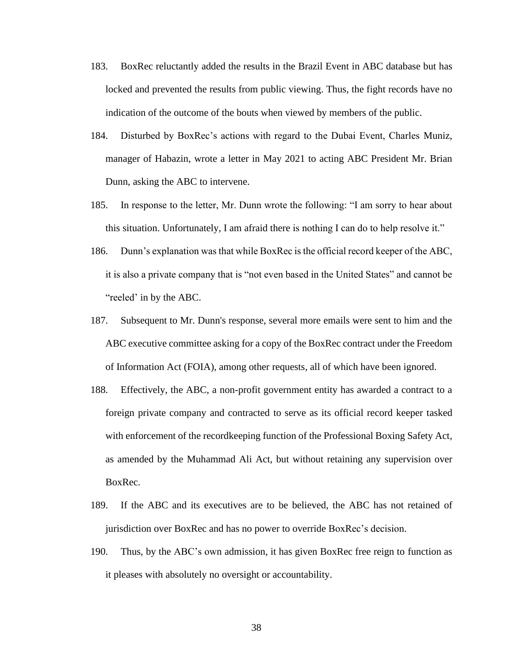- 183. BoxRec reluctantly added the results in the Brazil Event in ABC database but has locked and prevented the results from public viewing. Thus, the fight records have no indication of the outcome of the bouts when viewed by members of the public.
- 184. Disturbed by BoxRec's actions with regard to the Dubai Event, Charles Muniz, manager of Habazin, wrote a letter in May 2021 to acting ABC President Mr. Brian Dunn, asking the ABC to intervene.
- 185. In response to the letter, Mr. Dunn wrote the following: "I am sorry to hear about this situation. Unfortunately, I am afraid there is nothing I can do to help resolve it."
- 186. Dunn's explanation was that while BoxRec is the official record keeper of the ABC, it is also a private company that is "not even based in the United States" and cannot be "reeled' in by the ABC.
- 187. Subsequent to Mr. Dunn's response, several more emails were sent to him and the ABC executive committee asking for a copy of the BoxRec contract under the Freedom of Information Act (FOIA), among other requests, all of which have been ignored.
- 188. Effectively, the ABC, a non-profit government entity has awarded a contract to a foreign private company and contracted to serve as its official record keeper tasked with enforcement of the recordkeeping function of the Professional Boxing Safety Act, as amended by the Muhammad Ali Act, but without retaining any supervision over BoxRec.
- 189. If the ABC and its executives are to be believed, the ABC has not retained of jurisdiction over BoxRec and has no power to override BoxRec's decision.
- 190. Thus, by the ABC's own admission, it has given BoxRec free reign to function as it pleases with absolutely no oversight or accountability.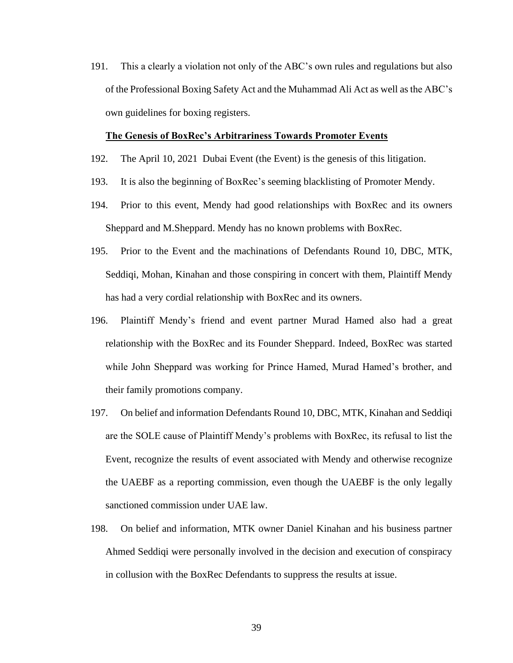191. This a clearly a violation not only of the ABC's own rules and regulations but also of the Professional Boxing Safety Act and the Muhammad Ali Act as well as the ABC's own guidelines for boxing registers.

#### **The Genesis of BoxRec's Arbitrariness Towards Promoter Events**

- 192. The April 10, 2021 Dubai Event (the Event) is the genesis of this litigation.
- 193. It is also the beginning of BoxRec's seeming blacklisting of Promoter Mendy.
- 194. Prior to this event, Mendy had good relationships with BoxRec and its owners Sheppard and M.Sheppard. Mendy has no known problems with BoxRec.
- 195. Prior to the Event and the machinations of Defendants Round 10, DBC, MTK, Seddiqi, Mohan, Kinahan and those conspiring in concert with them, Plaintiff Mendy has had a very cordial relationship with BoxRec and its owners.
- 196. Plaintiff Mendy's friend and event partner Murad Hamed also had a great relationship with the BoxRec and its Founder Sheppard. Indeed, BoxRec was started while John Sheppard was working for Prince Hamed, Murad Hamed's brother, and their family promotions company.
- 197. On belief and information Defendants Round 10, DBC, MTK, Kinahan and Seddiqi are the SOLE cause of Plaintiff Mendy's problems with BoxRec, its refusal to list the Event, recognize the results of event associated with Mendy and otherwise recognize the UAEBF as a reporting commission, even though the UAEBF is the only legally sanctioned commission under UAE law.
- 198. On belief and information, MTK owner Daniel Kinahan and his business partner Ahmed Seddiqi were personally involved in the decision and execution of conspiracy in collusion with the BoxRec Defendants to suppress the results at issue.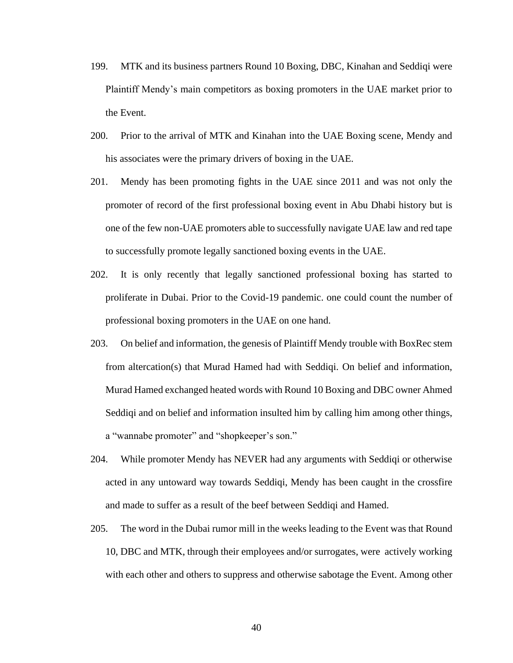- 199. MTK and its business partners Round 10 Boxing, DBC, Kinahan and Seddiqi were Plaintiff Mendy's main competitors as boxing promoters in the UAE market prior to the Event.
- 200. Prior to the arrival of MTK and Kinahan into the UAE Boxing scene, Mendy and his associates were the primary drivers of boxing in the UAE.
- 201. Mendy has been promoting fights in the UAE since 2011 and was not only the promoter of record of the first professional boxing event in Abu Dhabi history but is one of the few non-UAE promoters able to successfully navigate UAE law and red tape to successfully promote legally sanctioned boxing events in the UAE.
- 202. It is only recently that legally sanctioned professional boxing has started to proliferate in Dubai. Prior to the Covid-19 pandemic. one could count the number of professional boxing promoters in the UAE on one hand.
- 203. On belief and information, the genesis of Plaintiff Mendy trouble with BoxRec stem from altercation(s) that Murad Hamed had with Seddiqi. On belief and information, Murad Hamed exchanged heated words with Round 10 Boxing and DBC owner Ahmed Seddiqi and on belief and information insulted him by calling him among other things, a "wannabe promoter" and "shopkeeper's son."
- 204. While promoter Mendy has NEVER had any arguments with Seddiqi or otherwise acted in any untoward way towards Seddiqi, Mendy has been caught in the crossfire and made to suffer as a result of the beef between Seddiqi and Hamed.
- 205. The word in the Dubai rumor mill in the weeks leading to the Event was that Round 10, DBC and MTK, through their employees and/or surrogates, were actively working with each other and others to suppress and otherwise sabotage the Event. Among other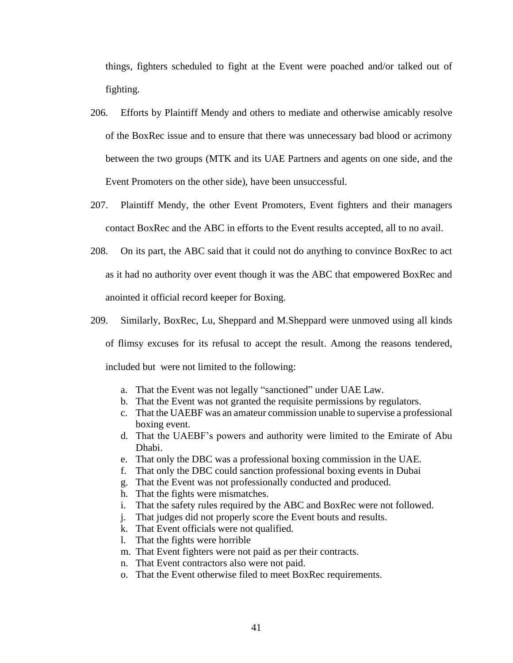things, fighters scheduled to fight at the Event were poached and/or talked out of fighting.

- 206. Efforts by Plaintiff Mendy and others to mediate and otherwise amicably resolve of the BoxRec issue and to ensure that there was unnecessary bad blood or acrimony between the two groups (MTK and its UAE Partners and agents on one side, and the Event Promoters on the other side), have been unsuccessful.
- 207. Plaintiff Mendy, the other Event Promoters, Event fighters and their managers contact BoxRec and the ABC in efforts to the Event results accepted, all to no avail.
- 208. On its part, the ABC said that it could not do anything to convince BoxRec to act as it had no authority over event though it was the ABC that empowered BoxRec and anointed it official record keeper for Boxing.
- 209. Similarly, BoxRec, Lu, Sheppard and M.Sheppard were unmoved using all kinds

of flimsy excuses for its refusal to accept the result. Among the reasons tendered, included but were not limited to the following:

- a. That the Event was not legally "sanctioned" under UAE Law.
- b. That the Event was not granted the requisite permissions by regulators.
- c. That the UAEBF was an amateur commission unable to supervise a professional boxing event.
- d. That the UAEBF's powers and authority were limited to the Emirate of Abu Dhabi.
- e. That only the DBC was a professional boxing commission in the UAE.
- f. That only the DBC could sanction professional boxing events in Dubai
- g. That the Event was not professionally conducted and produced.
- h. That the fights were mismatches.
- i. That the safety rules required by the ABC and BoxRec were not followed.
- j. That judges did not properly score the Event bouts and results.
- k. That Event officials were not qualified.
- l. That the fights were horrible
- m. That Event fighters were not paid as per their contracts.
- n. That Event contractors also were not paid.
- o. That the Event otherwise filed to meet BoxRec requirements.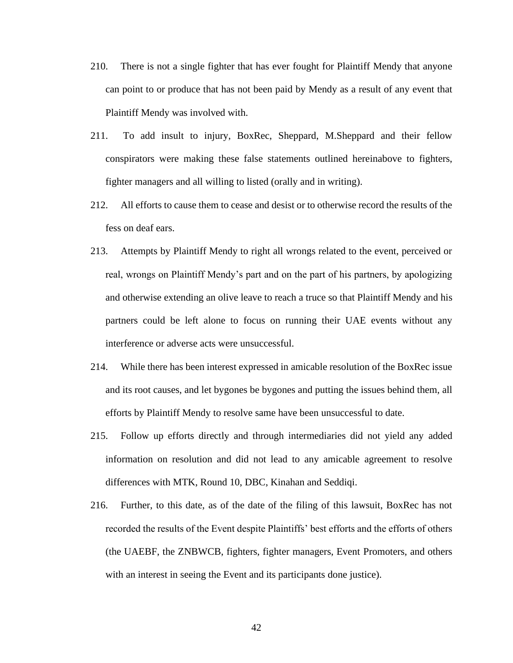- 210. There is not a single fighter that has ever fought for Plaintiff Mendy that anyone can point to or produce that has not been paid by Mendy as a result of any event that Plaintiff Mendy was involved with.
- 211. To add insult to injury, BoxRec, Sheppard, M.Sheppard and their fellow conspirators were making these false statements outlined hereinabove to fighters, fighter managers and all willing to listed (orally and in writing).
- 212. All efforts to cause them to cease and desist or to otherwise record the results of the fess on deaf ears.
- 213. Attempts by Plaintiff Mendy to right all wrongs related to the event, perceived or real, wrongs on Plaintiff Mendy's part and on the part of his partners, by apologizing and otherwise extending an olive leave to reach a truce so that Plaintiff Mendy and his partners could be left alone to focus on running their UAE events without any interference or adverse acts were unsuccessful.
- 214. While there has been interest expressed in amicable resolution of the BoxRec issue and its root causes, and let bygones be bygones and putting the issues behind them, all efforts by Plaintiff Mendy to resolve same have been unsuccessful to date.
- 215. Follow up efforts directly and through intermediaries did not yield any added information on resolution and did not lead to any amicable agreement to resolve differences with MTK, Round 10, DBC, Kinahan and Seddiqi.
- 216. Further, to this date, as of the date of the filing of this lawsuit, BoxRec has not recorded the results of the Event despite Plaintiffs' best efforts and the efforts of others (the UAEBF, the ZNBWCB, fighters, fighter managers, Event Promoters, and others with an interest in seeing the Event and its participants done justice).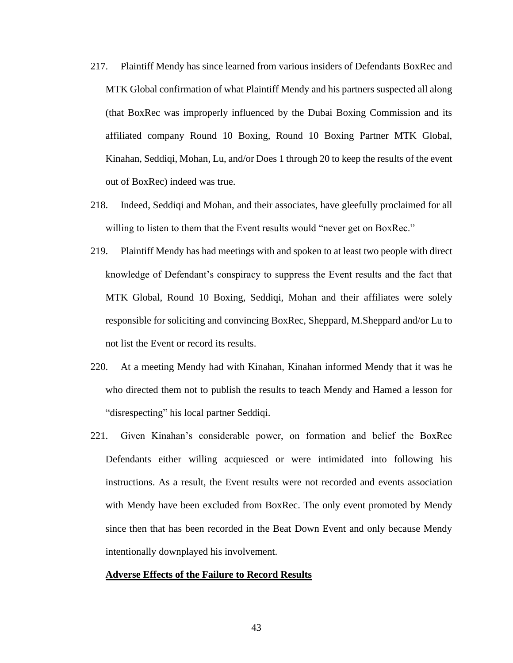- 217. Plaintiff Mendy has since learned from various insiders of Defendants BoxRec and MTK Global confirmation of what Plaintiff Mendy and his partners suspected all along (that BoxRec was improperly influenced by the Dubai Boxing Commission and its affiliated company Round 10 Boxing, Round 10 Boxing Partner MTK Global, Kinahan, Seddiqi, Mohan, Lu, and/or Does 1 through 20 to keep the results of the event out of BoxRec) indeed was true.
- 218. Indeed, Seddiqi and Mohan, and their associates, have gleefully proclaimed for all willing to listen to them that the Event results would "never get on BoxRec."
- 219. Plaintiff Mendy has had meetings with and spoken to at least two people with direct knowledge of Defendant's conspiracy to suppress the Event results and the fact that MTK Global, Round 10 Boxing, Seddiqi, Mohan and their affiliates were solely responsible for soliciting and convincing BoxRec, Sheppard, M.Sheppard and/or Lu to not list the Event or record its results.
- 220. At a meeting Mendy had with Kinahan, Kinahan informed Mendy that it was he who directed them not to publish the results to teach Mendy and Hamed a lesson for "disrespecting" his local partner Seddiqi.
- 221. Given Kinahan's considerable power, on formation and belief the BoxRec Defendants either willing acquiesced or were intimidated into following his instructions. As a result, the Event results were not recorded and events association with Mendy have been excluded from BoxRec. The only event promoted by Mendy since then that has been recorded in the Beat Down Event and only because Mendy intentionally downplayed his involvement.

### **Adverse Effects of the Failure to Record Results**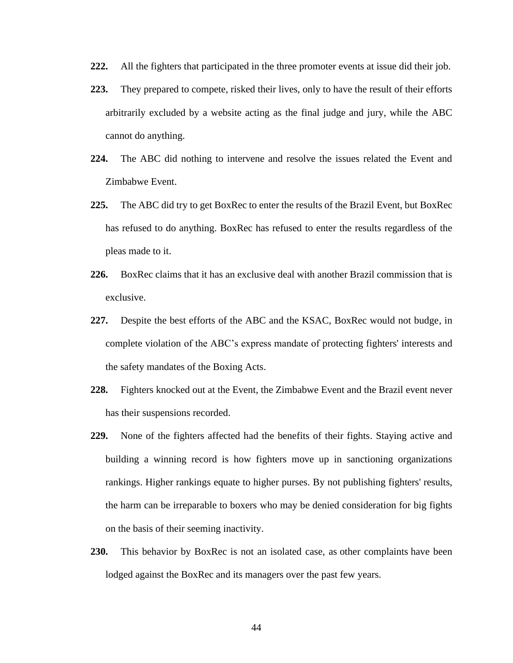- **222.** All the fighters that participated in the three promoter events at issue did their job.
- **223.** They prepared to compete, risked their lives, only to have the result of their efforts arbitrarily excluded by a website acting as the final judge and jury, while the ABC cannot do anything.
- **224.** The ABC did nothing to intervene and resolve the issues related the Event and Zimbabwe Event.
- **225.** The ABC did try to get BoxRec to enter the results of the Brazil Event, but BoxRec has refused to do anything. BoxRec has refused to enter the results regardless of the pleas made to it.
- **226.** BoxRec claims that it has an exclusive deal with another Brazil commission that is exclusive.
- **227.** Despite the best efforts of the ABC and the KSAC, BoxRec would not budge, in complete violation of the ABC's express mandate of protecting fighters' interests and the safety mandates of the Boxing Acts.
- **228.** Fighters knocked out at the Event, the Zimbabwe Event and the Brazil event never has their suspensions recorded.
- **229.** None of the fighters affected had the benefits of their fights. Staying active and building a winning record is how fighters move up in sanctioning organizations rankings. Higher rankings equate to higher purses. By not publishing fighters' results, the harm can be irreparable to boxers who may be denied consideration for big fights on the basis of their seeming inactivity.
- **230.** This behavior by BoxRec is not an isolated case, as [other complaints](https://boxrec.com/forum/viewtopic.php?t=200083) have been lodged against the BoxRec and its managers over the past few years.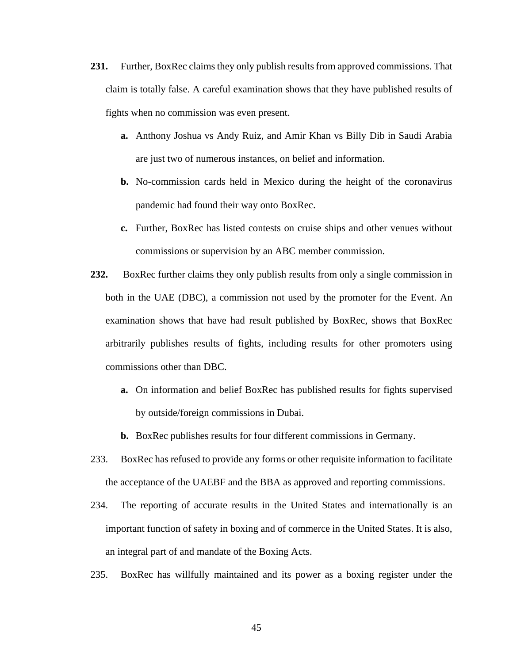- **231.** Further, BoxRec claims they only publish results from approved commissions. That claim is totally false. A careful examination shows that they have published results of fights when no commission was even present.
	- **a.** Anthony Joshua vs Andy Ruiz, and Amir Khan vs Billy Dib in Saudi Arabia are just two of numerous instances, on belief and information.
	- **b.** No-commission cards held in Mexico during the height of the coronavirus pandemic had found their way onto BoxRec.
	- **c.** Further, BoxRec has listed contests on cruise ships and other venues without commissions or supervision by an ABC member commission.
- **232.** BoxRec further claims they only publish results from only a single commission in both in the UAE (DBC), a commission not used by the promoter for the Event. An examination shows that have had result published by BoxRec, shows that BoxRec arbitrarily publishes results of fights, including results for other promoters using commissions other than DBC.
	- **a.** On information and belief BoxRec has published results for fights supervised by outside/foreign commissions in Dubai.
	- **b.** BoxRec publishes results for four different commissions in Germany.
- 233. BoxRec has refused to provide any forms or other requisite information to facilitate the acceptance of the UAEBF and the BBA as approved and reporting commissions.
- 234. The reporting of accurate results in the United States and internationally is an important function of safety in boxing and of commerce in the United States. It is also, an integral part of and mandate of the Boxing Acts.
- 235. BoxRec has willfully maintained and its power as a boxing register under the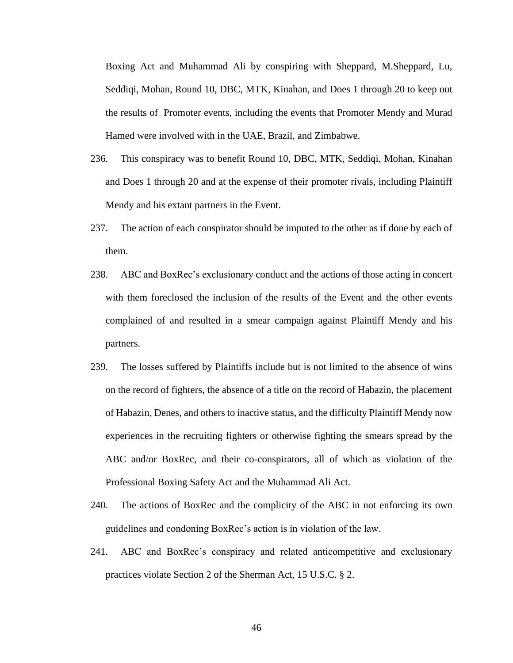Boxing Act and Muhammad Ali by conspiring with Sheppard, M.Sheppard, Lu, Seddiqi, Mohan, Round 10, DBC, MTK, Kinahan, and Does 1 through 20 to keep out the results of Promoter events, including the events that Promoter Mendy and Murad Hamed were involved with in the UAE, Brazil, and Zimbabwe.

- 236. This conspiracy was to benefit Round 10, DBC, MTK, Seddiqi, Mohan, Kinahan and Does 1 through 20 and at the expense of their promoter rivals, including Plaintiff Mendy and his extant partners in the Event.
- 237. The action of each conspirator should be imputed to the other as if done by each of them.
- 238. ABC and BoxRec's exclusionary conduct and the actions of those acting in concert with them foreclosed the inclusion of the results of the Event and the other events complained of and resulted in a smear campaign against Plaintiff Mendy and his partners.
- 239. The losses suffered by Plaintiffs include but is not limited to the absence of wins on the record of fighters, the absence of a title on the record of Habazin, the placement of Habazin, Denes, and others to inactive status, and the difficulty Plaintiff Mendy now experiences in the recruiting fighters or otherwise fighting the smears spread by the ABC and/or BoxRec, and their co-conspirators, all of which as violation of the Professional Boxing Safety Act and the Muhammad Ali Act.
- 240. The actions of BoxRec and the complicity of the ABC in not enforcing its own guidelines and condoning BoxRec's action is in violation of the law.
- 241. ABC and BoxRec's conspiracy and related anticompetitive and exclusionary practices violate Section 2 of the Sherman Act, 15 U.S.C. § 2.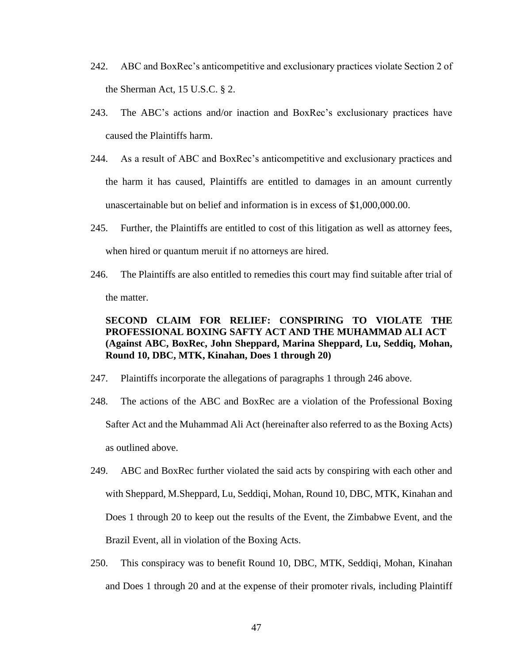- 242. ABC and BoxRec's anticompetitive and exclusionary practices violate Section 2 of the Sherman Act, 15 U.S.C. § 2.
- 243. The ABC's actions and/or inaction and BoxRec's exclusionary practices have caused the Plaintiffs harm.
- 244. As a result of ABC and BoxRec's anticompetitive and exclusionary practices and the harm it has caused, Plaintiffs are entitled to damages in an amount currently unascertainable but on belief and information is in excess of \$1,000,000.00.
- 245. Further, the Plaintiffs are entitled to cost of this litigation as well as attorney fees, when hired or quantum meruit if no attorneys are hired.
- 246. The Plaintiffs are also entitled to remedies this court may find suitable after trial of the matter.

## **SECOND CLAIM FOR RELIEF: CONSPIRING TO VIOLATE THE PROFESSIONAL BOXING SAFTY ACT AND THE MUHAMMAD ALI ACT (Against ABC, BoxRec, John Sheppard, Marina Sheppard, Lu, Seddiq, Mohan, Round 10, DBC, MTK, Kinahan, Does 1 through 20)**

- 247. Plaintiffs incorporate the allegations of paragraphs 1 through 246 above.
- 248. The actions of the ABC and BoxRec are a violation of the Professional Boxing Safter Act and the Muhammad Ali Act (hereinafter also referred to as the Boxing Acts) as outlined above.
- 249. ABC and BoxRec further violated the said acts by conspiring with each other and with Sheppard, M.Sheppard, Lu, Seddiqi, Mohan, Round 10, DBC, MTK, Kinahan and Does 1 through 20 to keep out the results of the Event, the Zimbabwe Event, and the Brazil Event, all in violation of the Boxing Acts.
- 250. This conspiracy was to benefit Round 10, DBC, MTK, Seddiqi, Mohan, Kinahan and Does 1 through 20 and at the expense of their promoter rivals, including Plaintiff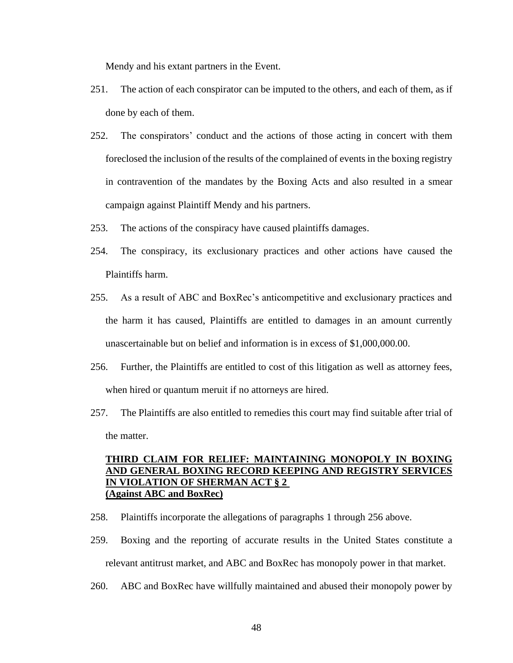Mendy and his extant partners in the Event.

- 251. The action of each conspirator can be imputed to the others, and each of them, as if done by each of them.
- 252. The conspirators' conduct and the actions of those acting in concert with them foreclosed the inclusion of the results of the complained of events in the boxing registry in contravention of the mandates by the Boxing Acts and also resulted in a smear campaign against Plaintiff Mendy and his partners.
- 253. The actions of the conspiracy have caused plaintiffs damages.
- 254. The conspiracy, its exclusionary practices and other actions have caused the Plaintiffs harm.
- 255. As a result of ABC and BoxRec's anticompetitive and exclusionary practices and the harm it has caused, Plaintiffs are entitled to damages in an amount currently unascertainable but on belief and information is in excess of \$1,000,000.00.
- 256. Further, the Plaintiffs are entitled to cost of this litigation as well as attorney fees, when hired or quantum meruit if no attorneys are hired.
- 257. The Plaintiffs are also entitled to remedies this court may find suitable after trial of the matter.

## **THIRD CLAIM FOR RELIEF: MAINTAINING MONOPOLY IN BOXING AND GENERAL BOXING RECORD KEEPING AND REGISTRY SERVICES IN VIOLATION OF SHERMAN ACT § 2 (Against ABC and BoxRec)**

- 258. Plaintiffs incorporate the allegations of paragraphs 1 through 256 above.
- 259. Boxing and the reporting of accurate results in the United States constitute a relevant antitrust market, and ABC and BoxRec has monopoly power in that market.
- 260. ABC and BoxRec have willfully maintained and abused their monopoly power by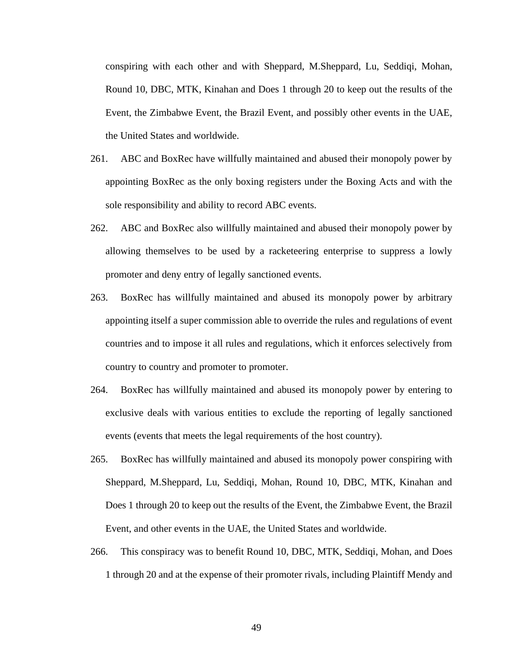conspiring with each other and with Sheppard, M.Sheppard, Lu, Seddiqi, Mohan, Round 10, DBC, MTK, Kinahan and Does 1 through 20 to keep out the results of the Event, the Zimbabwe Event, the Brazil Event, and possibly other events in the UAE, the United States and worldwide.

- 261. ABC and BoxRec have willfully maintained and abused their monopoly power by appointing BoxRec as the only boxing registers under the Boxing Acts and with the sole responsibility and ability to record ABC events.
- 262. ABC and BoxRec also willfully maintained and abused their monopoly power by allowing themselves to be used by a racketeering enterprise to suppress a lowly promoter and deny entry of legally sanctioned events.
- 263. BoxRec has willfully maintained and abused its monopoly power by arbitrary appointing itself a super commission able to override the rules and regulations of event countries and to impose it all rules and regulations, which it enforces selectively from country to country and promoter to promoter.
- 264. BoxRec has willfully maintained and abused its monopoly power by entering to exclusive deals with various entities to exclude the reporting of legally sanctioned events (events that meets the legal requirements of the host country).
- 265. BoxRec has willfully maintained and abused its monopoly power conspiring with Sheppard, M.Sheppard, Lu, Seddiqi, Mohan, Round 10, DBC, MTK, Kinahan and Does 1 through 20 to keep out the results of the Event, the Zimbabwe Event, the Brazil Event, and other events in the UAE, the United States and worldwide.
- 266. This conspiracy was to benefit Round 10, DBC, MTK, Seddiqi, Mohan, and Does 1 through 20 and at the expense of their promoter rivals, including Plaintiff Mendy and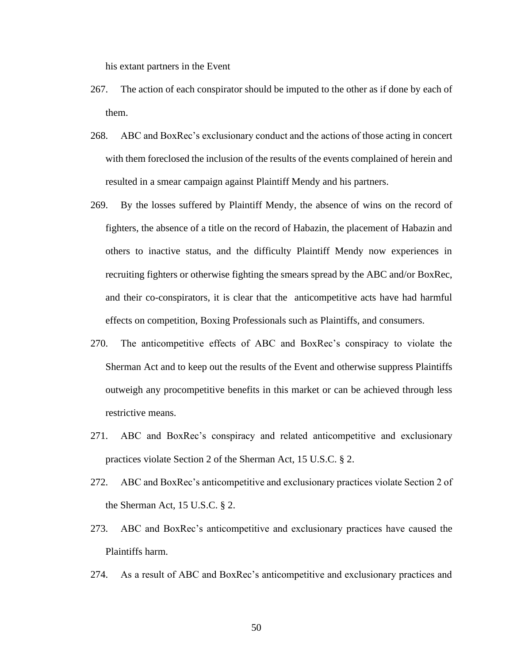his extant partners in the Event

- 267. The action of each conspirator should be imputed to the other as if done by each of them.
- 268. ABC and BoxRec's exclusionary conduct and the actions of those acting in concert with them foreclosed the inclusion of the results of the events complained of herein and resulted in a smear campaign against Plaintiff Mendy and his partners.
- 269. By the losses suffered by Plaintiff Mendy, the absence of wins on the record of fighters, the absence of a title on the record of Habazin, the placement of Habazin and others to inactive status, and the difficulty Plaintiff Mendy now experiences in recruiting fighters or otherwise fighting the smears spread by the ABC and/or BoxRec, and their co-conspirators, it is clear that the anticompetitive acts have had harmful effects on competition, Boxing Professionals such as Plaintiffs, and consumers.
- 270. The anticompetitive effects of ABC and BoxRec's conspiracy to violate the Sherman Act and to keep out the results of the Event and otherwise suppress Plaintiffs outweigh any procompetitive benefits in this market or can be achieved through less restrictive means.
- 271. ABC and BoxRec's conspiracy and related anticompetitive and exclusionary practices violate Section 2 of the Sherman Act, 15 U.S.C. § 2.
- 272. ABC and BoxRec's anticompetitive and exclusionary practices violate Section 2 of the Sherman Act, 15 U.S.C. § 2.
- 273. ABC and BoxRec's anticompetitive and exclusionary practices have caused the Plaintiffs harm.
- 274. As a result of ABC and BoxRec's anticompetitive and exclusionary practices and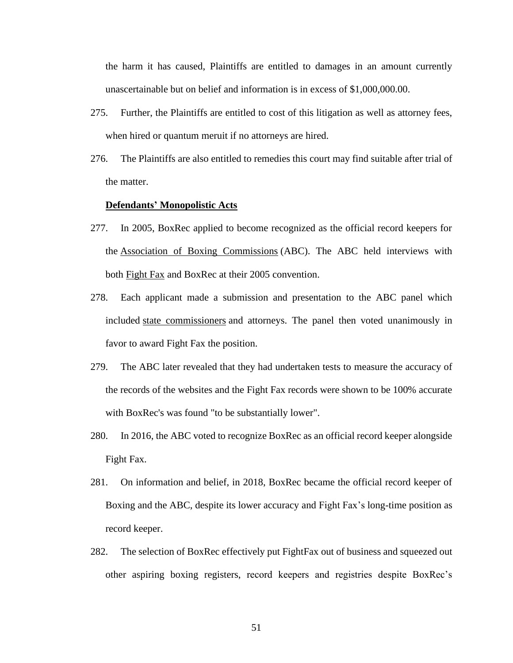the harm it has caused, Plaintiffs are entitled to damages in an amount currently unascertainable but on belief and information is in excess of \$1,000,000.00.

- 275. Further, the Plaintiffs are entitled to cost of this litigation as well as attorney fees, when hired or quantum meruit if no attorneys are hired.
- 276. The Plaintiffs are also entitled to remedies this court may find suitable after trial of the matter.

#### **Defendants' Monopolistic Acts**

- 277. In 2005, BoxRec applied to become recognized as the official record keepers for the [Association of Boxing Commissions](https://en.wikipedia.org/wiki/Association_of_Boxing_Commissions) (ABC). The ABC held interviews with both [Fight Fax](https://en.wikipedia.org/w/index.php?title=Fight_Fax&action=edit&redlink=1) and BoxRec at their 2005 convention.
- 278. Each applicant made a submission and presentation to the ABC panel which included [state commissioners](https://en.wikipedia.org/wiki/State_commissioner) and attorneys. The panel then voted unanimously in favor to award Fight Fax the position.
- 279. The ABC later revealed that they had undertaken tests to measure the accuracy of the records of the websites and the Fight Fax records were shown to be 100% accurate with BoxRec's was found "to be substantially lower".
- 280. In 2016, the ABC voted to recognize BoxRec as an official record keeper alongside Fight Fax.
- 281. On information and belief, in 2018, BoxRec became the official record keeper of Boxing and the ABC, despite its lower accuracy and Fight Fax's long-time position as record keeper.
- 282. The selection of BoxRec effectively put FightFax out of business and squeezed out other aspiring boxing registers, record keepers and registries despite BoxRec's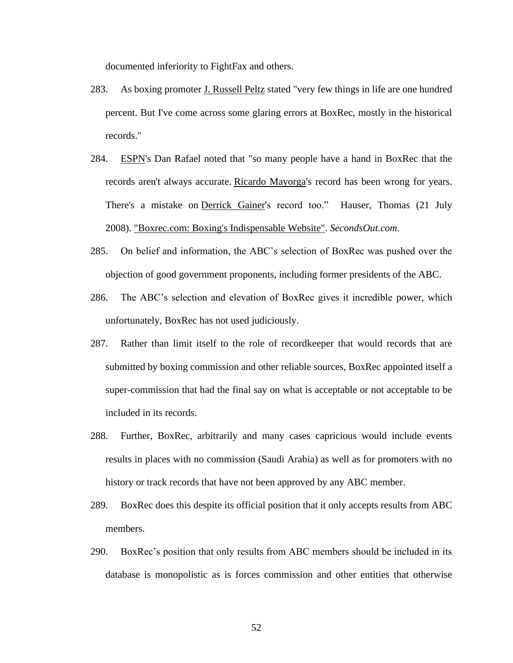documented inferiority to FightFax and others.

- 283. As boxing promoter [J. Russell Peltz](https://en.wikipedia.org/wiki/J._Russell_Peltz) stated "very few things in life are one hundred percent. But I've come across some glaring errors at BoxRec, mostly in the historical records."
- 284. [ESPN's](https://en.wikipedia.org/wiki/ESPN) Dan Rafael noted that "so many people have a hand in BoxRec that the records aren't always accurate. [Ricardo Mayorga'](https://en.wikipedia.org/wiki/Ricardo_Mayorga)s record has been wrong for years. There's a mistake on [Derrick Gainer's](https://en.wikipedia.org/wiki/Derrick_Gainer) record too." Hauser, Thomas (21 July 2008). ["Boxrec.com: Boxing's Indispensable Website".](https://web.archive.org/web/20081119233523/http:/www.secondsout.com/Columns/index.cfm?ccs=208&cs=26706) *SecondsOut.com*.
- 285. On belief and information, the ABC's selection of BoxRec was pushed over the objection of good government proponents, including former presidents of the ABC.
- 286. The ABC's selection and elevation of BoxRec gives it incredible power, which unfortunately, BoxRec has not used judiciously.
- 287. Rather than limit itself to the role of recordkeeper that would records that are submitted by boxing commission and other reliable sources, BoxRec appointed itself a super-commission that had the final say on what is acceptable or not acceptable to be included in its records.
- 288. Further, BoxRec, arbitrarily and many cases capricious would include events results in places with no commission (Saudi Arabia) as well as for promoters with no history or track records that have not been approved by any ABC member.
- 289. BoxRec does this despite its official position that it only accepts results from ABC members.
- 290. BoxRec's position that only results from ABC members should be included in its database is monopolistic as is forces commission and other entities that otherwise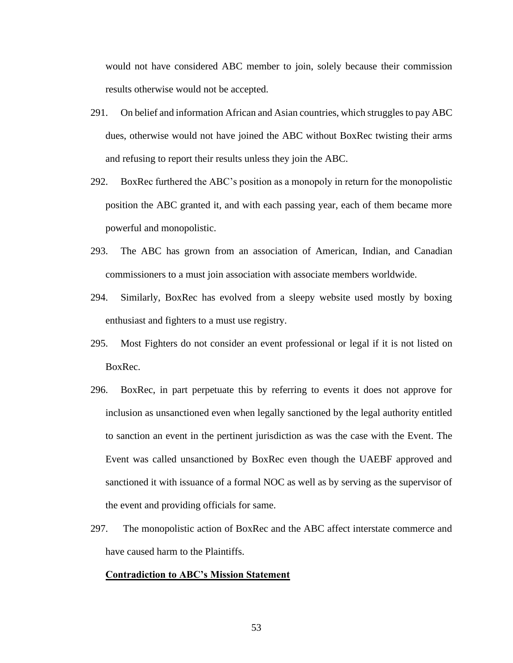would not have considered ABC member to join, solely because their commission results otherwise would not be accepted.

- 291. On belief and information African and Asian countries, which struggles to pay ABC dues, otherwise would not have joined the ABC without BoxRec twisting their arms and refusing to report their results unless they join the ABC.
- 292. BoxRec furthered the ABC's position as a monopoly in return for the monopolistic position the ABC granted it, and with each passing year, each of them became more powerful and monopolistic.
- 293. The ABC has grown from an association of American, Indian, and Canadian commissioners to a must join association with associate members worldwide.
- 294. Similarly, BoxRec has evolved from a sleepy website used mostly by boxing enthusiast and fighters to a must use registry.
- 295. Most Fighters do not consider an event professional or legal if it is not listed on BoxRec.
- 296. BoxRec, in part perpetuate this by referring to events it does not approve for inclusion as unsanctioned even when legally sanctioned by the legal authority entitled to sanction an event in the pertinent jurisdiction as was the case with the Event. The Event was called unsanctioned by BoxRec even though the UAEBF approved and sanctioned it with issuance of a formal NOC as well as by serving as the supervisor of the event and providing officials for same.
- 297. The monopolistic action of BoxRec and the ABC affect interstate commerce and have caused harm to the Plaintiffs.

### **Contradiction to ABC's Mission Statement**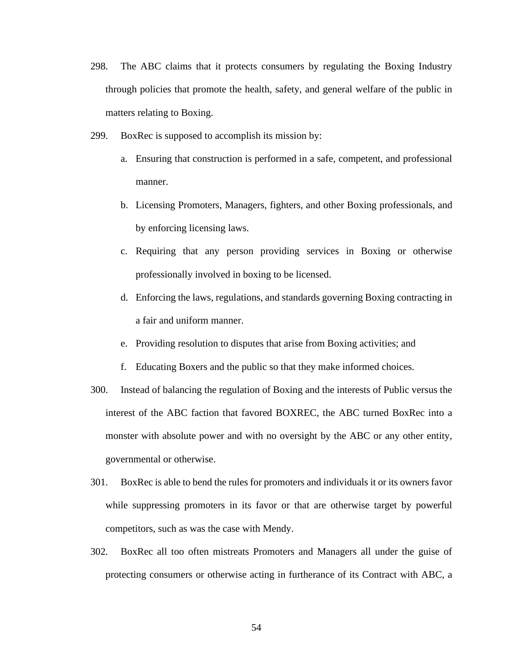- 298. The ABC claims that it protects consumers by regulating the Boxing Industry through policies that promote the health, safety, and general welfare of the public in matters relating to Boxing.
- 299. BoxRec is supposed to accomplish its mission by:
	- a. Ensuring that construction is performed in a safe, competent, and professional manner.
	- b. Licensing Promoters, Managers, fighters, and other Boxing professionals, and by enforcing licensing laws.
	- c. Requiring that any person providing services in Boxing or otherwise professionally involved in boxing to be licensed.
	- d. Enforcing the laws, regulations, and standards governing Boxing contracting in a fair and uniform manner.
	- e. Providing resolution to disputes that arise from Boxing activities; and
	- f. Educating Boxers and the public so that they make informed choices.
- 300. Instead of balancing the regulation of Boxing and the interests of Public versus the interest of the ABC faction that favored BOXREC, the ABC turned BoxRec into a monster with absolute power and with no oversight by the ABC or any other entity, governmental or otherwise.
- 301. BoxRec is able to bend the rules for promoters and individuals it or its owners favor while suppressing promoters in its favor or that are otherwise target by powerful competitors, such as was the case with Mendy.
- 302. BoxRec all too often mistreats Promoters and Managers all under the guise of protecting consumers or otherwise acting in furtherance of its Contract with ABC, a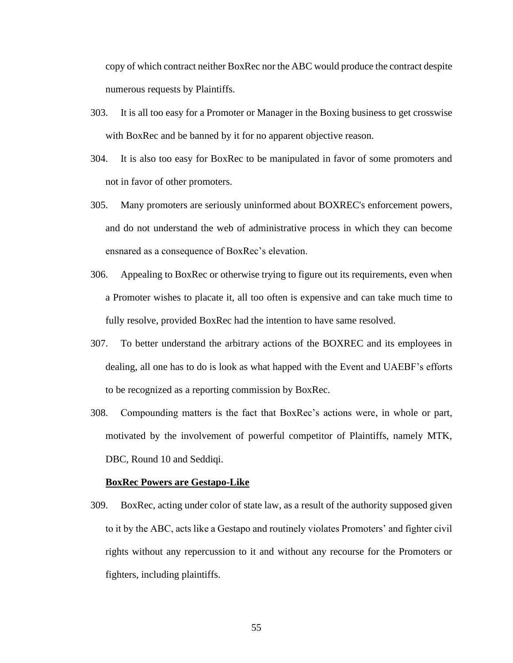copy of which contract neither BoxRec nor the ABC would produce the contract despite numerous requests by Plaintiffs.

- 303. It is all too easy for a Promoter or Manager in the Boxing business to get crosswise with BoxRec and be banned by it for no apparent objective reason.
- 304. It is also too easy for BoxRec to be manipulated in favor of some promoters and not in favor of other promoters.
- 305. Many promoters are seriously uninformed about BOXREC's enforcement powers, and do not understand the web of administrative process in which they can become ensnared as a consequence of BoxRec's elevation.
- 306. Appealing to BoxRec or otherwise trying to figure out its requirements, even when a Promoter wishes to placate it, all too often is expensive and can take much time to fully resolve, provided BoxRec had the intention to have same resolved.
- 307. To better understand the arbitrary actions of the BOXREC and its employees in dealing, all one has to do is look as what happed with the Event and UAEBF's efforts to be recognized as a reporting commission by BoxRec.
- 308. Compounding matters is the fact that BoxRec's actions were, in whole or part, motivated by the involvement of powerful competitor of Plaintiffs, namely MTK, DBC, Round 10 and Seddiqi.

#### **BoxRec Powers are Gestapo-Like**

309. BoxRec, acting under color of state law, as a result of the authority supposed given to it by the ABC, acts like a Gestapo and routinely violates Promoters' and fighter civil rights without any repercussion to it and without any recourse for the Promoters or fighters, including plaintiffs.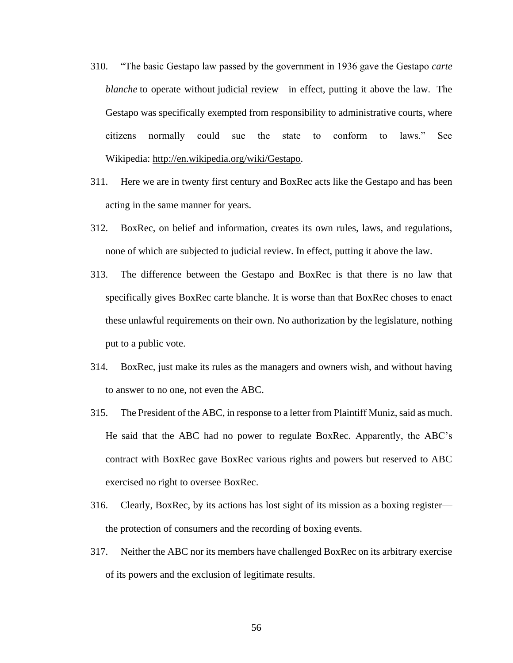- 310. "The basic Gestapo law passed by the government in 1936 gave the Gestapo *[carte](http://en.wikipedia.org/wiki/Blank_cheque)  [blanche](http://en.wikipedia.org/wiki/Blank_cheque)* to operate without [judicial review—](http://en.wikipedia.org/wiki/Judicial_review)in effect, putting it above the law. The Gestapo was specifically exempted from responsibility to administrative courts, where citizens normally could sue the state to conform to laws." See Wikipedia: [http://en.wikipedia.org/wiki/Gestapo.](http://en.wikipedia.org/wiki/Gestapo)
- 311. Here we are in twenty first century and BoxRec acts like the Gestapo and has been acting in the same manner for years.
- 312. BoxRec, on belief and information, creates its own rules, laws, and regulations, none of which are subjected to judicial review. In effect, putting it above the law.
- 313. The difference between the Gestapo and BoxRec is that there is no law that specifically gives BoxRec carte blanche. It is worse than that BoxRec choses to enact these unlawful requirements on their own. No authorization by the legislature, nothing put to a public vote.
- 314. BoxRec, just make its rules as the managers and owners wish, and without having to answer to no one, not even the ABC.
- 315. The President of the ABC, in response to a letter from Plaintiff Muniz, said as much. He said that the ABC had no power to regulate BoxRec. Apparently, the ABC's contract with BoxRec gave BoxRec various rights and powers but reserved to ABC exercised no right to oversee BoxRec.
- 316. Clearly, BoxRec, by its actions has lost sight of its mission as a boxing register the protection of consumers and the recording of boxing events.
- 317. Neither the ABC nor its members have challenged BoxRec on its arbitrary exercise of its powers and the exclusion of legitimate results.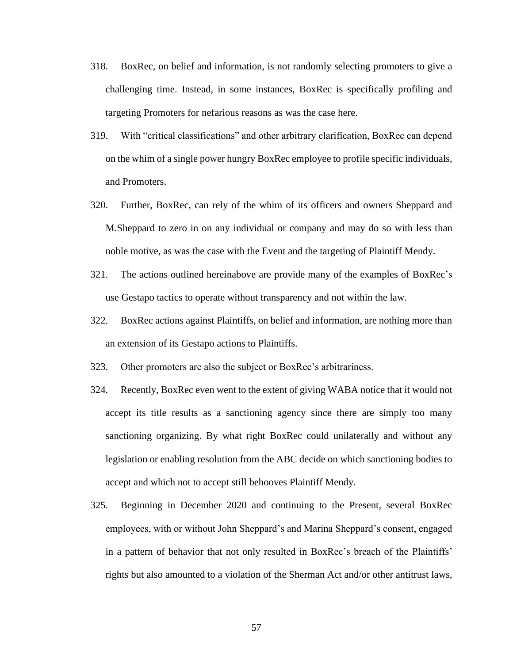- 318. BoxRec, on belief and information, is not randomly selecting promoters to give a challenging time. Instead, in some instances, BoxRec is specifically profiling and targeting Promoters for nefarious reasons as was the case here.
- 319. With "critical classifications" and other arbitrary clarification, BoxRec can depend on the whim of a single power hungry BoxRec employee to profile specific individuals, and Promoters.
- 320. Further, BoxRec, can rely of the whim of its officers and owners Sheppard and M.Sheppard to zero in on any individual or company and may do so with less than noble motive, as was the case with the Event and the targeting of Plaintiff Mendy.
- 321. The actions outlined hereinabove are provide many of the examples of BoxRec's use Gestapo tactics to operate without transparency and not within the law.
- 322. BoxRec actions against Plaintiffs, on belief and information, are nothing more than an extension of its Gestapo actions to Plaintiffs.
- 323. Other promoters are also the subject or BoxRec's arbitrariness.
- 324. Recently, BoxRec even went to the extent of giving WABA notice that it would not accept its title results as a sanctioning agency since there are simply too many sanctioning organizing. By what right BoxRec could unilaterally and without any legislation or enabling resolution from the ABC decide on which sanctioning bodies to accept and which not to accept still behooves Plaintiff Mendy.
- 325. Beginning in December 2020 and continuing to the Present, several BoxRec employees, with or without John Sheppard's and Marina Sheppard's consent, engaged in a pattern of behavior that not only resulted in BoxRec's breach of the Plaintiffs' rights but also amounted to a violation of the Sherman Act and/or other antitrust laws,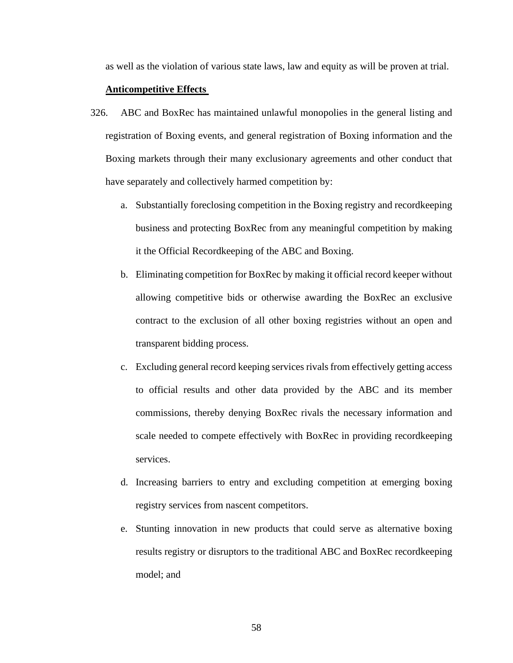as well as the violation of various state laws, law and equity as will be proven at trial.

### **Anticompetitive Effects**

- 326. ABC and BoxRec has maintained unlawful monopolies in the general listing and registration of Boxing events, and general registration of Boxing information and the Boxing markets through their many exclusionary agreements and other conduct that have separately and collectively harmed competition by:
	- a. Substantially foreclosing competition in the Boxing registry and recordkeeping business and protecting BoxRec from any meaningful competition by making it the Official Recordkeeping of the ABC and Boxing.
	- b. Eliminating competition for BoxRec by making it official record keeper without allowing competitive bids or otherwise awarding the BoxRec an exclusive contract to the exclusion of all other boxing registries without an open and transparent bidding process.
	- c. Excluding general record keeping services rivals from effectively getting access to official results and other data provided by the ABC and its member commissions, thereby denying BoxRec rivals the necessary information and scale needed to compete effectively with BoxRec in providing recordkeeping services.
	- d. Increasing barriers to entry and excluding competition at emerging boxing registry services from nascent competitors.
	- e. Stunting innovation in new products that could serve as alternative boxing results registry or disruptors to the traditional ABC and BoxRec recordkeeping model; and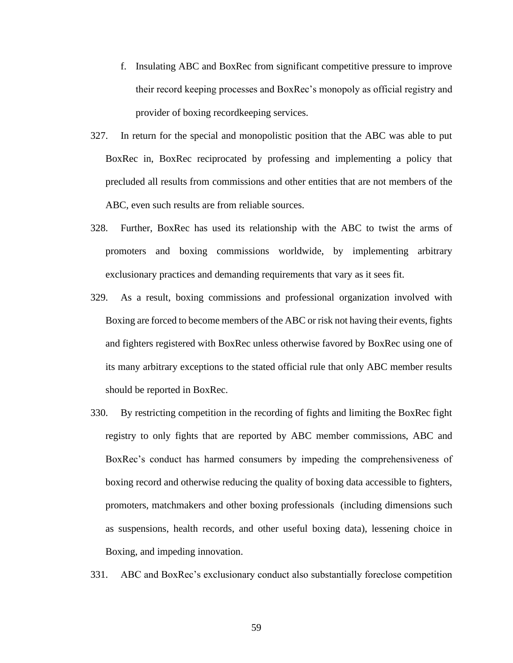- f. Insulating ABC and BoxRec from significant competitive pressure to improve their record keeping processes and BoxRec's monopoly as official registry and provider of boxing recordkeeping services.
- 327. In return for the special and monopolistic position that the ABC was able to put BoxRec in, BoxRec reciprocated by professing and implementing a policy that precluded all results from commissions and other entities that are not members of the ABC, even such results are from reliable sources.
- 328. Further, BoxRec has used its relationship with the ABC to twist the arms of promoters and boxing commissions worldwide, by implementing arbitrary exclusionary practices and demanding requirements that vary as it sees fit.
- 329. As a result, boxing commissions and professional organization involved with Boxing are forced to become members of the ABC or risk not having their events, fights and fighters registered with BoxRec unless otherwise favored by BoxRec using one of its many arbitrary exceptions to the stated official rule that only ABC member results should be reported in BoxRec.
- 330. By restricting competition in the recording of fights and limiting the BoxRec fight registry to only fights that are reported by ABC member commissions, ABC and BoxRec's conduct has harmed consumers by impeding the comprehensiveness of boxing record and otherwise reducing the quality of boxing data accessible to fighters, promoters, matchmakers and other boxing professionals (including dimensions such as suspensions, health records, and other useful boxing data), lessening choice in Boxing, and impeding innovation.
- 331. ABC and BoxRec's exclusionary conduct also substantially foreclose competition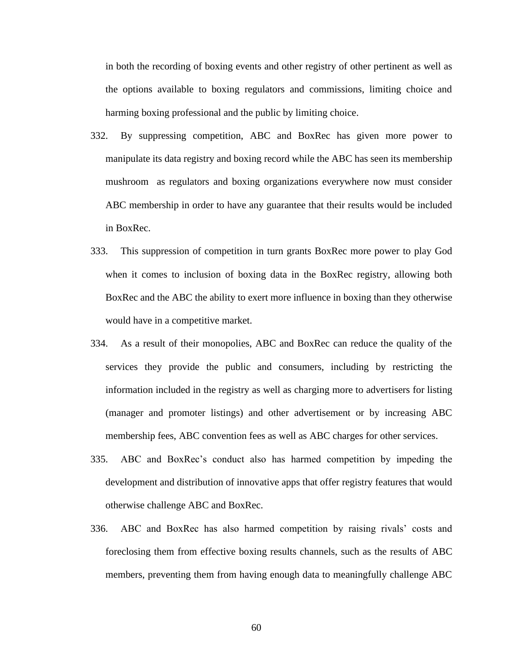in both the recording of boxing events and other registry of other pertinent as well as the options available to boxing regulators and commissions, limiting choice and harming boxing professional and the public by limiting choice.

- 332. By suppressing competition, ABC and BoxRec has given more power to manipulate its data registry and boxing record while the ABC has seen its membership mushroom as regulators and boxing organizations everywhere now must consider ABC membership in order to have any guarantee that their results would be included in BoxRec.
- 333. This suppression of competition in turn grants BoxRec more power to play God when it comes to inclusion of boxing data in the BoxRec registry, allowing both BoxRec and the ABC the ability to exert more influence in boxing than they otherwise would have in a competitive market.
- 334. As a result of their monopolies, ABC and BoxRec can reduce the quality of the services they provide the public and consumers, including by restricting the information included in the registry as well as charging more to advertisers for listing (manager and promoter listings) and other advertisement or by increasing ABC membership fees, ABC convention fees as well as ABC charges for other services.
- 335. ABC and BoxRec's conduct also has harmed competition by impeding the development and distribution of innovative apps that offer registry features that would otherwise challenge ABC and BoxRec.
- 336. ABC and BoxRec has also harmed competition by raising rivals' costs and foreclosing them from effective boxing results channels, such as the results of ABC members, preventing them from having enough data to meaningfully challenge ABC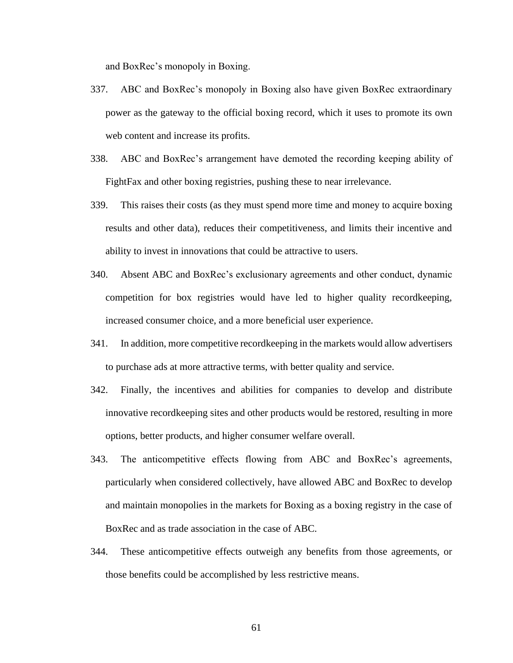and BoxRec's monopoly in Boxing.

- 337. ABC and BoxRec's monopoly in Boxing also have given BoxRec extraordinary power as the gateway to the official boxing record, which it uses to promote its own web content and increase its profits.
- 338. ABC and BoxRec's arrangement have demoted the recording keeping ability of FightFax and other boxing registries, pushing these to near irrelevance.
- 339. This raises their costs (as they must spend more time and money to acquire boxing results and other data), reduces their competitiveness, and limits their incentive and ability to invest in innovations that could be attractive to users.
- 340. Absent ABC and BoxRec's exclusionary agreements and other conduct, dynamic competition for box registries would have led to higher quality recordkeeping, increased consumer choice, and a more beneficial user experience.
- 341. In addition, more competitive recordkeeping in the markets would allow advertisers to purchase ads at more attractive terms, with better quality and service.
- 342. Finally, the incentives and abilities for companies to develop and distribute innovative recordkeeping sites and other products would be restored, resulting in more options, better products, and higher consumer welfare overall.
- 343. The anticompetitive effects flowing from ABC and BoxRec's agreements, particularly when considered collectively, have allowed ABC and BoxRec to develop and maintain monopolies in the markets for Boxing as a boxing registry in the case of BoxRec and as trade association in the case of ABC.
- 344. These anticompetitive effects outweigh any benefits from those agreements, or those benefits could be accomplished by less restrictive means.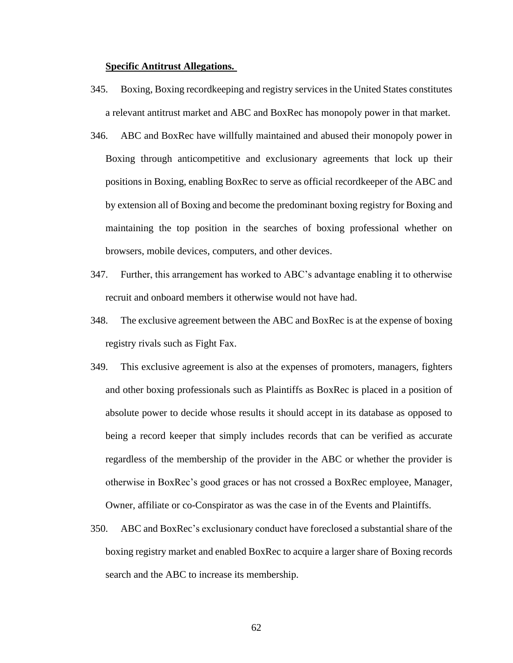#### **Specific Antitrust Allegations.**

- 345. Boxing, Boxing recordkeeping and registry services in the United States constitutes a relevant antitrust market and ABC and BoxRec has monopoly power in that market.
- 346. ABC and BoxRec have willfully maintained and abused their monopoly power in Boxing through anticompetitive and exclusionary agreements that lock up their positions in Boxing, enabling BoxRec to serve as official recordkeeper of the ABC and by extension all of Boxing and become the predominant boxing registry for Boxing and maintaining the top position in the searches of boxing professional whether on browsers, mobile devices, computers, and other devices.
- 347. Further, this arrangement has worked to ABC's advantage enabling it to otherwise recruit and onboard members it otherwise would not have had.
- 348. The exclusive agreement between the ABC and BoxRec is at the expense of boxing registry rivals such as Fight Fax.
- 349. This exclusive agreement is also at the expenses of promoters, managers, fighters and other boxing professionals such as Plaintiffs as BoxRec is placed in a position of absolute power to decide whose results it should accept in its database as opposed to being a record keeper that simply includes records that can be verified as accurate regardless of the membership of the provider in the ABC or whether the provider is otherwise in BoxRec's good graces or has not crossed a BoxRec employee, Manager, Owner, affiliate or co-Conspirator as was the case in of the Events and Plaintiffs.
- 350. ABC and BoxRec's exclusionary conduct have foreclosed a substantial share of the boxing registry market and enabled BoxRec to acquire a larger share of Boxing records search and the ABC to increase its membership.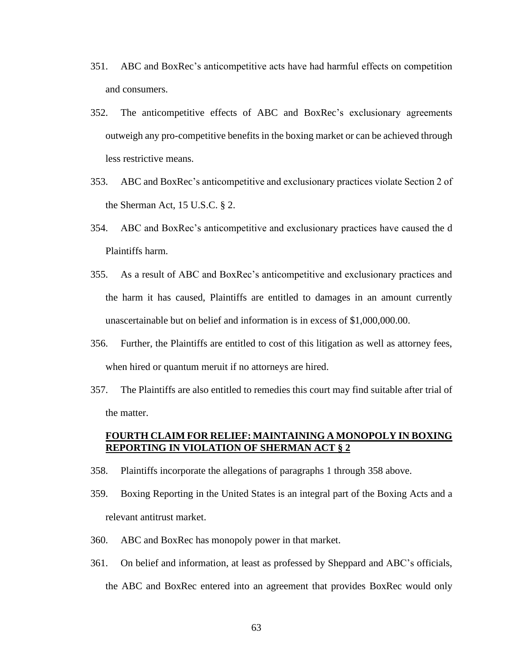- 351. ABC and BoxRec's anticompetitive acts have had harmful effects on competition and consumers.
- 352. The anticompetitive effects of ABC and BoxRec's exclusionary agreements outweigh any pro-competitive benefits in the boxing market or can be achieved through less restrictive means.
- 353. ABC and BoxRec's anticompetitive and exclusionary practices violate Section 2 of the Sherman Act, 15 U.S.C. § 2.
- 354. ABC and BoxRec's anticompetitive and exclusionary practices have caused the d Plaintiffs harm.
- 355. As a result of ABC and BoxRec's anticompetitive and exclusionary practices and the harm it has caused, Plaintiffs are entitled to damages in an amount currently unascertainable but on belief and information is in excess of \$1,000,000.00.
- 356. Further, the Plaintiffs are entitled to cost of this litigation as well as attorney fees, when hired or quantum meruit if no attorneys are hired.
- 357. The Plaintiffs are also entitled to remedies this court may find suitable after trial of the matter.

### **FOURTH CLAIM FOR RELIEF: MAINTAINING A MONOPOLY IN BOXING REPORTING IN VIOLATION OF SHERMAN ACT § 2**

- 358. Plaintiffs incorporate the allegations of paragraphs 1 through 358 above.
- 359. Boxing Reporting in the United States is an integral part of the Boxing Acts and a relevant antitrust market.
- 360. ABC and BoxRec has monopoly power in that market.
- 361. On belief and information, at least as professed by Sheppard and ABC's officials, the ABC and BoxRec entered into an agreement that provides BoxRec would only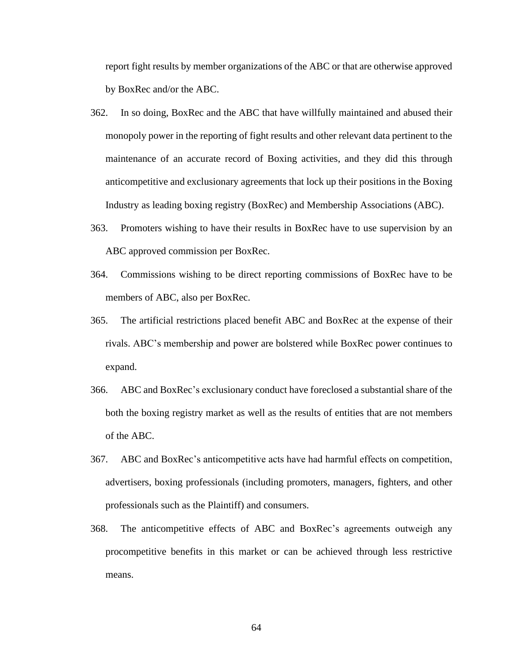report fight results by member organizations of the ABC or that are otherwise approved by BoxRec and/or the ABC.

- 362. In so doing, BoxRec and the ABC that have willfully maintained and abused their monopoly power in the reporting of fight results and other relevant data pertinent to the maintenance of an accurate record of Boxing activities, and they did this through anticompetitive and exclusionary agreements that lock up their positions in the Boxing Industry as leading boxing registry (BoxRec) and Membership Associations (ABC).
- 363. Promoters wishing to have their results in BoxRec have to use supervision by an ABC approved commission per BoxRec.
- 364. Commissions wishing to be direct reporting commissions of BoxRec have to be members of ABC, also per BoxRec.
- 365. The artificial restrictions placed benefit ABC and BoxRec at the expense of their rivals. ABC's membership and power are bolstered while BoxRec power continues to expand.
- 366. ABC and BoxRec's exclusionary conduct have foreclosed a substantial share of the both the boxing registry market as well as the results of entities that are not members of the ABC.
- 367. ABC and BoxRec's anticompetitive acts have had harmful effects on competition, advertisers, boxing professionals (including promoters, managers, fighters, and other professionals such as the Plaintiff) and consumers.
- 368. The anticompetitive effects of ABC and BoxRec's agreements outweigh any procompetitive benefits in this market or can be achieved through less restrictive means.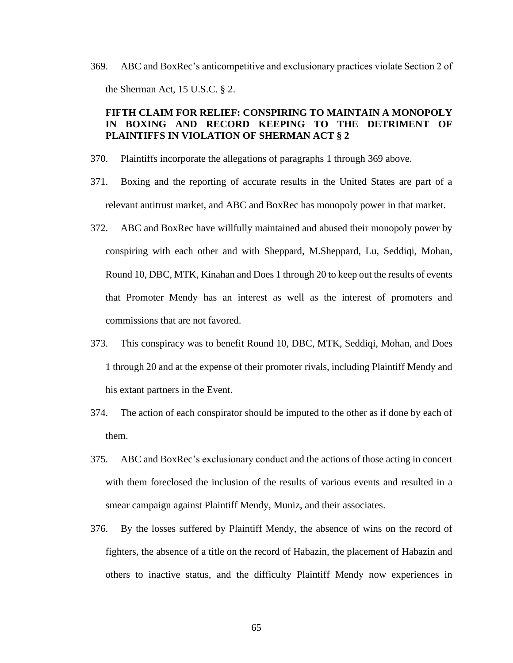369. ABC and BoxRec's anticompetitive and exclusionary practices violate Section 2 of the Sherman Act, 15 U.S.C. § 2.

## **FIFTH CLAIM FOR RELIEF: CONSPIRING TO MAINTAIN A MONOPOLY IN BOXING AND RECORD KEEPING TO THE DETRIMENT OF PLAINTIFFS IN VIOLATION OF SHERMAN ACT § 2**

- 370. Plaintiffs incorporate the allegations of paragraphs 1 through 369 above.
- 371. Boxing and the reporting of accurate results in the United States are part of a relevant antitrust market, and ABC and BoxRec has monopoly power in that market.
- 372. ABC and BoxRec have willfully maintained and abused their monopoly power by conspiring with each other and with Sheppard, M.Sheppard, Lu, Seddiqi, Mohan, Round 10, DBC, MTK, Kinahan and Does 1 through 20 to keep out the results of events that Promoter Mendy has an interest as well as the interest of promoters and commissions that are not favored.
- 373. This conspiracy was to benefit Round 10, DBC, MTK, Seddiqi, Mohan, and Does 1 through 20 and at the expense of their promoter rivals, including Plaintiff Mendy and his extant partners in the Event.
- 374. The action of each conspirator should be imputed to the other as if done by each of them.
- 375. ABC and BoxRec's exclusionary conduct and the actions of those acting in concert with them foreclosed the inclusion of the results of various events and resulted in a smear campaign against Plaintiff Mendy, Muniz, and their associates.
- 376. By the losses suffered by Plaintiff Mendy, the absence of wins on the record of fighters, the absence of a title on the record of Habazin, the placement of Habazin and others to inactive status, and the difficulty Plaintiff Mendy now experiences in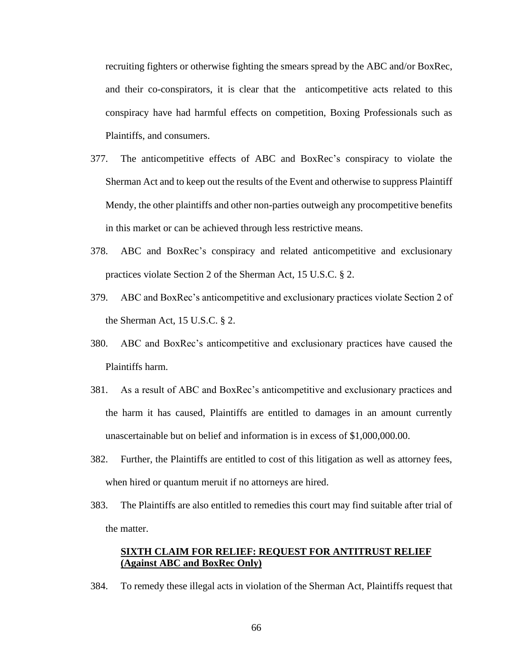recruiting fighters or otherwise fighting the smears spread by the ABC and/or BoxRec, and their co-conspirators, it is clear that the anticompetitive acts related to this conspiracy have had harmful effects on competition, Boxing Professionals such as Plaintiffs, and consumers.

- 377. The anticompetitive effects of ABC and BoxRec's conspiracy to violate the Sherman Act and to keep out the results of the Event and otherwise to suppress Plaintiff Mendy, the other plaintiffs and other non-parties outweigh any procompetitive benefits in this market or can be achieved through less restrictive means.
- 378. ABC and BoxRec's conspiracy and related anticompetitive and exclusionary practices violate Section 2 of the Sherman Act, 15 U.S.C. § 2.
- 379. ABC and BoxRec's anticompetitive and exclusionary practices violate Section 2 of the Sherman Act, 15 U.S.C. § 2.
- 380. ABC and BoxRec's anticompetitive and exclusionary practices have caused the Plaintiffs harm.
- 381. As a result of ABC and BoxRec's anticompetitive and exclusionary practices and the harm it has caused, Plaintiffs are entitled to damages in an amount currently unascertainable but on belief and information is in excess of \$1,000,000.00.
- 382. Further, the Plaintiffs are entitled to cost of this litigation as well as attorney fees, when hired or quantum meruit if no attorneys are hired.
- 383. The Plaintiffs are also entitled to remedies this court may find suitable after trial of the matter.

## **SIXTH CLAIM FOR RELIEF: REQUEST FOR ANTITRUST RELIEF (Against ABC and BoxRec Only)**

384. To remedy these illegal acts in violation of the Sherman Act, Plaintiffs request that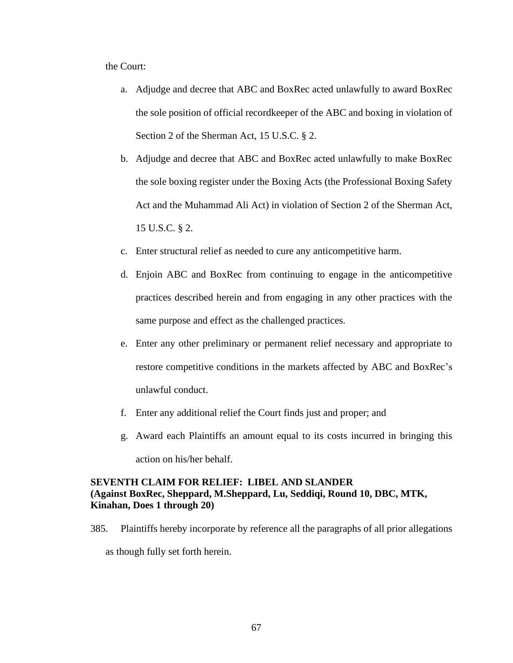the Court:

- a. Adjudge and decree that ABC and BoxRec acted unlawfully to award BoxRec the sole position of official recordkeeper of the ABC and boxing in violation of Section 2 of the Sherman Act, 15 U.S.C. § 2.
- b. Adjudge and decree that ABC and BoxRec acted unlawfully to make BoxRec the sole boxing register under the Boxing Acts (the Professional Boxing Safety Act and the Muhammad Ali Act) in violation of Section 2 of the Sherman Act, 15 U.S.C. § 2.
- c. Enter structural relief as needed to cure any anticompetitive harm.
- d. Enjoin ABC and BoxRec from continuing to engage in the anticompetitive practices described herein and from engaging in any other practices with the same purpose and effect as the challenged practices.
- e. Enter any other preliminary or permanent relief necessary and appropriate to restore competitive conditions in the markets affected by ABC and BoxRec's unlawful conduct.
- f. Enter any additional relief the Court finds just and proper; and
- g. Award each Plaintiffs an amount equal to its costs incurred in bringing this action on his/her behalf.

## **SEVENTH CLAIM FOR RELIEF: LIBEL AND SLANDER (Against BoxRec, Sheppard, M.Sheppard, Lu, Seddiqi, Round 10, DBC, MTK, Kinahan, Does 1 through 20)**

385. Plaintiffs hereby incorporate by reference all the paragraphs of all prior allegations

as though fully set forth herein.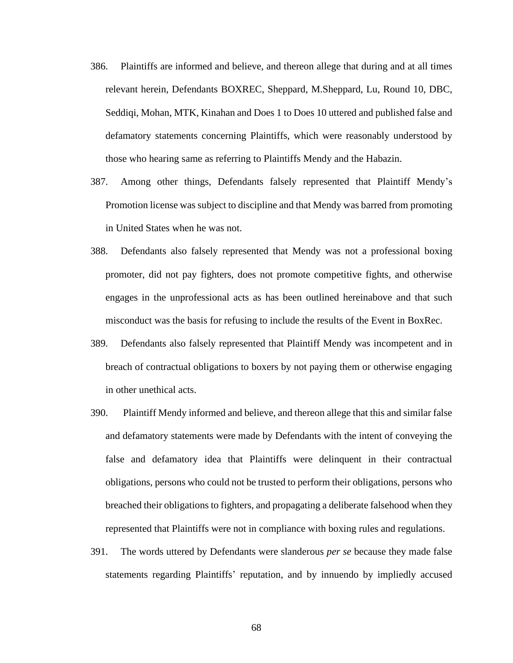- 386. Plaintiffs are informed and believe, and thereon allege that during and at all times relevant herein, Defendants BOXREC, Sheppard, M.Sheppard, Lu, Round 10, DBC, Seddiqi, Mohan, MTK, Kinahan and Does 1 to Does 10 uttered and published false and defamatory statements concerning Plaintiffs, which were reasonably understood by those who hearing same as referring to Plaintiffs Mendy and the Habazin.
- 387. Among other things, Defendants falsely represented that Plaintiff Mendy's Promotion license was subject to discipline and that Mendy was barred from promoting in United States when he was not.
- 388. Defendants also falsely represented that Mendy was not a professional boxing promoter, did not pay fighters, does not promote competitive fights, and otherwise engages in the unprofessional acts as has been outlined hereinabove and that such misconduct was the basis for refusing to include the results of the Event in BoxRec.
- 389. Defendants also falsely represented that Plaintiff Mendy was incompetent and in breach of contractual obligations to boxers by not paying them or otherwise engaging in other unethical acts.
- 390. Plaintiff Mendy informed and believe, and thereon allege that this and similar false and defamatory statements were made by Defendants with the intent of conveying the false and defamatory idea that Plaintiffs were delinquent in their contractual obligations, persons who could not be trusted to perform their obligations, persons who breached their obligations to fighters, and propagating a deliberate falsehood when they represented that Plaintiffs were not in compliance with boxing rules and regulations.
- 391. The words uttered by Defendants were slanderous *per se* because they made false statements regarding Plaintiffs' reputation, and by innuendo by impliedly accused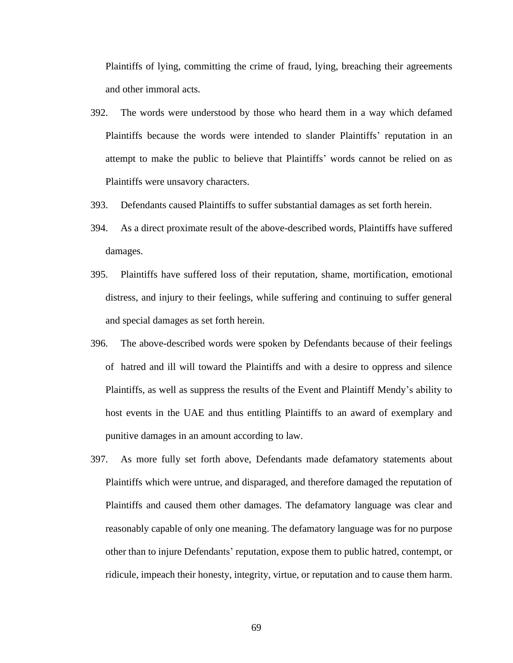Plaintiffs of lying, committing the crime of fraud, lying, breaching their agreements and other immoral acts.

- 392. The words were understood by those who heard them in a way which defamed Plaintiffs because the words were intended to slander Plaintiffs' reputation in an attempt to make the public to believe that Plaintiffs' words cannot be relied on as Plaintiffs were unsavory characters.
- 393. Defendants caused Plaintiffs to suffer substantial damages as set forth herein.
- 394. As a direct proximate result of the above-described words, Plaintiffs have suffered damages.
- 395. Plaintiffs have suffered loss of their reputation, shame, mortification, emotional distress, and injury to their feelings, while suffering and continuing to suffer general and special damages as set forth herein.
- 396. The above-described words were spoken by Defendants because of their feelings of hatred and ill will toward the Plaintiffs and with a desire to oppress and silence Plaintiffs, as well as suppress the results of the Event and Plaintiff Mendy's ability to host events in the UAE and thus entitling Plaintiffs to an award of exemplary and punitive damages in an amount according to law.
- 397. As more fully set forth above, Defendants made defamatory statements about Plaintiffs which were untrue, and disparaged, and therefore damaged the reputation of Plaintiffs and caused them other damages. The defamatory language was clear and reasonably capable of only one meaning. The defamatory language was for no purpose other than to injure Defendants' reputation, expose them to public hatred, contempt, or ridicule, impeach their honesty, integrity, virtue, or reputation and to cause them harm.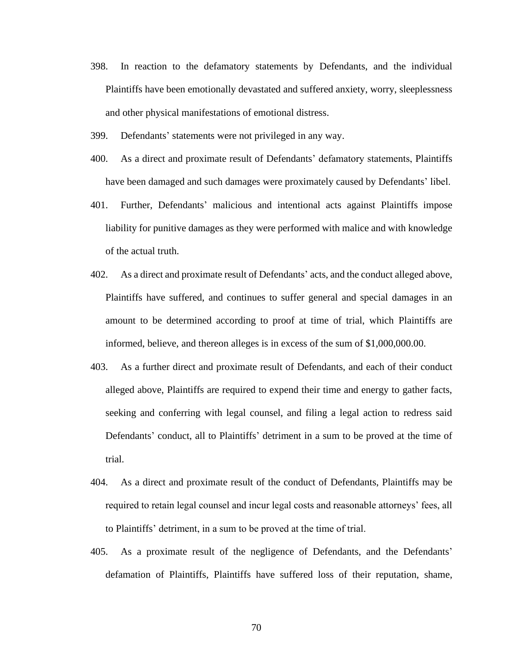- 398. In reaction to the defamatory statements by Defendants, and the individual Plaintiffs have been emotionally devastated and suffered anxiety, worry, sleeplessness and other physical manifestations of emotional distress.
- 399. Defendants' statements were not privileged in any way.
- 400. As a direct and proximate result of Defendants' defamatory statements, Plaintiffs have been damaged and such damages were proximately caused by Defendants' libel.
- 401. Further, Defendants' malicious and intentional acts against Plaintiffs impose liability for punitive damages as they were performed with malice and with knowledge of the actual truth.
- 402. As a direct and proximate result of Defendants' acts, and the conduct alleged above, Plaintiffs have suffered, and continues to suffer general and special damages in an amount to be determined according to proof at time of trial, which Plaintiffs are informed, believe, and thereon alleges is in excess of the sum of \$1,000,000.00.
- 403. As a further direct and proximate result of Defendants, and each of their conduct alleged above, Plaintiffs are required to expend their time and energy to gather facts, seeking and conferring with legal counsel, and filing a legal action to redress said Defendants' conduct, all to Plaintiffs' detriment in a sum to be proved at the time of trial.
- 404. As a direct and proximate result of the conduct of Defendants, Plaintiffs may be required to retain legal counsel and incur legal costs and reasonable attorneys' fees, all to Plaintiffs' detriment, in a sum to be proved at the time of trial.
- 405. As a proximate result of the negligence of Defendants, and the Defendants' defamation of Plaintiffs, Plaintiffs have suffered loss of their reputation, shame,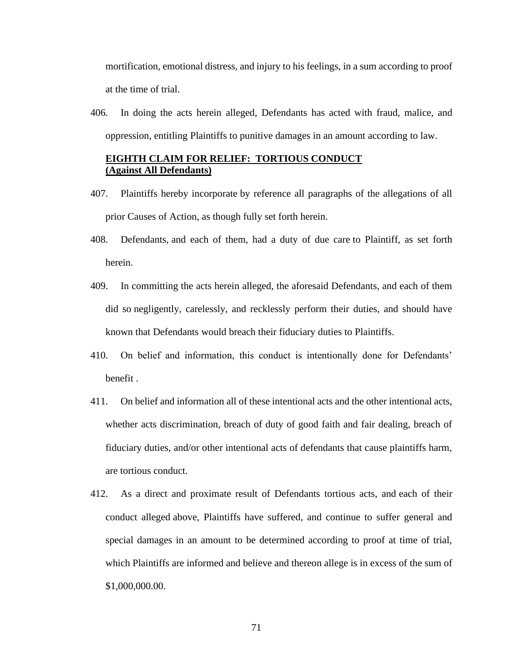mortification, emotional distress, and injury to his feelings, in a sum according to proof at the time of trial.

406. In doing the acts herein alleged, Defendants has acted with fraud, malice, and oppression, entitling Plaintiffs to punitive damages in an amount according to law.

## **EIGHTH CLAIM FOR RELIEF: TORTIOUS CONDUCT (Against All Defendants)**

- 407. Plaintiffs hereby incorporate by reference all paragraphs of the allegations of all prior Causes of Action, as though fully set forth herein.
- 408. Defendants, and each of them, had a duty of due care to Plaintiff, as set forth herein.
- 409. In committing the acts herein alleged, the aforesaid Defendants, and each of them did so negligently, carelessly, and recklessly perform their duties, and should have known that Defendants would breach their fiduciary duties to Plaintiffs.
- 410. On belief and information, this conduct is intentionally done for Defendants' benefit .
- 411. On belief and information all of these intentional acts and the other intentional acts, whether acts discrimination, breach of duty of good faith and fair dealing, breach of fiduciary duties, and/or other intentional acts of defendants that cause plaintiffs harm, are tortious conduct.
- 412. As a direct and proximate result of Defendants tortious acts, and each of their conduct alleged above, Plaintiffs have suffered, and continue to suffer general and special damages in an amount to be determined according to proof at time of trial, which Plaintiffs are informed and believe and thereon allege is in excess of the sum of \$1,000,000.00.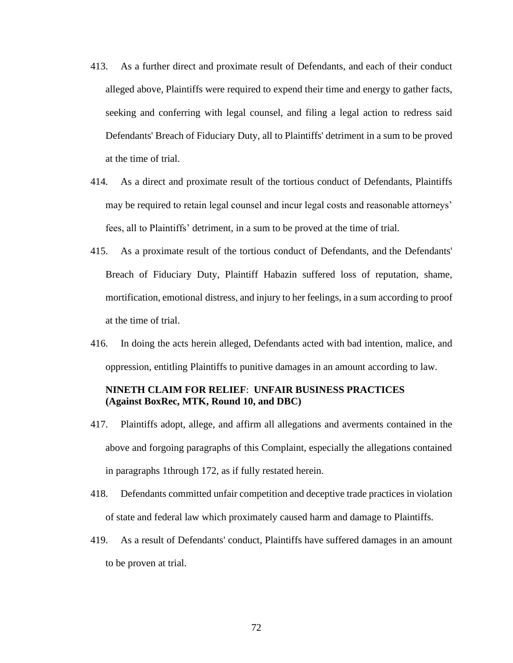- 413. As a further direct and proximate result of Defendants, and each of their conduct alleged above, Plaintiffs were required to expend their time and energy to gather facts, seeking and conferring with legal counsel, and filing a legal action to redress said Defendants' Breach of Fiduciary Duty, all to Plaintiffs' detriment in a sum to be proved at the time of trial.
- 414. As a direct and proximate result of the tortious conduct of Defendants, Plaintiffs may be required to retain legal counsel and incur legal costs and reasonable attorneys' fees, all to Plaintiffs' detriment, in a sum to be proved at the time of trial.
- 415. As a proximate result of the tortious conduct of Defendants, and the Defendants' Breach of Fiduciary Duty, Plaintiff Habazin suffered loss of reputation, shame, mortification, emotional distress, and injury to her feelings, in a sum according to proof at the time of trial.
- 416. In doing the acts herein alleged, Defendants acted with bad intention, malice, and oppression, entitling Plaintiffs to punitive damages in an amount according to law.

# **NINETH CLAIM FOR RELIEF**: **UNFAIR BUSINESS PRACTICES (Against BoxRec, MTK, Round 10, and DBC)**

- 417. Plaintiffs adopt, allege, and affirm all allegations and averments contained in the above and forgoing paragraphs of this Complaint, especially the allegations contained in paragraphs 1through 172, as if fully restated herein.
- 418. Defendants committed unfair competition and deceptive trade practices in violation of state and federal law which proximately caused harm and damage to Plaintiffs.
- 419. As a result of Defendants' conduct, Plaintiffs have suffered damages in an amount to be proven at trial.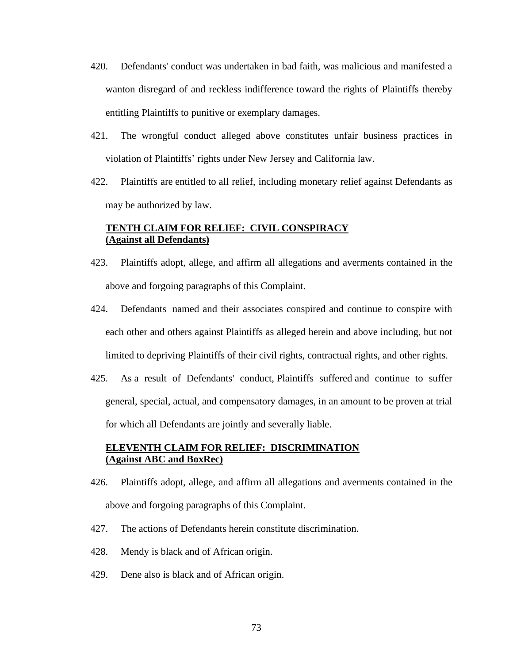- 420. Defendants' conduct was undertaken in bad faith, was malicious and manifested a wanton disregard of and reckless indifference toward the rights of Plaintiffs thereby entitling Plaintiffs to punitive or exemplary damages.
- 421. The wrongful conduct alleged above constitutes unfair business practices in violation of Plaintiffs' rights under New Jersey and California law.
- 422. Plaintiffs are entitled to all relief, including monetary relief against Defendants as may be authorized by law.

## **TENTH CLAIM FOR RELIEF: CIVIL CONSPIRACY (Against all Defendants)**

- 423. Plaintiffs adopt, allege, and affirm all allegations and averments contained in the above and forgoing paragraphs of this Complaint.
- 424. Defendants named and their associates conspired and continue to conspire with each other and others against Plaintiffs as alleged herein and above including, but not limited to depriving Plaintiffs of their civil rights, contractual rights, and other rights.
- 425. As a result of Defendants' conduct, Plaintiffs suffered and continue to suffer general, special, actual, and compensatory damages, in an amount to be proven at trial for which all Defendants are jointly and severally liable.

## **ELEVENTH CLAIM FOR RELIEF: DISCRIMINATION (Against ABC and BoxRec)**

- 426. Plaintiffs adopt, allege, and affirm all allegations and averments contained in the above and forgoing paragraphs of this Complaint.
- 427. The actions of Defendants herein constitute discrimination.
- 428. Mendy is black and of African origin.
- 429. Dene also is black and of African origin.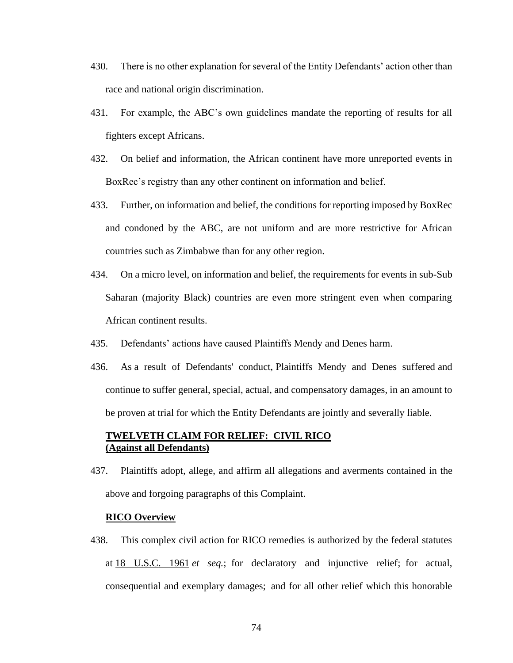- 430. There is no other explanation for several of the Entity Defendants' action other than race and national origin discrimination.
- 431. For example, the ABC's own guidelines mandate the reporting of results for all fighters except Africans.
- 432. On belief and information, the African continent have more unreported events in BoxRec's registry than any other continent on information and belief.
- 433. Further, on information and belief, the conditions for reporting imposed by BoxRec and condoned by the ABC, are not uniform and are more restrictive for African countries such as Zimbabwe than for any other region.
- 434. On a micro level, on information and belief, the requirements for events in sub-Sub Saharan (majority Black) countries are even more stringent even when comparing African continent results.
- 435. Defendants' actions have caused Plaintiffs Mendy and Denes harm.
- 436. As a result of Defendants' conduct, Plaintiffs Mendy and Denes suffered and continue to suffer general, special, actual, and compensatory damages, in an amount to be proven at trial for which the Entity Defendants are jointly and severally liable.

## **TWELVETH CLAIM FOR RELIEF: CIVIL RICO (Against all Defendants)**

437. Plaintiffs adopt, allege, and affirm all allegations and averments contained in the above and forgoing paragraphs of this Complaint.

#### **RICO Overview**

438. This complex civil action for RICO remedies is authorized by the federal statutes at [18 U.S.C. 1961](http://www.law.cornell.edu/uscode/18/1961.html) *et seq.*; for declaratory and injunctive relief; for actual, consequential and exemplary damages; and for all other relief which this honorable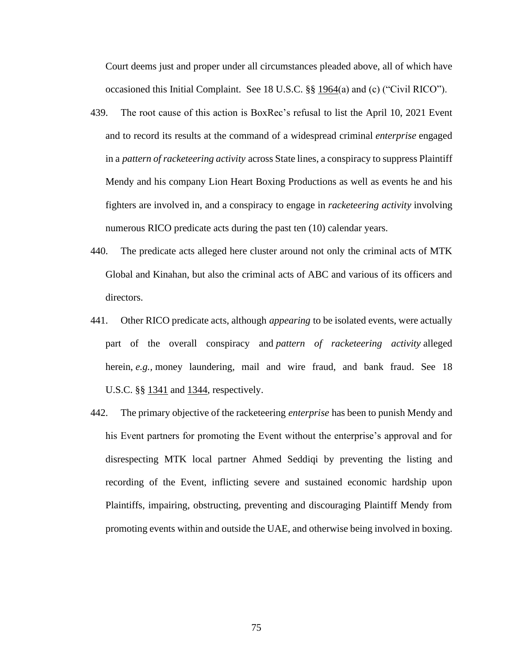Court deems just and proper under all circumstances pleaded above, all of which have occasioned this Initial Complaint. See 18 U.S.C. §§ [1964\(](http://www.law.cornell.edu/uscode/18/1964.html)a) and (c) ("Civil RICO").

- 439. The root cause of this action is BoxRec's refusal to list the April 10, 2021 Event and to record its results at the command of a widespread criminal *enterprise* engaged in a *pattern of racketeering activity* across State lines, a conspiracy to suppress Plaintiff Mendy and his company Lion Heart Boxing Productions as well as events he and his fighters are involved in, and a conspiracy to engage in *racketeering activity* involving numerous RICO predicate acts during the past ten (10) calendar years.
- 440. The predicate acts alleged here cluster around not only the criminal acts of MTK Global and Kinahan, but also the criminal acts of ABC and various of its officers and directors.
- 441. Other RICO predicate acts, although *appearing* to be isolated events, were actually part of the overall conspiracy and *pattern of racketeering activity* alleged herein, *e.g.*, money laundering, mail and wire fraud, and bank fraud. See 18 U.S.C. §§ [1341](http://www.law.cornell.edu/uscode/18/1341.html) and [1344,](http://www.law.cornell.edu/uscode/18/1344.html) respectively.
- 442. The primary objective of the racketeering *enterprise* has been to punish Mendy and his Event partners for promoting the Event without the enterprise's approval and for disrespecting MTK local partner Ahmed Seddiqi by preventing the listing and recording of the Event, inflicting severe and sustained economic hardship upon Plaintiffs, impairing, obstructing, preventing and discouraging Plaintiff Mendy from promoting events within and outside the UAE, and otherwise being involved in boxing.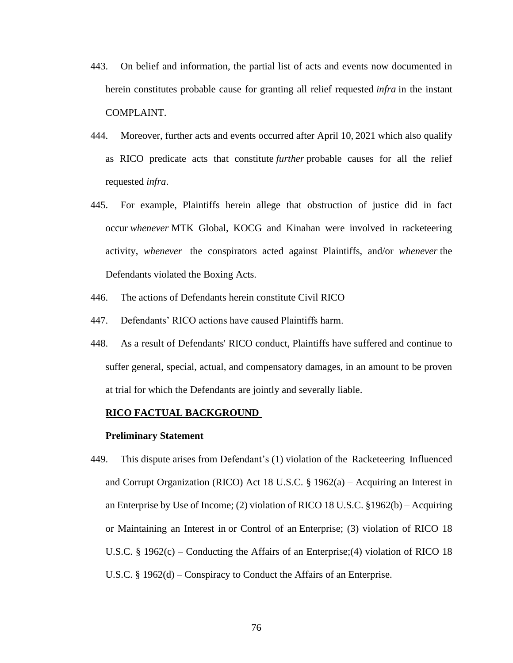- 443. On belief and information, the partial list of acts and events now documented in herein constitutes probable cause for granting all relief requested *infra* in the instant COMPLAINT.
- 444. Moreover, further acts and events occurred after April 10, 2021 which also qualify as RICO predicate acts that constitute *further* probable causes for all the relief requested *infra*.
- 445. For example, Plaintiffs herein allege that obstruction of justice did in fact occur *whenever* MTK Global, KOCG and Kinahan were involved in racketeering activity, *whenever* the conspirators acted against Plaintiffs, and/or *whenever* the Defendants violated the Boxing Acts.
- 446. The actions of Defendants herein constitute Civil RICO
- 447. Defendants' RICO actions have caused Plaintiffs harm.
- 448. As a result of Defendants' RICO conduct, Plaintiffs have suffered and continue to suffer general, special, actual, and compensatory damages, in an amount to be proven at trial for which the Defendants are jointly and severally liable.

#### **RICO FACTUAL BACKGROUND**

#### **Preliminary Statement**

449. This dispute arises from Defendant's (1) violation of the Racketeering Influenced and Corrupt Organization (RICO) Act 18 U.S.C. § 1962(a) – Acquiring an Interest in an Enterprise by Use of Income; (2) violation of RICO 18 U.S.C. §1962(b) – Acquiring or Maintaining an Interest in or Control of an Enterprise; (3) violation of RICO 18 U.S.C. § 1962(c) – Conducting the Affairs of an Enterprise;(4) violation of RICO 18 U.S.C. § 1962(d) – Conspiracy to Conduct the Affairs of an Enterprise.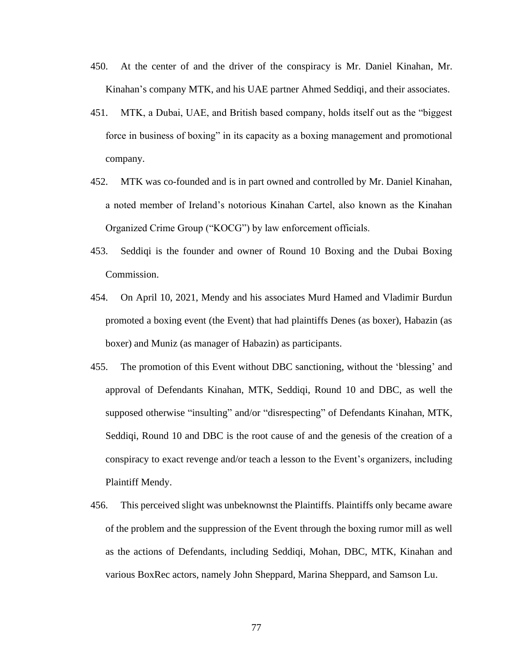- 450. At the center of and the driver of the conspiracy is Mr. Daniel Kinahan, Mr. Kinahan's company MTK, and his UAE partner Ahmed Seddiqi, and their associates.
- 451. MTK, a Dubai, UAE, and British based company, holds itself out as the "biggest force in business of boxing" in its capacity as a boxing management and promotional company.
- 452. MTK was co-founded and is in part owned and controlled by Mr. Daniel Kinahan, a noted member of Ireland's notorious Kinahan Cartel, also known as the Kinahan Organized Crime Group ("KOCG") by law enforcement officials.
- 453. Seddiqi is the founder and owner of Round 10 Boxing and the Dubai Boxing Commission.
- 454. On April 10, 2021, Mendy and his associates Murd Hamed and Vladimir Burdun promoted a boxing event (the Event) that had plaintiffs Denes (as boxer), Habazin (as boxer) and Muniz (as manager of Habazin) as participants.
- 455. The promotion of this Event without DBC sanctioning, without the 'blessing' and approval of Defendants Kinahan, MTK, Seddiqi, Round 10 and DBC, as well the supposed otherwise "insulting" and/or "disrespecting" of Defendants Kinahan, MTK, Seddiqi, Round 10 and DBC is the root cause of and the genesis of the creation of a conspiracy to exact revenge and/or teach a lesson to the Event's organizers, including Plaintiff Mendy.
- 456. This perceived slight was unbeknownst the Plaintiffs. Plaintiffs only became aware of the problem and the suppression of the Event through the boxing rumor mill as well as the actions of Defendants, including Seddiqi, Mohan, DBC, MTK, Kinahan and various BoxRec actors, namely John Sheppard, Marina Sheppard, and Samson Lu.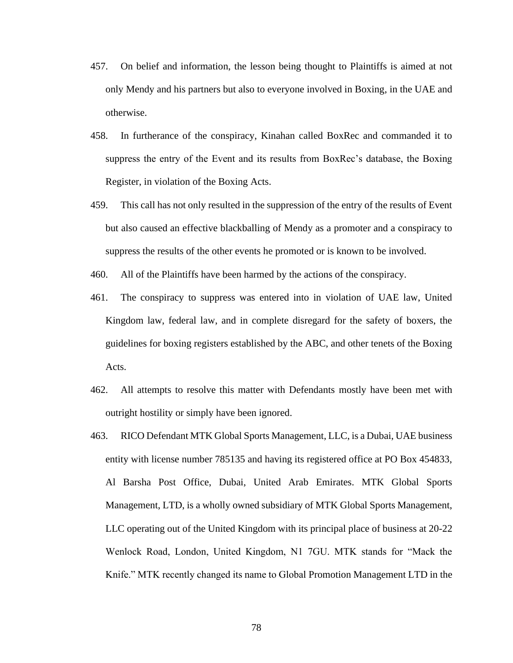- 457. On belief and information, the lesson being thought to Plaintiffs is aimed at not only Mendy and his partners but also to everyone involved in Boxing, in the UAE and otherwise.
- 458. In furtherance of the conspiracy, Kinahan called BoxRec and commanded it to suppress the entry of the Event and its results from BoxRec's database, the Boxing Register, in violation of the Boxing Acts.
- 459. This call has not only resulted in the suppression of the entry of the results of Event but also caused an effective blackballing of Mendy as a promoter and a conspiracy to suppress the results of the other events he promoted or is known to be involved.
- 460. All of the Plaintiffs have been harmed by the actions of the conspiracy.
- 461. The conspiracy to suppress was entered into in violation of UAE law, United Kingdom law, federal law, and in complete disregard for the safety of boxers, the guidelines for boxing registers established by the ABC, and other tenets of the Boxing Acts.
- 462. All attempts to resolve this matter with Defendants mostly have been met with outright hostility or simply have been ignored.
- 463. RICO Defendant MTK Global Sports Management, LLC, is a Dubai, UAE business entity with license number 785135 and having its registered office at PO Box 454833, Al Barsha Post Office, Dubai, United Arab Emirates. MTK Global Sports Management, LTD, is a wholly owned subsidiary of MTK Global Sports Management, LLC operating out of the United Kingdom with its principal place of business at 20-22 Wenlock Road, London, United Kingdom, N1 7GU. MTK stands for "Mack the Knife." MTK recently changed its name to Global Promotion Management LTD in the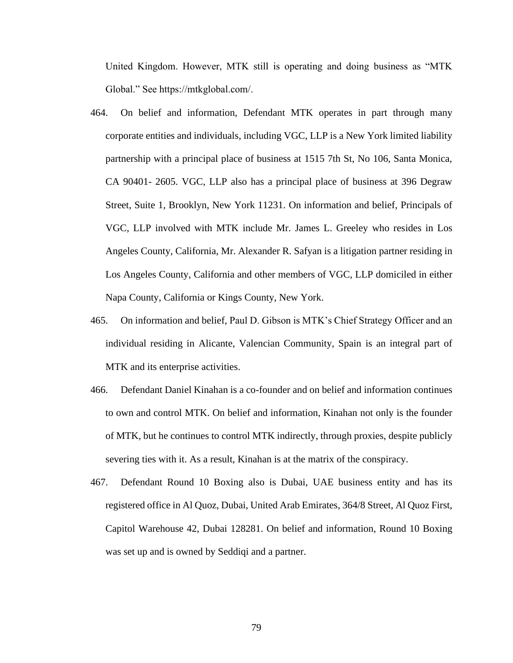United Kingdom. However, MTK still is operating and doing business as "MTK Global." See https://mtkglobal.com/.

- 464. On belief and information, Defendant MTK operates in part through many corporate entities and individuals, including VGC, LLP is a New York limited liability partnership with a principal place of business at 1515 7th St, No 106, Santa Monica, CA 90401- 2605. VGC, LLP also has a principal place of business at 396 Degraw Street, Suite 1, Brooklyn, New York 11231. On information and belief, Principals of VGC, LLP involved with MTK include Mr. James L. Greeley who resides in Los Angeles County, California, Mr. Alexander R. Safyan is a litigation partner residing in Los Angeles County, California and other members of VGC, LLP domiciled in either Napa County, California or Kings County, New York.
- 465. On information and belief, Paul D. Gibson is MTK's Chief Strategy Officer and an individual residing in Alicante, Valencian Community, Spain is an integral part of MTK and its enterprise activities.
- 466. Defendant Daniel Kinahan is a co-founder and on belief and information continues to own and control MTK. On belief and information, Kinahan not only is the founder of MTK, but he continues to control MTK indirectly, through proxies, despite publicly severing ties with it. As a result, Kinahan is at the matrix of the conspiracy.
- 467. Defendant Round 10 Boxing also is Dubai, UAE business entity and has its registered office in Al Quoz, Dubai, United Arab Emirates, 364/8 Street, Al Quoz First, Capitol Warehouse 42, Dubai 128281. On belief and information, Round 10 Boxing was set up and is owned by Seddiqi and a partner.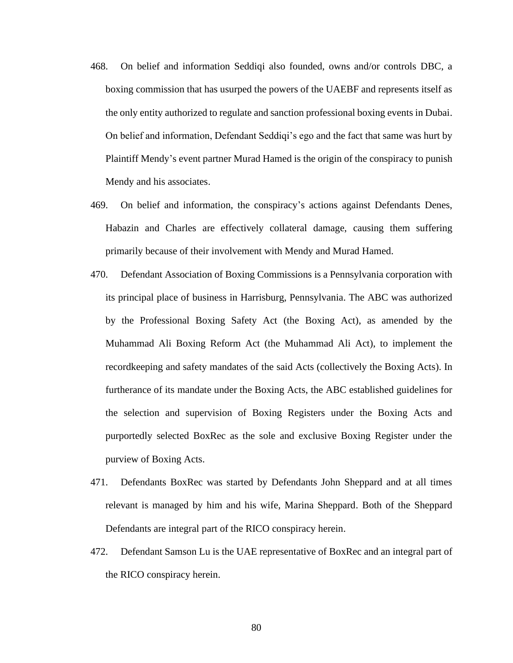- 468. On belief and information Seddiqi also founded, owns and/or controls DBC, a boxing commission that has usurped the powers of the UAEBF and represents itself as the only entity authorized to regulate and sanction professional boxing events in Dubai. On belief and information, Defendant Seddiqi's ego and the fact that same was hurt by Plaintiff Mendy's event partner Murad Hamed is the origin of the conspiracy to punish Mendy and his associates.
- 469. On belief and information, the conspiracy's actions against Defendants Denes, Habazin and Charles are effectively collateral damage, causing them suffering primarily because of their involvement with Mendy and Murad Hamed.
- 470. Defendant Association of Boxing Commissions is a Pennsylvania corporation with its principal place of business in Harrisburg, Pennsylvania. The ABC was authorized by the Professional Boxing Safety Act (the Boxing Act), as amended by the Muhammad Ali Boxing Reform Act (the Muhammad Ali Act), to implement the recordkeeping and safety mandates of the said Acts (collectively the Boxing Acts). In furtherance of its mandate under the Boxing Acts, the ABC established guidelines for the selection and supervision of Boxing Registers under the Boxing Acts and purportedly selected BoxRec as the sole and exclusive Boxing Register under the purview of Boxing Acts.
- 471. Defendants BoxRec was started by Defendants John Sheppard and at all times relevant is managed by him and his wife, Marina Sheppard. Both of the Sheppard Defendants are integral part of the RICO conspiracy herein.
- 472. Defendant Samson Lu is the UAE representative of BoxRec and an integral part of the RICO conspiracy herein.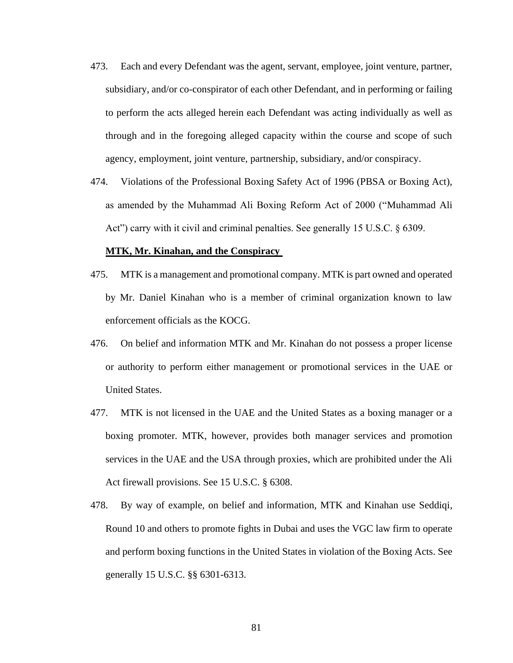- 473. Each and every Defendant was the agent, servant, employee, joint venture, partner, subsidiary, and/or co-conspirator of each other Defendant, and in performing or failing to perform the acts alleged herein each Defendant was acting individually as well as through and in the foregoing alleged capacity within the course and scope of such agency, employment, joint venture, partnership, subsidiary, and/or conspiracy.
- 474. Violations of the Professional Boxing Safety Act of 1996 (PBSA or Boxing Act), as amended by the Muhammad Ali Boxing Reform Act of 2000 ("Muhammad Ali Act") carry with it civil and criminal penalties. See generally 15 U.S.C. § 6309.

#### **MTK, Mr. Kinahan, and the Conspiracy**

- 475. MTK is a management and promotional company. MTK is part owned and operated by Mr. Daniel Kinahan who is a member of criminal organization known to law enforcement officials as the KOCG.
- 476. On belief and information MTK and Mr. Kinahan do not possess a proper license or authority to perform either management or promotional services in the UAE or United States.
- 477. MTK is not licensed in the UAE and the United States as a boxing manager or a boxing promoter. MTK, however, provides both manager services and promotion services in the UAE and the USA through proxies, which are prohibited under the Ali Act firewall provisions. See 15 U.S.C. § 6308.
- 478. By way of example, on belief and information, MTK and Kinahan use Seddiqi, Round 10 and others to promote fights in Dubai and uses the VGC law firm to operate and perform boxing functions in the United States in violation of the Boxing Acts. See generally 15 U.S.C. §§ 6301-6313.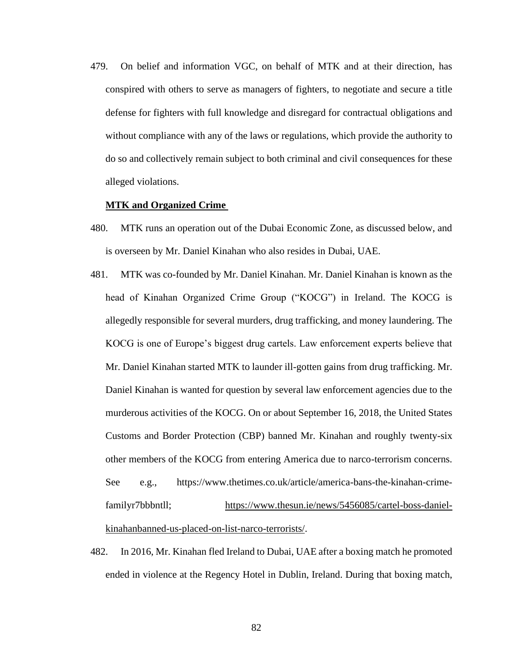479. On belief and information VGC, on behalf of MTK and at their direction, has conspired with others to serve as managers of fighters, to negotiate and secure a title defense for fighters with full knowledge and disregard for contractual obligations and without compliance with any of the laws or regulations, which provide the authority to do so and collectively remain subject to both criminal and civil consequences for these alleged violations.

#### **MTK and Organized Crime**

- 480. MTK runs an operation out of the Dubai Economic Zone, as discussed below, and is overseen by Mr. Daniel Kinahan who also resides in Dubai, UAE.
- 481. MTK was co-founded by Mr. Daniel Kinahan. Mr. Daniel Kinahan is known as the head of Kinahan Organized Crime Group ("KOCG") in Ireland. The KOCG is allegedly responsible for several murders, drug trafficking, and money laundering. The KOCG is one of Europe's biggest drug cartels. Law enforcement experts believe that Mr. Daniel Kinahan started MTK to launder ill-gotten gains from drug trafficking. Mr. Daniel Kinahan is wanted for question by several law enforcement agencies due to the murderous activities of the KOCG. On or about September 16, 2018, the United States Customs and Border Protection (CBP) banned Mr. Kinahan and roughly twenty-six other members of the KOCG from entering America due to narco-terrorism concerns. See e.g., https://www.thetimes.co.uk/article/america-bans-the-kinahan-crimefamilyr7bbbntll; [https://www.thesun.ie/news/5456085/cartel-boss-daniel](https://www.thesun.ie/news/5456085/cartel-boss-daniel-kinahanbanned-us-placed-on-list-narco-terrorists/)[kinahanbanned-us-placed-on-list-narco-terrorists/.](https://www.thesun.ie/news/5456085/cartel-boss-daniel-kinahanbanned-us-placed-on-list-narco-terrorists/)
- 482. In 2016, Mr. Kinahan fled Ireland to Dubai, UAE after a boxing match he promoted ended in violence at the Regency Hotel in Dublin, Ireland. During that boxing match,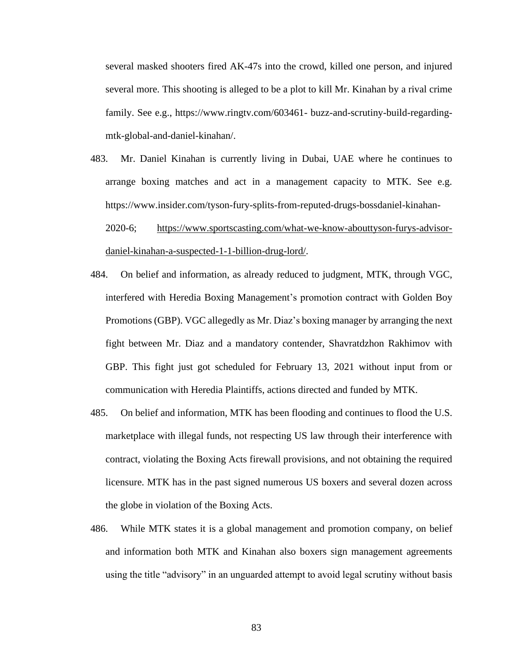several masked shooters fired AK-47s into the crowd, killed one person, and injured several more. This shooting is alleged to be a plot to kill Mr. Kinahan by a rival crime family. See e.g., https://www.ringtv.com/603461- buzz-and-scrutiny-build-regardingmtk-global-and-daniel-kinahan/.

483. Mr. Daniel Kinahan is currently living in Dubai, UAE where he continues to arrange boxing matches and act in a management capacity to MTK. See e.g. https://www.insider.com/tyson-fury-splits-from-reputed-drugs-bossdaniel-kinahan-

2020-6; [https://www.sportscasting.com/what-we-know-abouttyson-furys-advisor](https://www.sportscasting.com/what-we-know-abouttyson-furys-advisor-daniel-kinahan-a-suspected-1-1-billion-drug-lord/)[daniel-kinahan-a-suspected-1-1-billion-drug-lord/.](https://www.sportscasting.com/what-we-know-abouttyson-furys-advisor-daniel-kinahan-a-suspected-1-1-billion-drug-lord/)

- 484. On belief and information, as already reduced to judgment, MTK, through VGC, interfered with Heredia Boxing Management's promotion contract with Golden Boy Promotions (GBP). VGC allegedly as Mr. Diaz's boxing manager by arranging the next fight between Mr. Diaz and a mandatory contender, Shavratdzhon Rakhimov with GBP. This fight just got scheduled for February 13, 2021 without input from or communication with Heredia Plaintiffs, actions directed and funded by MTK.
- 485. On belief and information, MTK has been flooding and continues to flood the U.S. marketplace with illegal funds, not respecting US law through their interference with contract, violating the Boxing Acts firewall provisions, and not obtaining the required licensure. MTK has in the past signed numerous US boxers and several dozen across the globe in violation of the Boxing Acts.
- 486. While MTK states it is a global management and promotion company, on belief and information both MTK and Kinahan also boxers sign management agreements using the title "advisory" in an unguarded attempt to avoid legal scrutiny without basis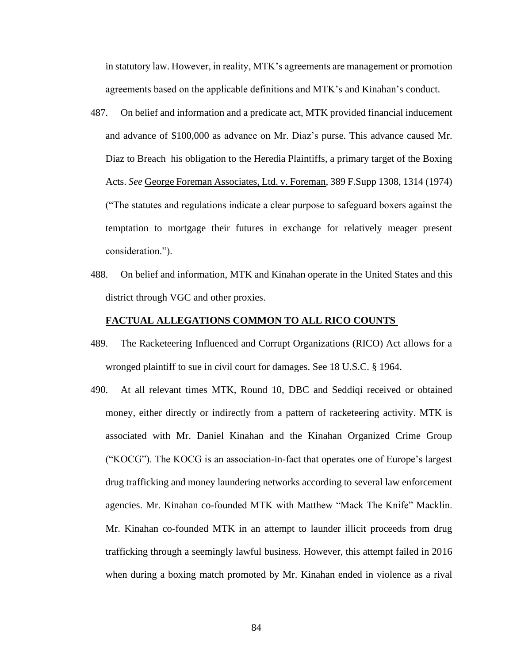in statutory law. However, in reality, MTK's agreements are management or promotion agreements based on the applicable definitions and MTK's and Kinahan's conduct.

- 487. On belief and information and a predicate act, MTK provided financial inducement and advance of \$100,000 as advance on Mr. Diaz's purse. This advance caused Mr. Diaz to Breach his obligation to the Heredia Plaintiffs, a primary target of the Boxing Acts. *See* George Foreman Associates, Ltd. v. Foreman, 389 F.Supp 1308, 1314 (1974) ("The statutes and regulations indicate a clear purpose to safeguard boxers against the temptation to mortgage their futures in exchange for relatively meager present consideration.").
- 488. On belief and information, MTK and Kinahan operate in the United States and this district through VGC and other proxies.

#### **FACTUAL ALLEGATIONS COMMON TO ALL RICO COUNTS**

- 489. The Racketeering Influenced and Corrupt Organizations (RICO) Act allows for a wronged plaintiff to sue in civil court for damages. See 18 U.S.C. § 1964.
- 490. At all relevant times MTK, Round 10, DBC and Seddiqi received or obtained money, either directly or indirectly from a pattern of racketeering activity. MTK is associated with Mr. Daniel Kinahan and the Kinahan Organized Crime Group ("KOCG"). The KOCG is an association-in-fact that operates one of Europe's largest drug trafficking and money laundering networks according to several law enforcement agencies. Mr. Kinahan co-founded MTK with Matthew "Mack The Knife" Macklin. Mr. Kinahan co-founded MTK in an attempt to launder illicit proceeds from drug trafficking through a seemingly lawful business. However, this attempt failed in 2016 when during a boxing match promoted by Mr. Kinahan ended in violence as a rival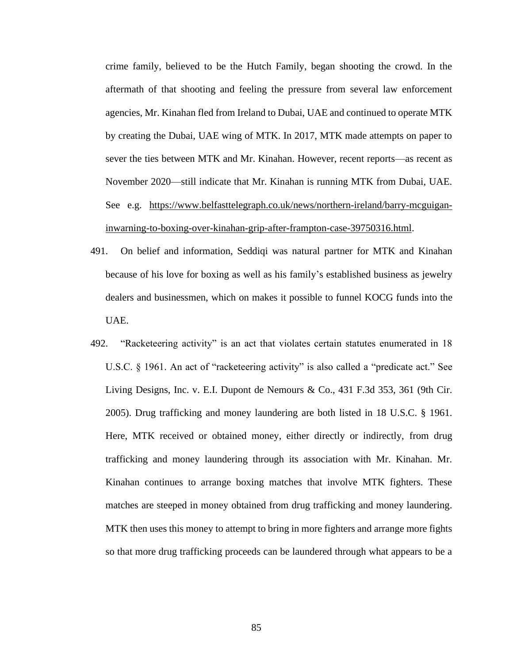crime family, believed to be the Hutch Family, began shooting the crowd. In the aftermath of that shooting and feeling the pressure from several law enforcement agencies, Mr. Kinahan fled from Ireland to Dubai, UAE and continued to operate MTK by creating the Dubai, UAE wing of MTK. In 2017, MTK made attempts on paper to sever the ties between MTK and Mr. Kinahan. However, recent reports—as recent as November 2020—still indicate that Mr. Kinahan is running MTK from Dubai, UAE. See e.g. [https://www.belfasttelegraph.co.uk/news/northern-ireland/barry-mcguigan](https://www.belfasttelegraph.co.uk/news/northern-ireland/barry-mcguigan-inwarning-to-boxing-over-kinahan-grip-after-frampton-case-39750316.html)[inwarning-to-boxing-over-kinahan-grip-after-frampton-case-39750316.html.](https://www.belfasttelegraph.co.uk/news/northern-ireland/barry-mcguigan-inwarning-to-boxing-over-kinahan-grip-after-frampton-case-39750316.html)

- 491. On belief and information, Seddiqi was natural partner for MTK and Kinahan because of his love for boxing as well as his family's established business as jewelry dealers and businessmen, which on makes it possible to funnel KOCG funds into the UAE.
- 492. "Racketeering activity" is an act that violates certain statutes enumerated in 18 U.S.C. § 1961. An act of "racketeering activity" is also called a "predicate act." See Living Designs, Inc. v. E.I. Dupont de Nemours & Co.,  $431$  F.3d 353, 361 (9th Cir. 2005). Drug trafficking and money laundering are both listed in 18 U.S.C. § 1961. Here, MTK received or obtained money, either directly or indirectly, from drug trafficking and money laundering through its association with Mr. Kinahan. Mr. Kinahan continues to arrange boxing matches that involve MTK fighters. These matches are steeped in money obtained from drug trafficking and money laundering. MTK then uses this money to attempt to bring in more fighters and arrange more fights so that more drug trafficking proceeds can be laundered through what appears to be a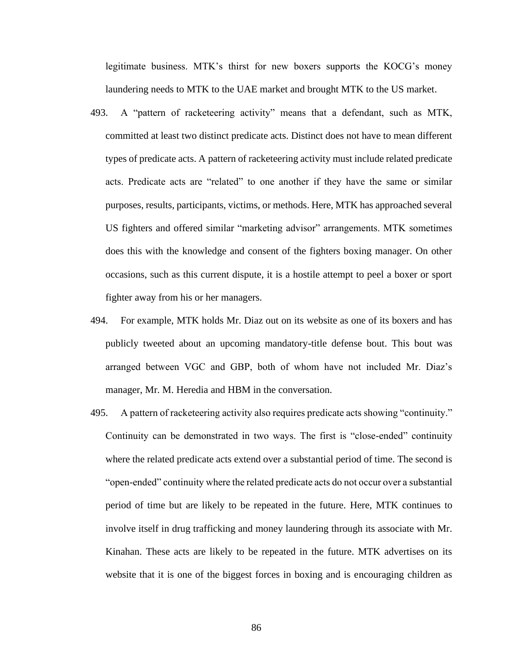legitimate business. MTK's thirst for new boxers supports the KOCG's money laundering needs to MTK to the UAE market and brought MTK to the US market.

- 493. A "pattern of racketeering activity" means that a defendant, such as MTK, committed at least two distinct predicate acts. Distinct does not have to mean different types of predicate acts. A pattern of racketeering activity must include related predicate acts. Predicate acts are "related" to one another if they have the same or similar purposes, results, participants, victims, or methods. Here, MTK has approached several US fighters and offered similar "marketing advisor" arrangements. MTK sometimes does this with the knowledge and consent of the fighters boxing manager. On other occasions, such as this current dispute, it is a hostile attempt to peel a boxer or sport fighter away from his or her managers.
- 494. For example, MTK holds Mr. Diaz out on its website as one of its boxers and has publicly tweeted about an upcoming mandatory-title defense bout. This bout was arranged between VGC and GBP, both of whom have not included Mr. Diaz's manager, Mr. M. Heredia and HBM in the conversation.
- 495. A pattern of racketeering activity also requires predicate acts showing "continuity." Continuity can be demonstrated in two ways. The first is "close-ended" continuity where the related predicate acts extend over a substantial period of time. The second is "open-ended" continuity where the related predicate acts do not occur over a substantial period of time but are likely to be repeated in the future. Here, MTK continues to involve itself in drug trafficking and money laundering through its associate with Mr. Kinahan. These acts are likely to be repeated in the future. MTK advertises on its website that it is one of the biggest forces in boxing and is encouraging children as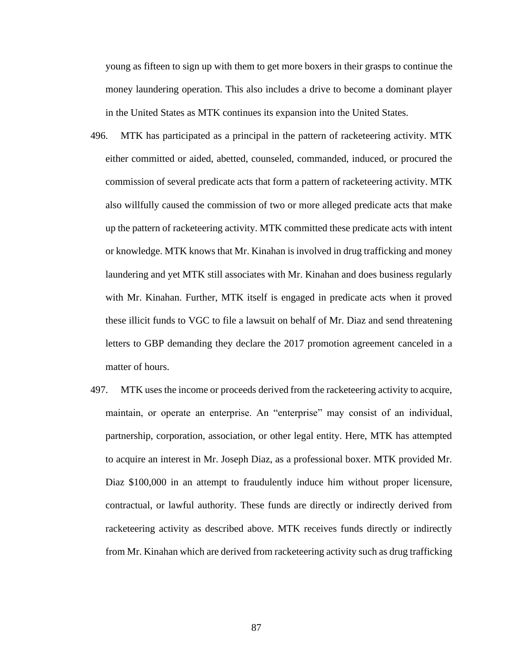young as fifteen to sign up with them to get more boxers in their grasps to continue the money laundering operation. This also includes a drive to become a dominant player in the United States as MTK continues its expansion into the United States.

- 496. MTK has participated as a principal in the pattern of racketeering activity. MTK either committed or aided, abetted, counseled, commanded, induced, or procured the commission of several predicate acts that form a pattern of racketeering activity. MTK also willfully caused the commission of two or more alleged predicate acts that make up the pattern of racketeering activity. MTK committed these predicate acts with intent or knowledge. MTK knows that Mr. Kinahan is involved in drug trafficking and money laundering and yet MTK still associates with Mr. Kinahan and does business regularly with Mr. Kinahan. Further, MTK itself is engaged in predicate acts when it proved these illicit funds to VGC to file a lawsuit on behalf of Mr. Diaz and send threatening letters to GBP demanding they declare the 2017 promotion agreement canceled in a matter of hours.
- 497. MTK uses the income or proceeds derived from the racketeering activity to acquire, maintain, or operate an enterprise. An "enterprise" may consist of an individual, partnership, corporation, association, or other legal entity. Here, MTK has attempted to acquire an interest in Mr. Joseph Diaz, as a professional boxer. MTK provided Mr. Diaz \$100,000 in an attempt to fraudulently induce him without proper licensure, contractual, or lawful authority. These funds are directly or indirectly derived from racketeering activity as described above. MTK receives funds directly or indirectly from Mr. Kinahan which are derived from racketeering activity such as drug trafficking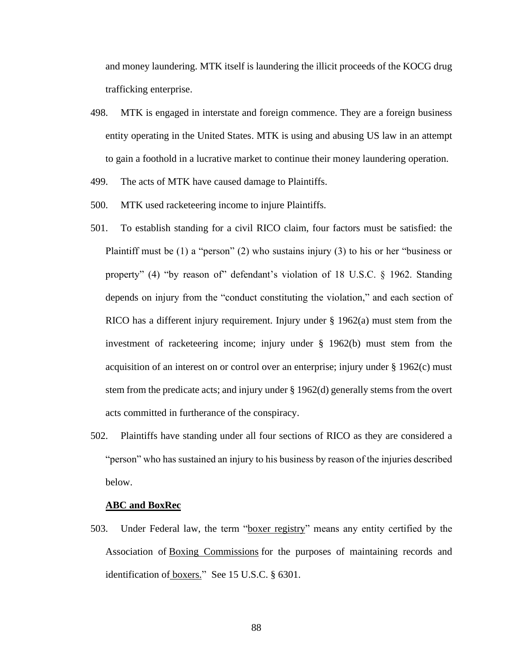and money laundering. MTK itself is laundering the illicit proceeds of the KOCG drug trafficking enterprise.

- 498. MTK is engaged in interstate and foreign commence. They are a foreign business entity operating in the United States. MTK is using and abusing US law in an attempt to gain a foothold in a lucrative market to continue their money laundering operation.
- 499. The acts of MTK have caused damage to Plaintiffs.
- 500. MTK used racketeering income to injure Plaintiffs.
- 501. To establish standing for a civil RICO claim, four factors must be satisfied: the Plaintiff must be (1) a "person" (2) who sustains injury (3) to his or her "business or property" (4) "by reason of" defendant's violation of 18 U.S.C. § 1962. Standing depends on injury from the "conduct constituting the violation," and each section of RICO has a different injury requirement. Injury under § 1962(a) must stem from the investment of racketeering income; injury under § 1962(b) must stem from the acquisition of an interest on or control over an enterprise; injury under § 1962(c) must stem from the predicate acts; and injury under § 1962(d) generally stems from the overt acts committed in furtherance of the conspiracy.
- 502. Plaintiffs have standing under all four sections of RICO as they are considered a "person" who has sustained an injury to his business by reason of the injuries described below.

#### **ABC and BoxRec**

503. Under Federal law, the term ["boxer registry"](https://www.law.cornell.edu/definitions/uscode.php?width=840&height=800&iframe=true&def_id=15-USC-1666546597-711953909&term_occur=999&term_src=title:15:chapter:89:section:6301) means any entity certified by the Association of [Boxing Commissions](https://www.law.cornell.edu/definitions/uscode.php?width=840&height=800&iframe=true&def_id=15-USC-534390156-711953910&term_occur=999&term_src=title:15:chapter:89:section:6301) for the purposes of maintaining records and identification of <u>boxers.</u>" See 15 U.S.C. § 6301.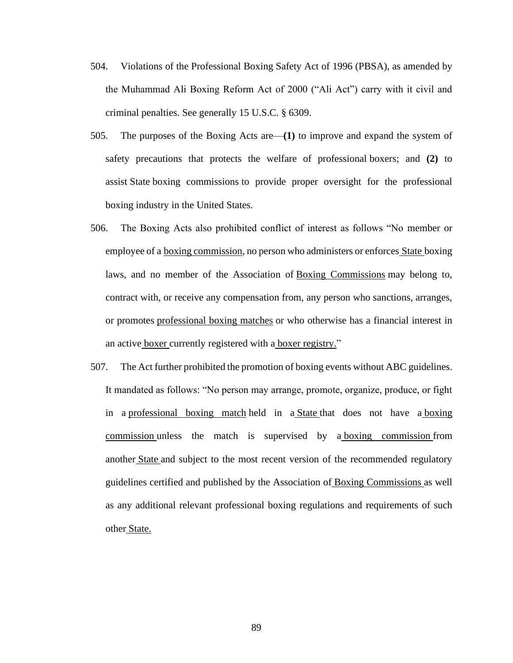- 504. Violations of the Professional Boxing Safety Act of 1996 (PBSA), as amended by the Muhammad Ali Boxing Reform Act of 2000 ("Ali Act") carry with it civil and criminal penalties. See generally 15 U.S.C. § 6309.
- 505. The purposes of the Boxing Acts are—**(1)** to improve and expand the system of safety precautions that protects the welfare of professional [boxers;](https://www.law.cornell.edu/definitions/uscode.php?width=840&height=800&iframe=true&def_id=15-USC-93930424-711953911&term_occur=999&term_src=title:15:chapter:89:section:6302) and **(2)** to assist [State](https://www.law.cornell.edu/definitions/uscode.php?width=840&height=800&iframe=true&def_id=15-USC-80204913-595734713&term_occur=999&term_src=title:15:chapter:89:section:6302) [boxing commissions](https://www.law.cornell.edu/definitions/uscode.php?width=840&height=800&iframe=true&def_id=15-USC-534390156-711953910&term_occur=999&term_src=title:15:chapter:89:section:6302) to provide proper oversight for the professional boxing industry in the United [States.](https://www.law.cornell.edu/definitions/uscode.php?width=840&height=800&iframe=true&def_id=15-USC-80204913-595734713&term_occur=999&term_src=title:15:chapter:89:section:6302)
- 506. The Boxing Acts also prohibited conflict of interest as follows "No member or employee of a [boxing commission,](https://www.law.cornell.edu/definitions/uscode.php?width=840&height=800&iframe=true&def_id=15-USC-534390156-711953910&term_occur=999&term_src=title:15:chapter:89:section:6308) no person who administers or enforces [State](https://www.law.cornell.edu/definitions/uscode.php?width=840&height=800&iframe=true&def_id=15-USC-80204913-595734713&term_occur=999&term_src=title:15:chapter:89:section:6308) boxing laws, and no member of the Association of [Boxing Commissions](https://www.law.cornell.edu/definitions/uscode.php?width=840&height=800&iframe=true&def_id=15-USC-534390156-711953910&term_occur=999&term_src=title:15:chapter:89:section:6308) may belong to, contract with, or receive any compensation from, any person who sanctions, arranges, or promotes [professional boxing matches](https://www.law.cornell.edu/definitions/uscode.php?width=840&height=800&iframe=true&def_id=15-USC-465038347-711953904&term_occur=999&term_src=title:15:chapter:89:section:6308) or who otherwise has a financial interest in an active [boxer](https://www.law.cornell.edu/definitions/uscode.php?width=840&height=800&iframe=true&def_id=15-USC-93930424-711953911&term_occur=999&term_src=title:15:chapter:89:section:6308) currently registered with a [boxer registry."](https://www.law.cornell.edu/definitions/uscode.php?width=840&height=800&iframe=true&def_id=15-USC-1666546597-711953909&term_occur=999&term_src=title:15:chapter:89:section:6308)
- 507. The Act further prohibited the promotion of boxing events without ABC guidelines. It mandated as follows: "No person may arrange, promote, organize, produce, or fight in a [professional boxing match](https://www.law.cornell.edu/definitions/uscode.php?width=840&height=800&iframe=true&def_id=15-USC-465038347-711953904&term_occur=999&term_src=title:15:chapter:89:section:6303) held in a [State](https://www.law.cornell.edu/definitions/uscode.php?width=840&height=800&iframe=true&def_id=15-USC-80204913-595734713&term_occur=999&term_src=title:15:chapter:89:section:6303) that does not have a [boxing](https://www.law.cornell.edu/definitions/uscode.php?width=840&height=800&iframe=true&def_id=15-USC-534390156-711953910&term_occur=999&term_src=title:15:chapter:89:section:6303)  [commission](https://www.law.cornell.edu/definitions/uscode.php?width=840&height=800&iframe=true&def_id=15-USC-534390156-711953910&term_occur=999&term_src=title:15:chapter:89:section:6303) unless the match is supervised by a [boxing commission](https://www.law.cornell.edu/definitions/uscode.php?width=840&height=800&iframe=true&def_id=15-USC-534390156-711953910&term_occur=999&term_src=title:15:chapter:89:section:6303) from another [State](https://www.law.cornell.edu/definitions/uscode.php?width=840&height=800&iframe=true&def_id=15-USC-80204913-595734713&term_occur=999&term_src=title:15:chapter:89:section:6303) and subject to the most recent version of the recommended regulatory guidelines certified and published by the Association of [Boxing Commissions](https://www.law.cornell.edu/definitions/uscode.php?width=840&height=800&iframe=true&def_id=15-USC-534390156-711953910&term_occur=999&term_src=title:15:chapter:89:section:6303) as well as any additional relevant professional boxing regulations and requirements of such other [State.](https://www.law.cornell.edu/definitions/uscode.php?width=840&height=800&iframe=true&def_id=15-USC-80204913-595734713&term_occur=999&term_src=title:15:chapter:89:section:6303)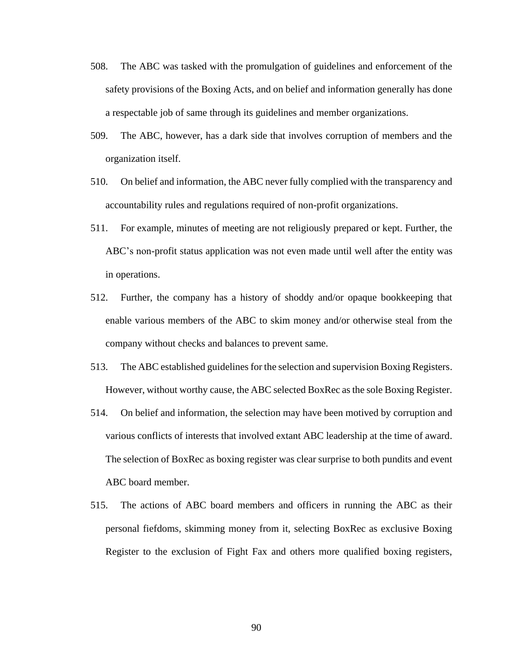- 508. The ABC was tasked with the promulgation of guidelines and enforcement of the safety provisions of the Boxing Acts, and on belief and information generally has done a respectable job of same through its guidelines and member organizations.
- 509. The ABC, however, has a dark side that involves corruption of members and the organization itself.
- 510. On belief and information, the ABC never fully complied with the transparency and accountability rules and regulations required of non-profit organizations.
- 511. For example, minutes of meeting are not religiously prepared or kept. Further, the ABC's non-profit status application was not even made until well after the entity was in operations.
- 512. Further, the company has a history of shoddy and/or opaque bookkeeping that enable various members of the ABC to skim money and/or otherwise steal from the company without checks and balances to prevent same.
- 513. The ABC established guidelines for the selection and supervision Boxing Registers. However, without worthy cause, the ABC selected BoxRec as the sole Boxing Register.
- 514. On belief and information, the selection may have been motived by corruption and various conflicts of interests that involved extant ABC leadership at the time of award. The selection of BoxRec as boxing register was clear surprise to both pundits and event ABC board member.
- 515. The actions of ABC board members and officers in running the ABC as their personal fiefdoms, skimming money from it, selecting BoxRec as exclusive Boxing Register to the exclusion of Fight Fax and others more qualified boxing registers,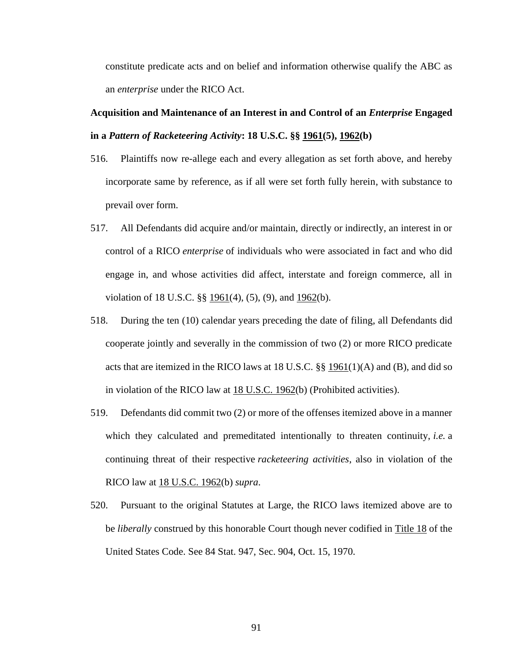constitute predicate acts and on belief and information otherwise qualify the ABC as an *enterprise* under the RICO Act.

## **Acquisition and Maintenance of an Interest in and Control of an** *Enterprise* **Engaged in a** *Pattern of Racketeering Activity***: 18 U.S.C. §§ [1961\(](http://www.law.cornell.edu/uscode/18/1961.html)5), [1962\(](http://www.law.cornell.edu/uscode/18/1962.html)b)**

- 516. Plaintiffs now re-allege each and every allegation as set forth above, and hereby incorporate same by reference, as if all were set forth fully herein, with substance to prevail over form.
- 517. All Defendants did acquire and/or maintain, directly or indirectly, an interest in or control of a RICO *enterprise* of individuals who were associated in fact and who did engage in, and whose activities did affect, interstate and foreign commerce, all in violation of 18 U.S.C.  $\S\S 1961(4)$  $\S\S 1961(4)$  $\S\S 1961(4)$ , (5), (9), and  $1962(b)$  $1962(b)$ .
- 518. During the ten (10) calendar years preceding the date of filing, all Defendants did cooperate jointly and severally in the commission of two (2) or more RICO predicate acts that are itemized in the RICO laws at 18 U.S.C.  $\S\S 1961(1)(A)$  $\S\S 1961(1)(A)$  $\S\S 1961(1)(A)$  and (B), and did so in violation of the RICO law at [18 U.S.C. 1962\(](http://www.law.cornell.edu/uscode/18/1962.html)b) (Prohibited activities).
- 519. Defendants did commit two (2) or more of the offenses itemized above in a manner which they calculated and premeditated intentionally to threaten continuity, *i.e.* a continuing threat of their respective *racketeering activities*, also in violation of the RICO law at [18 U.S.C. 1962\(](http://www.law.cornell.edu/uscode/18/1962.html)b) *supra*.
- 520. Pursuant to the original Statutes at Large, the RICO laws itemized above are to be *liberally* construed by this honorable Court though never codified in [Title 18](http://www.law.cornell.edu/uscode/18/) of the United States Code. See 84 Stat. 947, Sec. 904, Oct. 15, 1970.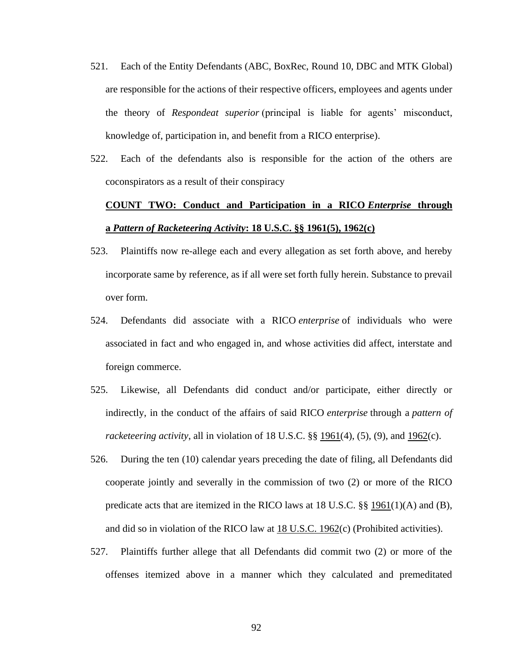- 521. Each of the Entity Defendants (ABC, BoxRec, Round 10, DBC and MTK Global) are responsible for the actions of their respective officers, employees and agents under the theory of *Respondeat superior* (principal is liable for agents' misconduct, knowledge of, participation in, and benefit from a RICO enterprise).
- 522. Each of the defendants also is responsible for the action of the others are coconspirators as a result of their conspiracy

# **[COUNT TWO:](http://www.supremelaw.org/cc/aol2/initial.complaint.htm#contents) Conduct and Participation in a RICO** *Enterprise* **through a** *Pattern of Racketeering Activity***: 18 U.S.C. §§ [1961\(](http://www.law.cornell.edu/uscode/18/1961.html)5), [1962\(](http://www.law.cornell.edu/uscode/18/1962.html)c)**

- 523. Plaintiffs now re-allege each and every allegation as set forth above, and hereby incorporate same by reference, as if all were set forth fully herein. Substance to prevail over form.
- 524. Defendants did associate with a RICO *enterprise* of individuals who were associated in fact and who engaged in, and whose activities did affect, interstate and foreign commerce.
- 525. Likewise, all Defendants did conduct and/or participate, either directly or indirectly, in the conduct of the affairs of said RICO *enterprise* through a *pattern of racketeering activity*, all in violation of 18 U.S.C. §§ <u>1961</u>(4), (5), (9), and <u>1962</u>(c).
- 526. During the ten (10) calendar years preceding the date of filing, all Defendants did cooperate jointly and severally in the commission of two (2) or more of the RICO predicate acts that are itemized in the RICO laws at 18 U.S.C.  $\S$  [1961\(](http://www.law.cornell.edu/uscode/18/1961.html)1)(A) and (B), and did so in violation of the RICO law at [18 U.S.C. 1962\(](http://www.law.cornell.edu/uscode/18/1962.html)c) (Prohibited activities).
- 527. Plaintiffs further allege that all Defendants did commit two (2) or more of the offenses itemized above in a manner which they calculated and premeditated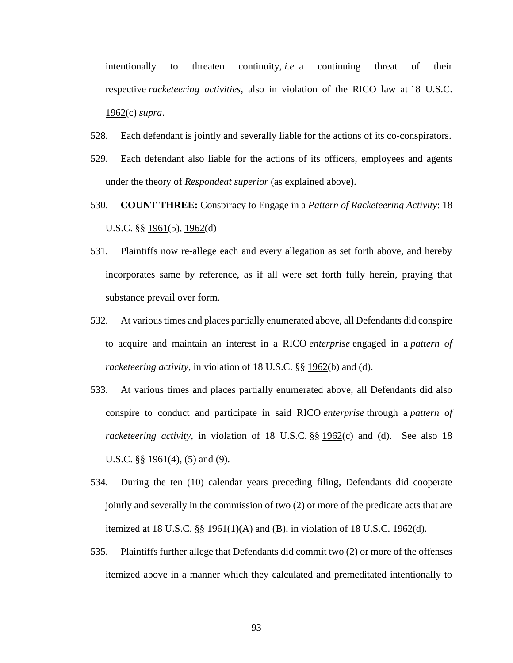intentionally to threaten continuity, *i.e.* a continuing threat of their respective *racketeering activities*, also in violation of the RICO law at [18 U.S.C.](http://www.law.cornell.edu/uscode/18/1962.html)  [1962\(](http://www.law.cornell.edu/uscode/18/1962.html)c) *supra*.

- 528. Each defendant is jointly and severally liable for the actions of its co-conspirators.
- 529. Each defendant also liable for the actions of its officers, employees and agents under the theory of *Respondeat superior* (as explained above).
- 530. **[COUNT THREE:](http://www.supremelaw.org/cc/aol2/initial.complaint.htm#contents)** Conspiracy to Engage in a *Pattern of Racketeering Activity*: 18 U.S.C. §§ [1961\(](http://www.law.cornell.edu/uscode/18/1961.html)5), [1962\(](http://www.law.cornell.edu/uscode/18/1962.html)d)
- 531. Plaintiffs now re-allege each and every allegation as set forth above, and hereby incorporates same by reference, as if all were set forth fully herein, praying that substance prevail over form.
- 532. At various times and places partially enumerated above, all Defendants did conspire to acquire and maintain an interest in a RICO *enterprise* engaged in a *pattern of racketeering activity*, in violation of 18 U.S.C. §§ [1962\(](http://www.law.cornell.edu/uscode/18/1962.html)b) and (d).
- 533. At various times and places partially enumerated above, all Defendants did also conspire to conduct and participate in said RICO *enterprise* through a *pattern of racketeering activity*, in violation of 18 U.S.C. §§ [1962\(](http://www.law.cornell.edu/uscode/18/1962.html)c) and (d). See also 18 U.S.C. §§ [1961\(](http://www.law.cornell.edu/uscode/18/1961.html)4), (5) and (9).
- 534. During the ten (10) calendar years preceding filing, Defendants did cooperate jointly and severally in the commission of two (2) or more of the predicate acts that are itemized at 18 U.S.C.  $\S$   $\S$   $\frac{1961(1)}{A}$  $\frac{1961(1)}{A}$  $\frac{1961(1)}{A}$  and (B), in violation of [18 U.S.C. 1962\(](http://www.law.cornell.edu/uscode/18/1962.html)d).
- 535. Plaintiffs further allege that Defendants did commit two (2) or more of the offenses itemized above in a manner which they calculated and premeditated intentionally to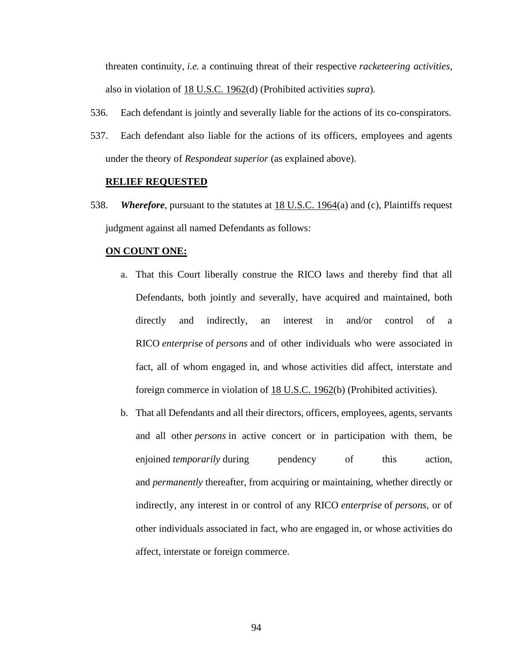threaten continuity, *i.e.* a continuing threat of their respective *racketeering activities*, also in violation of [18 U.S.C. 1962\(](http://www.law.cornell.edu/uscode/18/1962.html)d) (Prohibited activities *supra*).

- 536. Each defendant is jointly and severally liable for the actions of its co-conspirators.
- 537. Each defendant also liable for the actions of its officers, employees and agents under the theory of *Respondeat superior* (as explained above).

#### **[RELIEF REQUESTED](http://www.supremelaw.org/cc/aol2/initial.complaint.htm#contents)**

538. *Wherefore*, pursuant to the statutes at [18 U.S.C. 1964\(](http://www.law.cornell.edu/uscode/18/1964.html)a) and (c), Plaintiffs request judgment against all named Defendants as follows:

#### **[ON COUNT ONE:](http://www.supremelaw.org/cc/aol2/initial.complaint.htm#contents)**

- a. That this Court liberally construe the RICO laws and thereby find that all Defendants, both jointly and severally, have acquired and maintained, both directly and indirectly, an interest in and/or control of a RICO *enterprise* of *persons* and of other individuals who were associated in fact, all of whom engaged in, and whose activities did affect, interstate and foreign commerce in violation of [18 U.S.C. 1962\(](http://www.law.cornell.edu/uscode/18/1962.html)b) (Prohibited activities).
- b. That all Defendants and all their directors, officers, employees, agents, servants and all other *persons* in active concert or in participation with them, be enjoined *temporarily* during pendency of this action, and *permanently* thereafter, from acquiring or maintaining, whether directly or indirectly, any interest in or control of any RICO *enterprise* of *persons*, or of other individuals associated in fact, who are engaged in, or whose activities do affect, interstate or foreign commerce.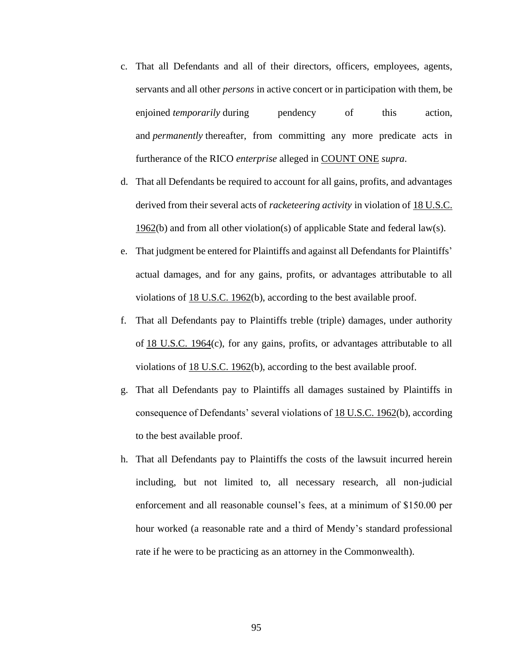- c. That all Defendants and all of their directors, officers, employees, agents, servants and all other *persons* in active concert or in participation with them, be enjoined *temporarily* during pendency of this action, and *permanently* thereafter, from committing any more predicate acts in furtherance of the RICO *enterprise* alleged in [COUNT ONE](http://www.supremelaw.org/cc/aol2/initial.complaint.htm#one) *supra*.
- d. That all Defendants be required to account for all gains, profits, and advantages derived from their several acts of *racketeering activity* in violation of [18 U.S.C.](http://www.law.cornell.edu/uscode/18/1962.html)  [1962\(](http://www.law.cornell.edu/uscode/18/1962.html)b) and from all other violation(s) of applicable State and federal law(s).
- e. That judgment be entered for Plaintiffs and against all Defendants for Plaintiffs' actual damages, and for any gains, profits, or advantages attributable to all violations of [18 U.S.C. 1962\(](http://www.law.cornell.edu/uscode/18/1962.html)b), according to the best available proof.
- f. That all Defendants pay to Plaintiffs treble (triple) damages, under authority of [18 U.S.C. 1964\(](http://www.law.cornell.edu/uscode/18/1964.html)c), for any gains, profits, or advantages attributable to all violations of [18 U.S.C. 1962\(](http://www.law.cornell.edu/uscode/18/1962.html)b), according to the best available proof.
- g. That all Defendants pay to Plaintiffs all damages sustained by Plaintiffs in consequence of Defendants' several violations of [18 U.S.C. 1962\(](http://www.law.cornell.edu/uscode/18/1962.html)b), according to the best available proof.
- h. That all Defendants pay to Plaintiffs the costs of the lawsuit incurred herein including, but not limited to, all necessary research, all non-judicial enforcement and all reasonable counsel's fees, at a minimum of \$150.00 per hour worked (a reasonable rate and a third of Mendy's standard professional rate if he were to be practicing as an attorney in the Commonwealth).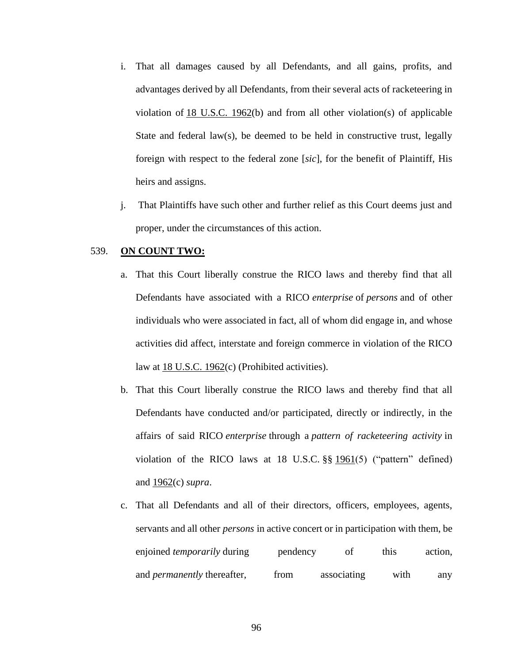- i. That all damages caused by all Defendants, and all gains, profits, and advantages derived by all Defendants, from their several acts of racketeering in violation of [18 U.S.C. 1962\(](http://www.law.cornell.edu/uscode/18/1962.html)b) and from all other violation(s) of applicable State and federal law(s), be deemed to be held in constructive trust, legally foreign with respect to the federal zone [*sic*], for the benefit of Plaintiff, His heirs and assigns.
- j. That Plaintiffs have such other and further relief as this Court deems just and proper, under the circumstances of this action.

## 539. **[ON COUNT TWO:](http://www.supremelaw.org/cc/aol2/initial.complaint.htm#contents)**

- a. That this Court liberally construe the RICO laws and thereby find that all Defendants have associated with a RICO *enterprise* of *persons* and of other individuals who were associated in fact, all of whom did engage in, and whose activities did affect, interstate and foreign commerce in violation of the RICO law at [18 U.S.C. 1962\(](http://www.law.cornell.edu/uscode/18/1962.html)c) (Prohibited activities).
- b. That this Court liberally construe the RICO laws and thereby find that all Defendants have conducted and/or participated, directly or indirectly, in the affairs of said RICO *enterprise* through a *pattern of racketeering activity* in violation of the RICO laws at 18 U.S.C.  $\S\S 1961(5)$  $\S\S 1961(5)$  $\S\S 1961(5)$  ("pattern" defined) and [1962\(](http://www.law.cornell.edu/uscode/18/1962.html)c) *supra*.
- c. That all Defendants and all of their directors, officers, employees, agents, servants and all other *persons* in active concert or in participation with them, be enjoined *temporarily* during pendency of this action, and *permanently* thereafter, from associating with any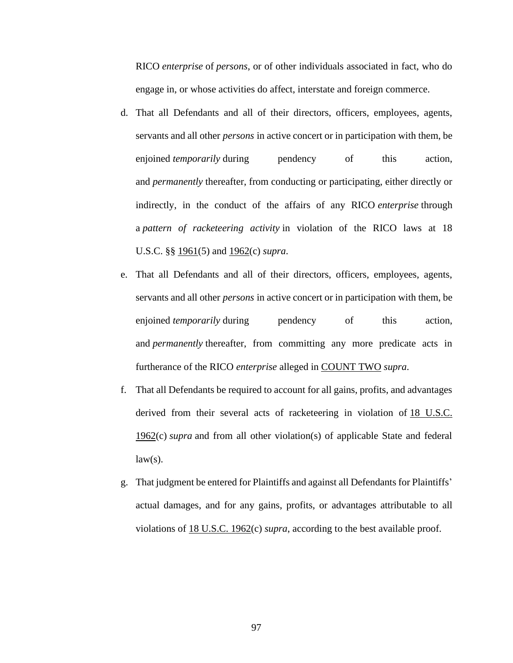RICO *enterprise* of *persons*, or of other individuals associated in fact, who do engage in, or whose activities do affect, interstate and foreign commerce.

- d. That all Defendants and all of their directors, officers, employees, agents, servants and all other *persons* in active concert or in participation with them, be enjoined *temporarily* during pendency of this action, and *permanently* thereafter, from conducting or participating, either directly or indirectly, in the conduct of the affairs of any RICO *enterprise* through a *pattern of racketeering activity* in violation of the RICO laws at 18 U.S.C. §§ [1961\(](http://www.law.cornell.edu/uscode/18/1961.html)5) and [1962\(](http://www.law.cornell.edu/uscode/18/1962.html)c) *supra*.
- e. That all Defendants and all of their directors, officers, employees, agents, servants and all other *persons* in active concert or in participation with them, be enjoined *temporarily* during pendency of this action, and *permanently* thereafter, from committing any more predicate acts in furtherance of the RICO *enterprise* alleged in [COUNT TWO](http://www.supremelaw.org/cc/aol2/initial.complaint.htm#two) *supra*.
- f. That all Defendants be required to account for all gains, profits, and advantages derived from their several acts of racketeering in violation of [18 U.S.C.](http://www.law.cornell.edu/uscode/18/1962.html)  [1962\(](http://www.law.cornell.edu/uscode/18/1962.html)c) *supra* and from all other violation(s) of applicable State and federal  $law(s)$ .
- g. That judgment be entered for Plaintiffs and against all Defendants for Plaintiffs' actual damages, and for any gains, profits, or advantages attributable to all violations of [18 U.S.C. 1962\(](http://www.law.cornell.edu/uscode/18/1962.html)c) *supra*, according to the best available proof.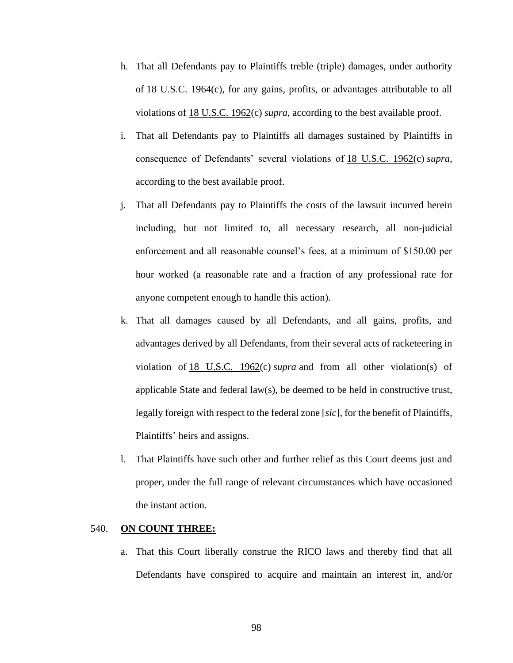- h. That all Defendants pay to Plaintiffs treble (triple) damages, under authority of [18 U.S.C. 1964\(](http://www.law.cornell.edu/uscode/18/1964.html)c), for any gains, profits, or advantages attributable to all violations of [18 U.S.C. 1962\(](http://www.law.cornell.edu/uscode/18/1962.html)c) *supra*, according to the best available proof.
- i. That all Defendants pay to Plaintiffs all damages sustained by Plaintiffs in consequence of Defendants' several violations of [18 U.S.C. 1962\(](http://www.law.cornell.edu/uscode/18/1962.html)c) *supra*, according to the best available proof.
- j. That all Defendants pay to Plaintiffs the costs of the lawsuit incurred herein including, but not limited to, all necessary research, all non-judicial enforcement and all reasonable counsel's fees, at a minimum of \$150.00 per hour worked (a reasonable rate and a fraction of any professional rate for anyone competent enough to handle this action).
- k. That all damages caused by all Defendants, and all gains, profits, and advantages derived by all Defendants, from their several acts of racketeering in violation of [18 U.S.C. 1962\(](http://www.law.cornell.edu/uscode/18/1962.html)c) *supra* and from all other violation(s) of applicable State and federal law(s), be deemed to be held in constructive trust, legally foreign with respect to the federal zone [*sic*], for the benefit of Plaintiffs, Plaintiffs' heirs and assigns.
- l. That Plaintiffs have such other and further relief as this Court deems just and proper, under the full range of relevant circumstances which have occasioned the instant action.

#### 540. **[ON COUNT THREE:](http://www.supremelaw.org/cc/aol2/initial.complaint.htm#contents)**

a. That this Court liberally construe the RICO laws and thereby find that all Defendants have conspired to acquire and maintain an interest in, and/or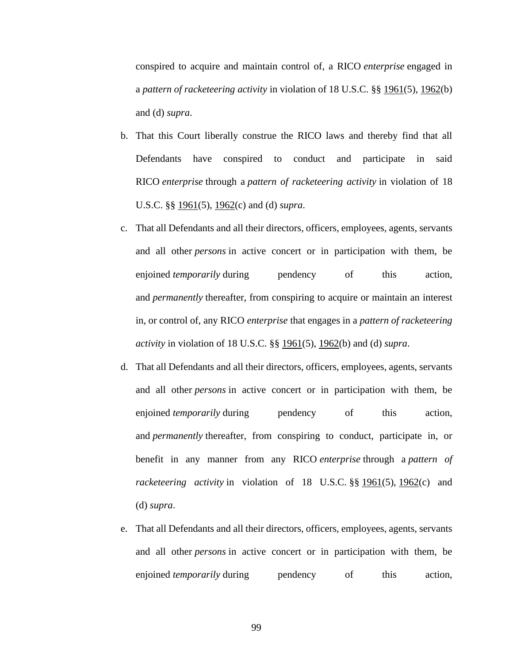conspired to acquire and maintain control of, a RICO *enterprise* engaged in a *pattern of racketeering activity* in violation of 18 U.S.C. §§ [1961\(](http://www.law.cornell.edu/uscode/18/1961.html)5), [1962\(](http://www.law.cornell.edu/uscode/18/1962.html)b) and (d) *supra*.

- b. That this Court liberally construe the RICO laws and thereby find that all Defendants have conspired to conduct and participate in said RICO *enterprise* through a *pattern of racketeering activity* in violation of 18 U.S.C. §§ [1961\(](http://www.law.cornell.edu/uscode/18/1961.html)5), [1962\(](http://www.law.cornell.edu/uscode/18/1962.html)c) and (d) *supra*.
- c. That all Defendants and all their directors, officers, employees, agents, servants and all other *persons* in active concert or in participation with them, be enjoined *temporarily* during pendency of this action, and *permanently* thereafter, from conspiring to acquire or maintain an interest in, or control of, any RICO *enterprise* that engages in a *pattern of racketeering activity* in violation of 18 U.S.C. §§ [1961\(](http://www.law.cornell.edu/uscode/18/1961.html)5), [1962\(](http://www.law.cornell.edu/uscode/18/1962.html)b) and (d) *supra*.
- d. That all Defendants and all their directors, officers, employees, agents, servants and all other *persons* in active concert or in participation with them, be enjoined *temporarily* during pendency of this action, and *permanently* thereafter, from conspiring to conduct, participate in, or benefit in any manner from any RICO *enterprise* through a *pattern of racketeering activity* in violation of 18 U.S.C. §§ [1961\(](http://www.law.cornell.edu/uscode/18/1961.html)5), [1962\(](http://www.law.cornell.edu/uscode/18/1962.html)c) and (d) *supra*.
- e. That all Defendants and all their directors, officers, employees, agents, servants and all other *persons* in active concert or in participation with them, be enjoined *temporarily* during pendency of this action,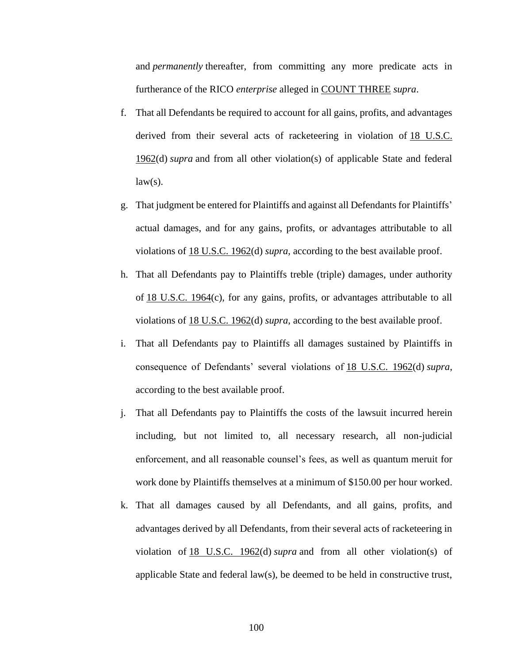and *permanently* thereafter, from committing any more predicate acts in furtherance of the RICO *enterprise* alleged in [COUNT THREE](http://www.supremelaw.org/cc/aol2/initial.complaint.htm#three) *supra*.

- f. That all Defendants be required to account for all gains, profits, and advantages derived from their several acts of racketeering in violation of [18 U.S.C.](http://www.law.cornell.edu/uscode/18/1962.html)  [1962\(](http://www.law.cornell.edu/uscode/18/1962.html)d) *supra* and from all other violation(s) of applicable State and federal  $law(s)$ .
- g. That judgment be entered for Plaintiffs and against all Defendants for Plaintiffs' actual damages, and for any gains, profits, or advantages attributable to all violations of [18 U.S.C. 1962\(](http://www.law.cornell.edu/uscode/18/1962.html)d) *supra*, according to the best available proof.
- h. That all Defendants pay to Plaintiffs treble (triple) damages, under authority of [18 U.S.C. 1964\(](http://www.law.cornell.edu/uscode/18/1964.html)c), for any gains, profits, or advantages attributable to all violations of [18 U.S.C. 1962\(](http://www.law.cornell.edu/uscode/18/1962.html)d) *supra*, according to the best available proof.
- i. That all Defendants pay to Plaintiffs all damages sustained by Plaintiffs in consequence of Defendants' several violations of [18 U.S.C. 1962\(](http://www.law.cornell.edu/uscode/18/1962.html)d) *supra*, according to the best available proof.
- j. That all Defendants pay to Plaintiffs the costs of the lawsuit incurred herein including, but not limited to, all necessary research, all non-judicial enforcement, and all reasonable counsel's fees, as well as quantum meruit for work done by Plaintiffs themselves at a minimum of \$150.00 per hour worked.
- k. That all damages caused by all Defendants, and all gains, profits, and advantages derived by all Defendants, from their several acts of racketeering in violation of [18 U.S.C. 1962\(](http://www.law.cornell.edu/uscode/18/1962.html)d) *supra* and from all other violation(s) of applicable State and federal law(s), be deemed to be held in constructive trust,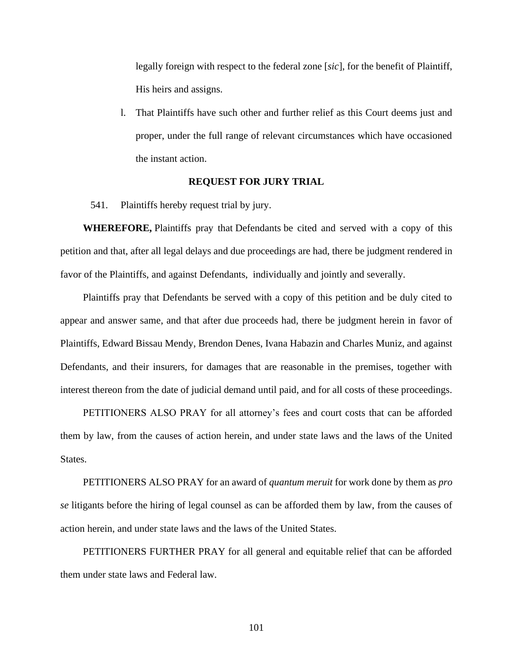legally foreign with respect to the federal zone [*sic*], for the benefit of Plaintiff, His heirs and assigns.

l. That Plaintiffs have such other and further relief as this Court deems just and proper, under the full range of relevant circumstances which have occasioned the instant action.

## **REQUEST FOR JURY TRIAL**

541. Plaintiffs hereby request trial by jury.

**WHEREFORE,** Plaintiffs pray that Defendants be cited and served with a copy of this petition and that, after all legal delays and due proceedings are had, there be judgment rendered in favor of the Plaintiffs, and against Defendants, individually and jointly and severally.

Plaintiffs pray that Defendants be served with a copy of this petition and be duly cited to appear and answer same, and that after due proceeds had, there be judgment herein in favor of Plaintiffs, Edward Bissau Mendy, Brendon Denes, Ivana Habazin and Charles Muniz, and against Defendants, and their insurers, for damages that are reasonable in the premises, together with interest thereon from the date of judicial demand until paid, and for all costs of these proceedings.

PETITIONERS ALSO PRAY for all attorney's fees and court costs that can be afforded them by law, from the causes of action herein, and under state laws and the laws of the United States.

PETITIONERS ALSO PRAY for an award of *quantum meruit* for work done by them as *pro se* litigants before the hiring of legal counsel as can be afforded them by law, from the causes of action herein, and under state laws and the laws of the United States.

PETITIONERS FURTHER PRAY for all general and equitable relief that can be afforded them under state laws and Federal law.